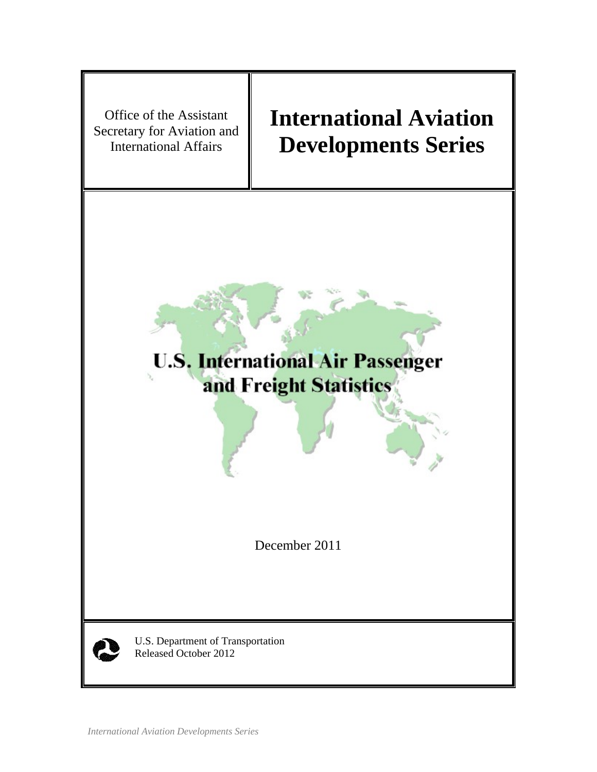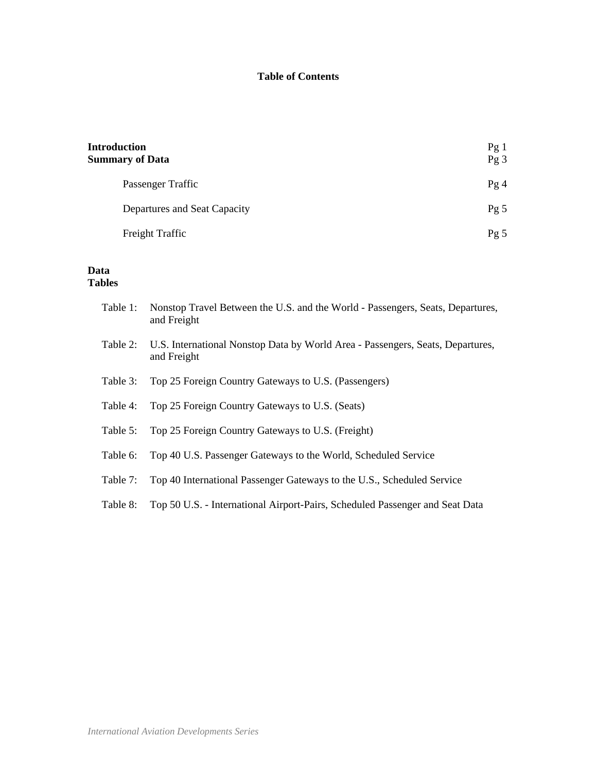## **Table of Contents**

| <b>Introduction</b><br><b>Summary of Data</b> | Pg1<br>Pg <sub>3</sub> |
|-----------------------------------------------|------------------------|
| Passenger Traffic                             | Pg4                    |
| Departures and Seat Capacity                  | Pg <sub>5</sub>        |
| Freight Traffic                               | Pg 5                   |

## **Data Tables**

| Table 1: | Nonstop Travel Between the U.S. and the World - Passengers, Seats, Departures,<br>and Freight |
|----------|-----------------------------------------------------------------------------------------------|
| Table 2: | U.S. International Nonstop Data by World Area - Passengers, Seats, Departures,<br>and Freight |
| Table 3: | Top 25 Foreign Country Gateways to U.S. (Passengers)                                          |
| Table 4: | Top 25 Foreign Country Gateways to U.S. (Seats)                                               |
| Table 5: | Top 25 Foreign Country Gateways to U.S. (Freight)                                             |
| Table 6: | Top 40 U.S. Passenger Gateways to the World, Scheduled Service                                |
| Table 7: | Top 40 International Passenger Gateways to the U.S., Scheduled Service                        |
| Table 8: | Top 50 U.S. - International Airport-Pairs, Scheduled Passenger and Seat Data                  |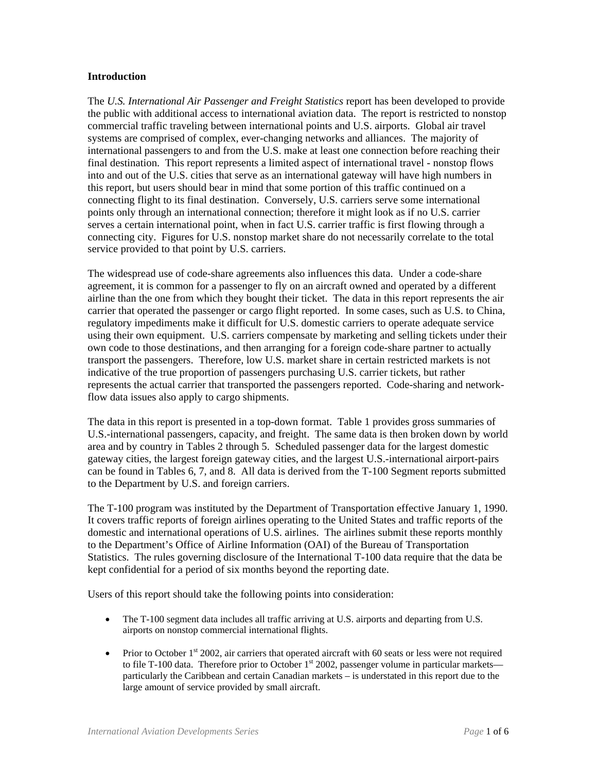### **Introduction**

The *U.S. International Air Passenger and Freight Statistics* report has been developed to provide the public with additional access to international aviation data. The report is restricted to nonstop commercial traffic traveling between international points and U.S. airports. Global air travel systems are comprised of complex, ever-changing networks and alliances. The majority of international passengers to and from the U.S. make at least one connection before reaching their final destination. This report represents a limited aspect of international travel - nonstop flows into and out of the U.S. cities that serve as an international gateway will have high numbers in this report, but users should bear in mind that some portion of this traffic continued on a connecting flight to its final destination. Conversely, U.S. carriers serve some international points only through an international connection; therefore it might look as if no U.S. carrier serves a certain international point, when in fact U.S. carrier traffic is first flowing through a connecting city. Figures for U.S. nonstop market share do not necessarily correlate to the total service provided to that point by U.S. carriers.

The widespread use of code-share agreements also influences this data. Under a code-share agreement, it is common for a passenger to fly on an aircraft owned and operated by a different airline than the one from which they bought their ticket. The data in this report represents the air carrier that operated the passenger or cargo flight reported. In some cases, such as U.S. to China, regulatory impediments make it difficult for U.S. domestic carriers to operate adequate service using their own equipment. U.S. carriers compensate by marketing and selling tickets under their own code to those destinations, and then arranging for a foreign code-share partner to actually transport the passengers. Therefore, low U.S. market share in certain restricted markets is not indicative of the true proportion of passengers purchasing U.S. carrier tickets, but rather represents the actual carrier that transported the passengers reported. Code-sharing and networkflow data issues also apply to cargo shipments.

The data in this report is presented in a top-down format. Table 1 provides gross summaries of U.S.-international passengers, capacity, and freight. The same data is then broken down by world area and by country in Tables 2 through 5. Scheduled passenger data for the largest domestic gateway cities, the largest foreign gateway cities, and the largest U.S.-international airport-pairs can be found in Tables 6, 7, and 8. All data is derived from the T-100 Segment reports submitted to the Department by U.S. and foreign carriers.

The T-100 program was instituted by the Department of Transportation effective January 1, 1990. It covers traffic reports of foreign airlines operating to the United States and traffic reports of the domestic and international operations of U.S. airlines. The airlines submit these reports monthly to the Department's Office of Airline Information (OAI) of the Bureau of Transportation Statistics. The rules governing disclosure of the International T-100 data require that the data be kept confidential for a period of six months beyond the reporting date.

Users of this report should take the following points into consideration:

- The T-100 segment data includes all traffic arriving at U.S. airports and departing from U.S. airports on nonstop commercial international flights.
- Prior to October  $1<sup>st</sup>$  2002, air carriers that operated aircraft with 60 seats or less were not required to file T-100 data. Therefore prior to October 1<sup>st</sup> 2002, passenger volume in particular markets particularly the Caribbean and certain Canadian markets – is understated in this report due to the large amount of service provided by small aircraft.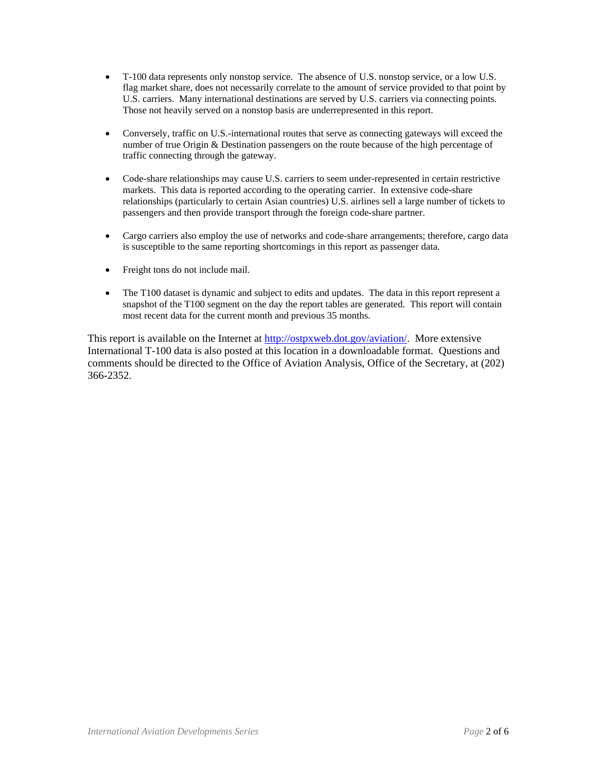- T-100 data represents only nonstop service. The absence of U.S. nonstop service, or a low U.S. flag market share, does not necessarily correlate to the amount of service provided to that point by U.S. carriers. Many international destinations are served by U.S. carriers via connecting points. Those not heavily served on a nonstop basis are underrepresented in this report.
- Conversely, traffic on U.S.-international routes that serve as connecting gateways will exceed the number of true Origin & Destination passengers on the route because of the high percentage of traffic connecting through the gateway.
- Code-share relationships may cause U.S. carriers to seem under-represented in certain restrictive markets. This data is reported according to the operating carrier. In extensive code-share relationships (particularly to certain Asian countries) U.S. airlines sell a large number of tickets to passengers and then provide transport through the foreign code-share partner.
- Cargo carriers also employ the use of networks and code-share arrangements; therefore, cargo data is susceptible to the same reporting shortcomings in this report as passenger data.
- Freight tons do not include mail.
- The T100 dataset is dynamic and subject to edits and updates. The data in this report represent a snapshot of the T100 segment on the day the report tables are generated. This report will contain most recent data for the current month and previous 35 months.

This report is available on the Internet at http://ostpxweb.dot.gov/aviation/. More extensive International T-100 data is also posted at this location in a downloadable format. Questions and comments should be directed to the Office of Aviation Analysis, Office of the Secretary, at (202) 366-2352.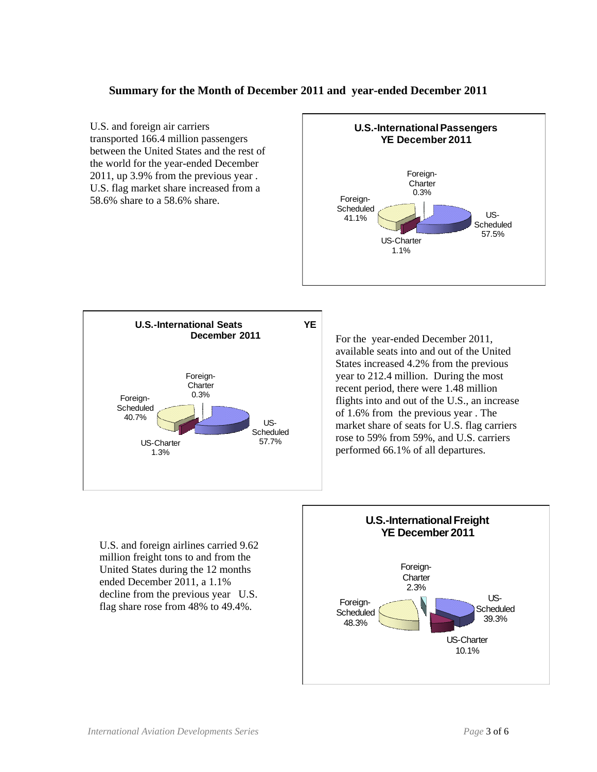## **Summary for the Month of December 2011 and year-ended December 2011**

U.S. and foreign air carriers transported 166.4 million passengers between the United States and the rest of the world for the year-ended December 2011, up 3.9% from the previous year . U.S. flag market share increased from a 58.6% share to a 58.6% share. For the year-ended December 2011, available seats into and out of the United States increased 4.2% from the previous year to 212.4 million. During the most recent period, there were 1.48 million flights into and out of the U.S., an increase of 1.6% from the previous year . The market share of seats for U.S. flag carriers rose to 59% from 59%, and U.S. carriers performed 66.1% of all departures. US-Scheduled<br>57.7% US-Charter 1.3% Foreign-**Scheduled** 40.7% Foreign-**Charter** 0.3% **U.S.-International Seats YE December 2011** US-Scheduled 57.5% US-Charter 1.1% Foreign-**Scheduled** 41.1% Foreign-**Charter** 0.3% **U.S.-International Passengers YE December 2011**

U.S. and foreign airlines carried 9.62 million freight tons to and from the United States during the 12 months ended December 2011, a 1.1% decline from the previous year U.S. flag share rose from 48% to 49.4%.

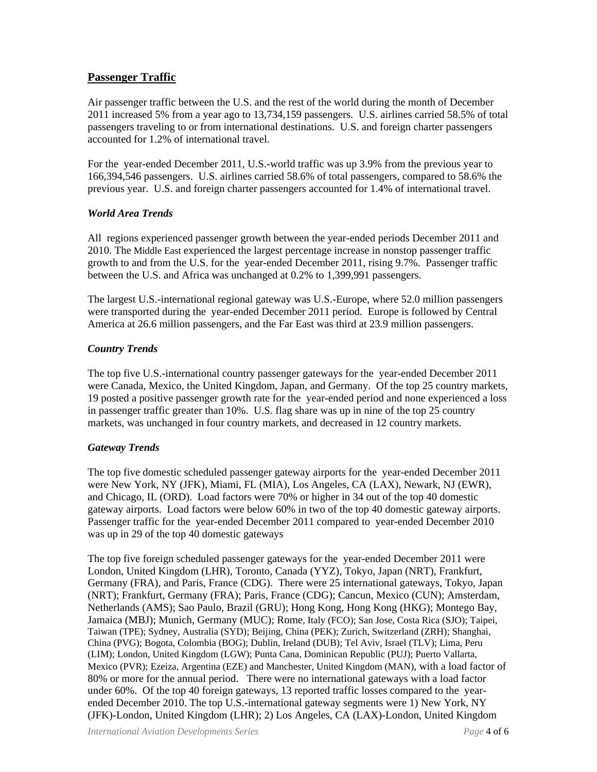## **Passenger Traffic**

Air passenger traffic between the U.S. and the rest of the world during the month of December 2011 increased 5% from a year ago to 13,734,159 passengers. U.S. airlines carried 58.5% of total passengers traveling to or from international destinations. U.S. and foreign charter passengers accounted for 1.2% of international travel.

For the year-ended December 2011, U.S.-world traffic was up 3.9% from the previous year to 166,394,546 passengers. U.S. airlines carried 58.6% of total passengers, compared to 58.6% the previous year. U.S. and foreign charter passengers accounted for 1.4% of international travel.

## *World Area Trends*

All regions experienced passenger growth between the year-ended periods December 2011 and 2010. The Middle East experienced the largest percentage increase in nonstop passenger traffic growth to and from the U.S. for the year-ended December 2011, rising 9.7%. Passenger traffic between the U.S. and Africa was unchanged at 0.2% to 1,399,991 passengers.

The largest U.S.-international regional gateway was U.S.-Europe, where 52.0 million passengers were transported during the year-ended December 2011 period. Europe is followed by Central America at 26.6 million passengers, and the Far East was third at 23.9 million passengers.

## *Country Trends*

The top five U.S.-international country passenger gateways for the year-ended December 2011 were Canada, Mexico, the United Kingdom, Japan, and Germany. Of the top 25 country markets, 19 posted a positive passenger growth rate for the year-ended period and none experienced a loss in passenger traffic greater than 10%. U.S. flag share was up in nine of the top 25 country markets, was unchanged in four country markets, and decreased in 12 country markets.

## *Gateway Trends*

The top five domestic scheduled passenger gateway airports for the year-ended December 2011 were New York, NY (JFK), Miami, FL (MIA), Los Angeles, CA (LAX), Newark, NJ (EWR), and Chicago, IL (ORD). Load factors were 70% or higher in 34 out of the top 40 domestic gateway airports. Load factors were below 60% in two of the top 40 domestic gateway airports. Passenger traffic for the year-ended December 2011 compared to year-ended December 2010 was up in 29 of the top 40 domestic gateways

The top five foreign scheduled passenger gateways for the year-ended December 2011 were London, United Kingdom (LHR), Toronto, Canada (YYZ), Tokyo, Japan (NRT), Frankfurt, Germany (FRA), and Paris, France (CDG). There were 25 international gateways, Tokyo, Japan (NRT); Frankfurt, Germany (FRA); Paris, France (CDG); Cancun, Mexico (CUN); Amsterdam, Netherlands (AMS); Sao Paulo, Brazil (GRU); Hong Kong, Hong Kong (HKG); Montego Bay, Jamaica (MBJ); Munich, Germany (MUC); Rome, Italy (FCO); San Jose, Costa Rica (SJO); Taipei, Taiwan (TPE); Sydney, Australia (SYD); Beijing, China (PEK); Zurich, Switzerland (ZRH); Shanghai, China (PVG); Bogota, Colombia (BOG); Dublin, Ireland (DUB); Tel Aviv, Israel (TLV); Lima, Peru (LIM); London, United Kingdom (LGW); Punta Cana, Dominican Republic (PUJ); Puerto Vallarta, Mexico (PVR); Ezeiza, Argentina (EZE) and Manchester, United Kingdom (MAN), with a load factor of 80% or more for the annual period. There were no international gateways with a load factor under 60%. Of the top 40 foreign gateways, 13 reported traffic losses compared to the yearended December 2010. The top U.S.-international gateway segments were 1) New York, NY (JFK)-London, United Kingdom (LHR); 2) Los Angeles, CA (LAX)-London, United Kingdom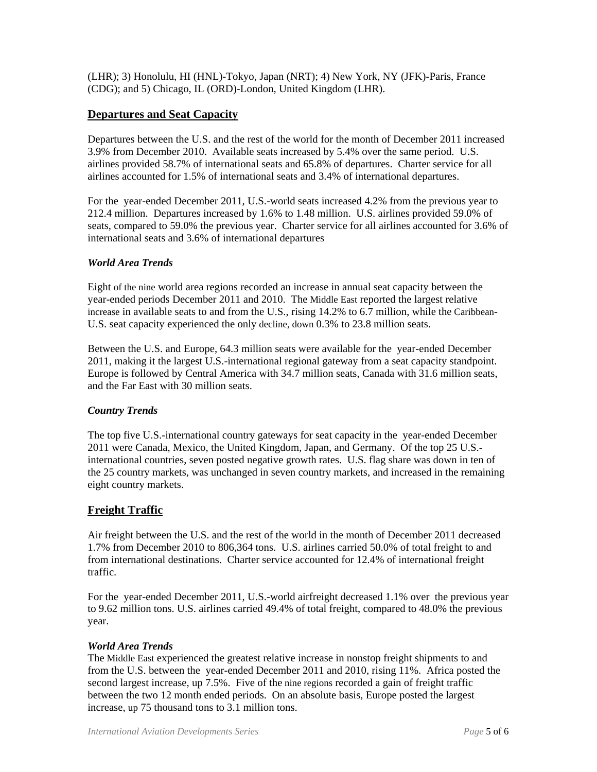(LHR); 3) Honolulu, HI (HNL)-Tokyo, Japan (NRT); 4) New York, NY (JFK)-Paris, France (CDG); and 5) Chicago, IL (ORD)-London, United Kingdom (LHR).

## **Departures and Seat Capacity**

Departures between the U.S. and the rest of the world for the month of December 2011 increased 3.9% from December 2010. Available seats increased by 5.4% over the same period. U.S. airlines provided 58.7% of international seats and 65.8% of departures. Charter service for all airlines accounted for 1.5% of international seats and 3.4% of international departures.

For the year-ended December 2011, U.S.-world seats increased 4.2% from the previous year to 212.4 million. Departures increased by 1.6% to 1.48 million. U.S. airlines provided 59.0% of seats, compared to 59.0% the previous year. Charter service for all airlines accounted for 3.6% of international seats and 3.6% of international departures

## *World Area Trends*

Eight of the nine world area regions recorded an increase in annual seat capacity between the year-ended periods December 2011 and 2010. The Middle East reported the largest relative increase in available seats to and from the U.S., rising 14.2% to 6.7 million, while the Caribbean-U.S. seat capacity experienced the only decline, down 0.3% to 23.8 million seats.

Between the U.S. and Europe, 64.3 million seats were available for the year-ended December 2011, making it the largest U.S.-international regional gateway from a seat capacity standpoint. Europe is followed by Central America with 34.7 million seats, Canada with 31.6 million seats, and the Far East with 30 million seats.

## *Country Trends*

The top five U.S.-international country gateways for seat capacity in the year-ended December 2011 were Canada, Mexico, the United Kingdom, Japan, and Germany. Of the top 25 U.S. international countries, seven posted negative growth rates. U.S. flag share was down in ten of the 25 country markets, was unchanged in seven country markets, and increased in the remaining eight country markets.

## **Freight Traffic**

Air freight between the U.S. and the rest of the world in the month of December 2011 decreased 1.7% from December 2010 to 806,364 tons. U.S. airlines carried 50.0% of total freight to and from international destinations. Charter service accounted for 12.4% of international freight traffic.

For the year-ended December 2011, U.S.-world airfreight decreased 1.1% over the previous year to 9.62 million tons. U.S. airlines carried 49.4% of total freight, compared to 48.0% the previous year.

### *World Area Trends*

The Middle East experienced the greatest relative increase in nonstop freight shipments to and from the U.S. between the year-ended December 2011 and 2010, rising 11%. Africa posted the second largest increase, up 7.5%. Five of the nine regions recorded a gain of freight traffic between the two 12 month ended periods. On an absolute basis, Europe posted the largest increase, up 75 thousand tons to 3.1 million tons.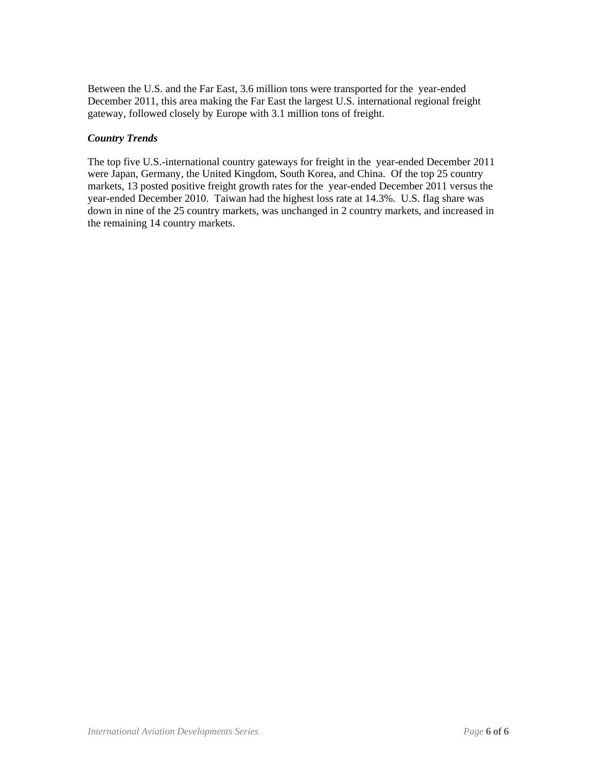Between the U.S. and the Far East, 3.6 million tons were transported for the year-ended December 2011, this area making the Far East the largest U.S. international regional freight gateway, followed closely by Europe with 3.1 million tons of freight.

### *Country Trends*

The top five U.S.-international country gateways for freight in the year-ended December 2011 were Japan, Germany, the United Kingdom, South Korea, and China. Of the top 25 country markets, 13 posted positive freight growth rates for the year-ended December 2011 versus the year-ended December 2010. Taiwan had the highest loss rate at 14.3%. U.S. flag share was down in nine of the 25 country markets, was unchanged in 2 country markets, and increased in the remaining 14 country markets.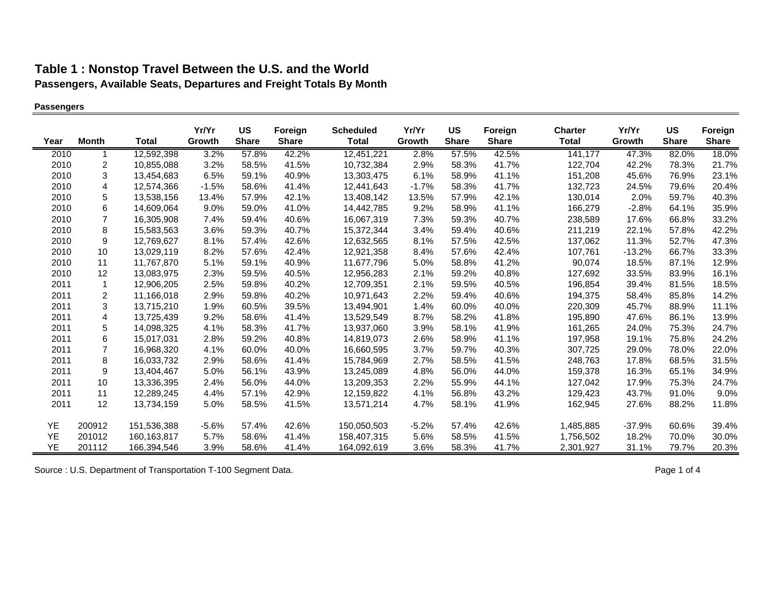### **Passengers**

|      |                |               | Yr/Yr   | US           | Foreign      | <b>Scheduled</b> | Yr/Yr   | <b>US</b>    | Foreign      | <b>Charter</b> | Yr/Yr    | <b>US</b>    | Foreign      |
|------|----------------|---------------|---------|--------------|--------------|------------------|---------|--------------|--------------|----------------|----------|--------------|--------------|
| Year | <b>Month</b>   | Total         | Growth  | <b>Share</b> | <b>Share</b> | <b>Total</b>     | Growth  | <b>Share</b> | <b>Share</b> | <b>Total</b>   | Growth   | <b>Share</b> | <b>Share</b> |
| 2010 |                | 12,592,398    | 3.2%    | 57.8%        | 42.2%        | 12,451,221       | 2.8%    | 57.5%        | 42.5%        | 141,177        | 47.3%    | 82.0%        | 18.0%        |
| 2010 | 2              | 10,855,088    | 3.2%    | 58.5%        | 41.5%        | 10,732,384       | 2.9%    | 58.3%        | 41.7%        | 122,704        | 42.2%    | 78.3%        | 21.7%        |
| 2010 | 3              | 13,454,683    | 6.5%    | 59.1%        | 40.9%        | 13,303,475       | 6.1%    | 58.9%        | 41.1%        | 151,208        | 45.6%    | 76.9%        | 23.1%        |
| 2010 | $\overline{4}$ | 12,574,366    | $-1.5%$ | 58.6%        | 41.4%        | 12,441,643       | $-1.7%$ | 58.3%        | 41.7%        | 132,723        | 24.5%    | 79.6%        | 20.4%        |
| 2010 | 5              | 13,538,156    | 13.4%   | 57.9%        | 42.1%        | 13,408,142       | 13.5%   | 57.9%        | 42.1%        | 130,014        | 2.0%     | 59.7%        | 40.3%        |
| 2010 | 6              | 14,609,064    | $9.0\%$ | 59.0%        | 41.0%        | 14,442,785       | 9.2%    | 58.9%        | 41.1%        | 166,279        | $-2.8%$  | 64.1%        | 35.9%        |
| 2010 | $\overline{7}$ | 16,305,908    | 7.4%    | 59.4%        | 40.6%        | 16,067,319       | 7.3%    | 59.3%        | 40.7%        | 238,589        | 17.6%    | 66.8%        | 33.2%        |
| 2010 | 8              | 15.583.563    | 3.6%    | 59.3%        | 40.7%        | 15,372,344       | 3.4%    | 59.4%        | 40.6%        | 211,219        | 22.1%    | 57.8%        | 42.2%        |
| 2010 | 9              | 12,769,627    | 8.1%    | 57.4%        | 42.6%        | 12,632,565       | 8.1%    | 57.5%        | 42.5%        | 137,062        | 11.3%    | 52.7%        | 47.3%        |
| 2010 | 10             | 13,029,119    | 8.2%    | 57.6%        | 42.4%        | 12,921,358       | 8.4%    | 57.6%        | 42.4%        | 107,761        | $-13.2%$ | 66.7%        | 33.3%        |
| 2010 | 11             | 11,767,870    | 5.1%    | 59.1%        | 40.9%        | 11,677,796       | 5.0%    | 58.8%        | 41.2%        | 90,074         | 18.5%    | 87.1%        | 12.9%        |
| 2010 | 12             | 13,083,975    | 2.3%    | 59.5%        | 40.5%        | 12,956,283       | 2.1%    | 59.2%        | 40.8%        | 127,692        | 33.5%    | 83.9%        | 16.1%        |
| 2011 | 1              | 12,906,205    | 2.5%    | 59.8%        | 40.2%        | 12,709,351       | 2.1%    | 59.5%        | 40.5%        | 196,854        | 39.4%    | 81.5%        | 18.5%        |
| 2011 | $\overline{2}$ | 11,166,018    | 2.9%    | 59.8%        | 40.2%        | 10,971,643       | 2.2%    | 59.4%        | 40.6%        | 194,375        | 58.4%    | 85.8%        | 14.2%        |
| 2011 | 3              | 13,715,210    | 1.9%    | 60.5%        | 39.5%        | 13,494,901       | 1.4%    | 60.0%        | 40.0%        | 220,309        | 45.7%    | 88.9%        | 11.1%        |
| 2011 | 4              | 13,725,439    | 9.2%    | 58.6%        | 41.4%        | 13,529,549       | 8.7%    | 58.2%        | 41.8%        | 195,890        | 47.6%    | 86.1%        | 13.9%        |
| 2011 | 5              | 14,098,325    | 4.1%    | 58.3%        | 41.7%        | 13,937,060       | 3.9%    | 58.1%        | 41.9%        | 161,265        | 24.0%    | 75.3%        | 24.7%        |
| 2011 | 6              | 15,017,031    | 2.8%    | 59.2%        | 40.8%        | 14,819,073       | 2.6%    | 58.9%        | 41.1%        | 197,958        | 19.1%    | 75.8%        | 24.2%        |
| 2011 | $\overline{7}$ | 16,968,320    | 4.1%    | 60.0%        | 40.0%        | 16,660,595       | 3.7%    | 59.7%        | 40.3%        | 307,725        | 29.0%    | 78.0%        | 22.0%        |
| 2011 | 8              | 16,033,732    | 2.9%    | 58.6%        | 41.4%        | 15,784,969       | 2.7%    | 58.5%        | 41.5%        | 248,763        | 17.8%    | 68.5%        | 31.5%        |
| 2011 | 9              | 13,404,467    | 5.0%    | 56.1%        | 43.9%        | 13,245,089       | 4.8%    | 56.0%        | 44.0%        | 159,378        | 16.3%    | 65.1%        | 34.9%        |
| 2011 | 10             | 13,336,395    | 2.4%    | 56.0%        | 44.0%        | 13,209,353       | 2.2%    | 55.9%        | 44.1%        | 127,042        | 17.9%    | 75.3%        | 24.7%        |
| 2011 | 11             | 12,289,245    | 4.4%    | 57.1%        | 42.9%        | 12,159,822       | 4.1%    | 56.8%        | 43.2%        | 129,423        | 43.7%    | 91.0%        | 9.0%         |
| 2011 | 12             | 13,734,159    | 5.0%    | 58.5%        | 41.5%        | 13,571,214       | 4.7%    | 58.1%        | 41.9%        | 162,945        | 27.6%    | 88.2%        | 11.8%        |
| YE   | 200912         | 151,536,388   | $-5.6%$ | 57.4%        | 42.6%        | 150,050,503      | $-5.2%$ | 57.4%        | 42.6%        | 1,485,885      | $-37.9%$ | 60.6%        | 39.4%        |
| YE   | 201012         | 160, 163, 817 | 5.7%    | 58.6%        | 41.4%        | 158,407,315      | 5.6%    | 58.5%        | 41.5%        | 1,756,502      | 18.2%    | 70.0%        | 30.0%        |
| YE   | 201112         | 166,394,546   | 3.9%    | 58.6%        | 41.4%        | 164,092,619      | 3.6%    | 58.3%        | 41.7%        | 2,301,927      | 31.1%    | 79.7%        | 20.3%        |

Source : U.S. Department of Transportation T-100 Segment Data. Page 1 of 4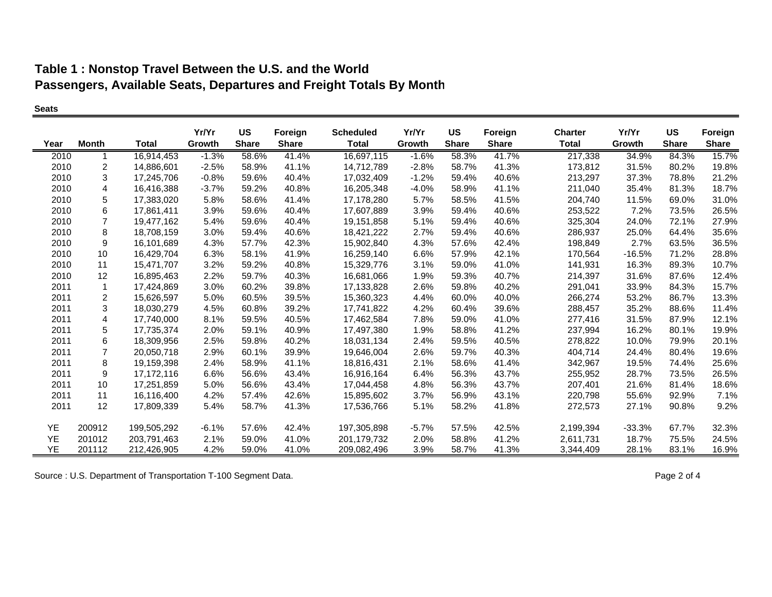#### **Seats**

|      |              |              | Yr/Yr   | <b>US</b>    | Foreign      | <b>Scheduled</b> | Yr/Yr   | <b>US</b>    | Foreign      | <b>Charter</b> | Yr/Yr    | <b>US</b>    | Foreign      |
|------|--------------|--------------|---------|--------------|--------------|------------------|---------|--------------|--------------|----------------|----------|--------------|--------------|
| Year | <b>Month</b> | <b>Total</b> | Growth  | <b>Share</b> | <b>Share</b> | <b>Total</b>     | Growth  | <b>Share</b> | <b>Share</b> | <b>Total</b>   | Growth   | <b>Share</b> | <b>Share</b> |
| 2010 |              | 16,914,453   | $-1.3%$ | 58.6%        | 41.4%        | 16,697,115       | $-1.6%$ | 58.3%        | 41.7%        | 217,338        | 34.9%    | 84.3%        | 15.7%        |
| 2010 | 2            | 14.886.601   | $-2.5%$ | 58.9%        | 41.1%        | 14,712,789       | $-2.8%$ | 58.7%        | 41.3%        | 173,812        | 31.5%    | 80.2%        | 19.8%        |
| 2010 | 3            | 17,245,706   | $-0.8%$ | 59.6%        | 40.4%        | 17,032,409       | $-1.2%$ | 59.4%        | 40.6%        | 213,297        | 37.3%    | 78.8%        | 21.2%        |
| 2010 | 4            | 16,416,388   | $-3.7%$ | 59.2%        | 40.8%        | 16,205,348       | -4.0%   | 58.9%        | 41.1%        | 211,040        | 35.4%    | 81.3%        | 18.7%        |
| 2010 | 5            | 17,383,020   | 5.8%    | 58.6%        | 41.4%        | 17,178,280       | 5.7%    | 58.5%        | 41.5%        | 204,740        | 11.5%    | 69.0%        | 31.0%        |
| 2010 | 6            | 17,861,411   | 3.9%    | 59.6%        | 40.4%        | 17,607,889       | 3.9%    | 59.4%        | 40.6%        | 253,522        | 7.2%     | 73.5%        | 26.5%        |
| 2010 | 7            | 19,477,162   | 5.4%    | 59.6%        | 40.4%        | 19,151,858       | 5.1%    | 59.4%        | 40.6%        | 325,304        | 24.0%    | 72.1%        | 27.9%        |
| 2010 | 8            | 18,708,159   | 3.0%    | 59.4%        | 40.6%        | 18,421,222       | 2.7%    | 59.4%        | 40.6%        | 286,937        | 25.0%    | 64.4%        | 35.6%        |
| 2010 | 9            | 16,101,689   | 4.3%    | 57.7%        | 42.3%        | 15,902,840       | 4.3%    | 57.6%        | 42.4%        | 198,849        | 2.7%     | 63.5%        | 36.5%        |
| 2010 | 10           | 16.429.704   | 6.3%    | 58.1%        | 41.9%        | 16,259,140       | 6.6%    | 57.9%        | 42.1%        | 170,564        | $-16.5%$ | 71.2%        | 28.8%        |
| 2010 | 11           | 15,471,707   | 3.2%    | 59.2%        | 40.8%        | 15,329,776       | 3.1%    | 59.0%        | 41.0%        | 141,931        | 16.3%    | 89.3%        | 10.7%        |
| 2010 | 12           | 16,895,463   | 2.2%    | 59.7%        | 40.3%        | 16,681,066       | 1.9%    | 59.3%        | 40.7%        | 214,397        | 31.6%    | 87.6%        | 12.4%        |
| 2011 | $\mathbf{1}$ | 17,424,869   | 3.0%    | 60.2%        | 39.8%        | 17,133,828       | 2.6%    | 59.8%        | 40.2%        | 291,041        | 33.9%    | 84.3%        | 15.7%        |
| 2011 | 2            | 15,626,597   | 5.0%    | 60.5%        | 39.5%        | 15,360,323       | 4.4%    | 60.0%        | 40.0%        | 266,274        | 53.2%    | 86.7%        | 13.3%        |
| 2011 | 3            | 18,030,279   | 4.5%    | 60.8%        | 39.2%        | 17,741,822       | 4.2%    | 60.4%        | 39.6%        | 288,457        | 35.2%    | 88.6%        | 11.4%        |
| 2011 | 4            | 17,740,000   | 8.1%    | 59.5%        | 40.5%        | 17,462,584       | 7.8%    | 59.0%        | 41.0%        | 277,416        | 31.5%    | 87.9%        | 12.1%        |
| 2011 | 5            | 17,735,374   | 2.0%    | 59.1%        | 40.9%        | 17,497,380       | 1.9%    | 58.8%        | 41.2%        | 237,994        | 16.2%    | 80.1%        | 19.9%        |
| 2011 | 6            | 18,309,956   | 2.5%    | 59.8%        | 40.2%        | 18,031,134       | 2.4%    | 59.5%        | 40.5%        | 278,822        | 10.0%    | 79.9%        | 20.1%        |
| 2011 | 7            | 20,050,718   | 2.9%    | 60.1%        | 39.9%        | 19,646,004       | 2.6%    | 59.7%        | 40.3%        | 404,714        | 24.4%    | 80.4%        | 19.6%        |
| 2011 | 8            | 19,159,398   | 2.4%    | 58.9%        | 41.1%        | 18,816,431       | 2.1%    | 58.6%        | 41.4%        | 342,967        | 19.5%    | 74.4%        | 25.6%        |
| 2011 | 9            | 17, 172, 116 | 6.6%    | 56.6%        | 43.4%        | 16,916,164       | 6.4%    | 56.3%        | 43.7%        | 255,952        | 28.7%    | 73.5%        | 26.5%        |
| 2011 | 10           | 17,251,859   | 5.0%    | 56.6%        | 43.4%        | 17,044,458       | 4.8%    | 56.3%        | 43.7%        | 207,401        | 21.6%    | 81.4%        | 18.6%        |
| 2011 | 11           | 16.116.400   | 4.2%    | 57.4%        | 42.6%        | 15.895.602       | 3.7%    | 56.9%        | 43.1%        | 220,798        | 55.6%    | 92.9%        | 7.1%         |
| 2011 | 12           | 17,809,339   | 5.4%    | 58.7%        | 41.3%        | 17,536,766       | 5.1%    | 58.2%        | 41.8%        | 272,573        | 27.1%    | 90.8%        | 9.2%         |
| YE   | 200912       | 199,505,292  | $-6.1%$ | 57.6%        | 42.4%        | 197,305,898      | $-5.7%$ | 57.5%        | 42.5%        | 2,199,394      | $-33.3%$ | 67.7%        | 32.3%        |
| YE   | 201012       | 203.791.463  | 2.1%    | 59.0%        | 41.0%        | 201.179.732      | 2.0%    | 58.8%        | 41.2%        | 2.611.731      | 18.7%    | 75.5%        | 24.5%        |
| YE   | 201112       | 212,426,905  | 4.2%    | 59.0%        | 41.0%        | 209,082,496      | 3.9%    | 58.7%        | 41.3%        | 3,344,409      | 28.1%    | 83.1%        | 16.9%        |

Source : U.S. Department of Transportation T-100 Segment Data. **Page 2 of 4** and 2 of 4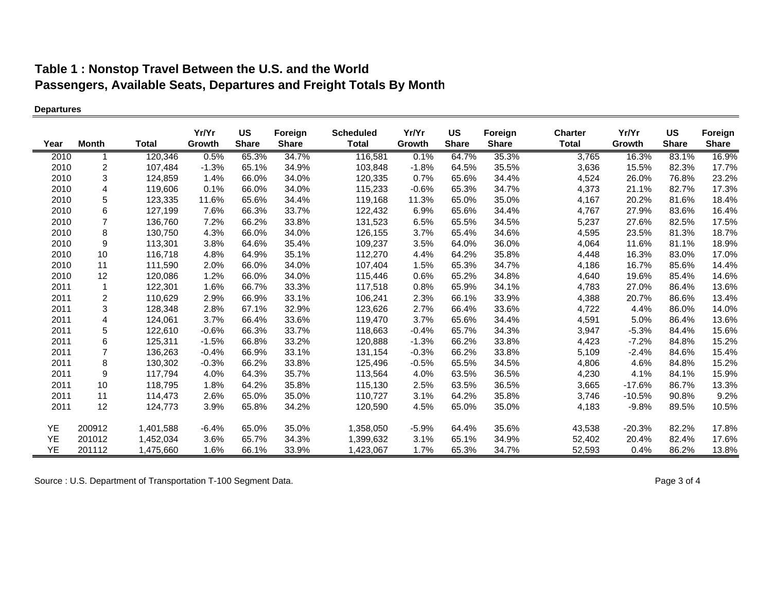### **Departures**

| Year | <b>Month</b>   | <b>Total</b> | Yr/Yr<br>Growth | <b>US</b><br><b>Share</b> | Foreign<br><b>Share</b> | <b>Scheduled</b><br><b>Total</b> | Yr/Yr<br>Growth | US<br><b>Share</b> | Foreign<br><b>Share</b> | <b>Charter</b><br><b>Total</b> | Yr/Yr<br>Growth | <b>US</b><br><b>Share</b> | Foreign<br><b>Share</b> |
|------|----------------|--------------|-----------------|---------------------------|-------------------------|----------------------------------|-----------------|--------------------|-------------------------|--------------------------------|-----------------|---------------------------|-------------------------|
|      |                |              |                 |                           |                         |                                  |                 |                    |                         |                                |                 |                           |                         |
| 2010 |                | 120,346      | 0.5%            | 65.3%                     | 34.7%                   | 116,581                          | 0.1%            | 64.7%              | 35.3%                   | 3,765                          | 16.3%           | 83.1%                     | 16.9%                   |
| 2010 | 2              | 107,484      | $-1.3%$         | 65.1%                     | 34.9%                   | 103,848                          | $-1.8%$         | 64.5%              | 35.5%                   | 3,636                          | 15.5%           | 82.3%                     | 17.7%                   |
| 2010 | 3              | 124,859      | 1.4%            | 66.0%                     | 34.0%                   | 120,335                          | 0.7%            | 65.6%              | 34.4%                   | 4,524                          | 26.0%           | 76.8%                     | 23.2%                   |
| 2010 | 4              | 119,606      | 0.1%            | 66.0%                     | 34.0%                   | 115,233                          | $-0.6%$         | 65.3%              | 34.7%                   | 4,373                          | 21.1%           | 82.7%                     | 17.3%                   |
| 2010 | 5              | 123,335      | 11.6%           | 65.6%                     | 34.4%                   | 119,168                          | 11.3%           | 65.0%              | 35.0%                   | 4,167                          | 20.2%           | 81.6%                     | 18.4%                   |
| 2010 | 6              | 127,199      | 7.6%            | 66.3%                     | 33.7%                   | 122,432                          | 6.9%            | 65.6%              | 34.4%                   | 4,767                          | 27.9%           | 83.6%                     | 16.4%                   |
| 2010 | $\overline{7}$ | 136,760      | 7.2%            | 66.2%                     | 33.8%                   | 131,523                          | 6.5%            | 65.5%              | 34.5%                   | 5,237                          | 27.6%           | 82.5%                     | 17.5%                   |
| 2010 | 8              | 130,750      | 4.3%            | 66.0%                     | 34.0%                   | 126,155                          | 3.7%            | 65.4%              | 34.6%                   | 4,595                          | 23.5%           | 81.3%                     | 18.7%                   |
| 2010 | 9              | 113,301      | 3.8%            | 64.6%                     | 35.4%                   | 109,237                          | 3.5%            | 64.0%              | 36.0%                   | 4,064                          | 11.6%           | 81.1%                     | 18.9%                   |
| 2010 | 10             | 116,718      | 4.8%            | 64.9%                     | 35.1%                   | 112,270                          | 4.4%            | 64.2%              | 35.8%                   | 4,448                          | 16.3%           | 83.0%                     | 17.0%                   |
| 2010 | 11             | 111,590      | 2.0%            | 66.0%                     | 34.0%                   | 107,404                          | 1.5%            | 65.3%              | 34.7%                   | 4,186                          | 16.7%           | 85.6%                     | 14.4%                   |
| 2010 | 12             | 120,086      | 1.2%            | 66.0%                     | 34.0%                   | 115,446                          | 0.6%            | 65.2%              | 34.8%                   | 4,640                          | 19.6%           | 85.4%                     | 14.6%                   |
| 2011 | $\mathbf{1}$   | 122,301      | 1.6%            | 66.7%                     | 33.3%                   | 117,518                          | 0.8%            | 65.9%              | 34.1%                   | 4,783                          | 27.0%           | 86.4%                     | 13.6%                   |
| 2011 | 2              | 110,629      | 2.9%            | 66.9%                     | 33.1%                   | 106,241                          | 2.3%            | 66.1%              | 33.9%                   | 4,388                          | 20.7%           | 86.6%                     | 13.4%                   |
| 2011 | 3              | 128,348      | 2.8%            | 67.1%                     | 32.9%                   | 123,626                          | 2.7%            | 66.4%              | 33.6%                   | 4,722                          | 4.4%            | 86.0%                     | 14.0%                   |
| 2011 | $\overline{4}$ | 124,061      | 3.7%            | 66.4%                     | 33.6%                   | 119,470                          | 3.7%            | 65.6%              | 34.4%                   | 4,591                          | 5.0%            | 86.4%                     | 13.6%                   |
| 2011 | 5              | 122,610      | $-0.6%$         | 66.3%                     | 33.7%                   | 118,663                          | $-0.4%$         | 65.7%              | 34.3%                   | 3,947                          | $-5.3%$         | 84.4%                     | 15.6%                   |
| 2011 | 6              | 125,311      | $-1.5%$         | 66.8%                     | 33.2%                   | 120,888                          | $-1.3%$         | 66.2%              | 33.8%                   | 4,423                          | $-7.2%$         | 84.8%                     | 15.2%                   |
| 2011 | $\overline{7}$ | 136,263      | $-0.4%$         | 66.9%                     | 33.1%                   | 131,154                          | $-0.3%$         | 66.2%              | 33.8%                   | 5,109                          | $-2.4%$         | 84.6%                     | 15.4%                   |
| 2011 | 8              | 130,302      | $-0.3%$         | 66.2%                     | 33.8%                   | 125,496                          | $-0.5%$         | 65.5%              | 34.5%                   | 4,806                          | 4.6%            | 84.8%                     | 15.2%                   |
| 2011 | 9              | 117,794      | 4.0%            | 64.3%                     | 35.7%                   | 113,564                          | 4.0%            | 63.5%              | 36.5%                   | 4,230                          | 4.1%            | 84.1%                     | 15.9%                   |
| 2011 | 10             | 118,795      | 1.8%            | 64.2%                     | 35.8%                   | 115,130                          | 2.5%            | 63.5%              | 36.5%                   | 3,665                          | $-17.6%$        | 86.7%                     | 13.3%                   |
| 2011 | 11             | 114,473      | 2.6%            | 65.0%                     | 35.0%                   | 110,727                          | 3.1%            | 64.2%              | 35.8%                   | 3,746                          | $-10.5%$        | 90.8%                     | 9.2%                    |
| 2011 | 12             | 124,773      | 3.9%            | 65.8%                     | 34.2%                   | 120,590                          | 4.5%            | 65.0%              | 35.0%                   | 4,183                          | $-9.8%$         | 89.5%                     | 10.5%                   |
| YE   | 200912         | 1,401,588    | $-6.4\%$        | 65.0%                     | 35.0%                   | 1,358,050                        | $-5.9%$         | 64.4%              | 35.6%                   | 43,538                         | $-20.3%$        | 82.2%                     | 17.8%                   |
| YE   | 201012         | 1,452,034    | 3.6%            | 65.7%                     | 34.3%                   | 1,399,632                        | 3.1%            | 65.1%              | 34.9%                   | 52,402                         | 20.4%           | 82.4%                     | 17.6%                   |
| YE   | 201112         | 1,475,660    | 1.6%            | 66.1%                     | 33.9%                   | 1,423,067                        | 1.7%            | 65.3%              | 34.7%                   | 52,593                         | 0.4%            | 86.2%                     | 13.8%                   |

Source : U.S. Department of Transportation T-100 Segment Data. **Page 3 of 4** Page 3 of 4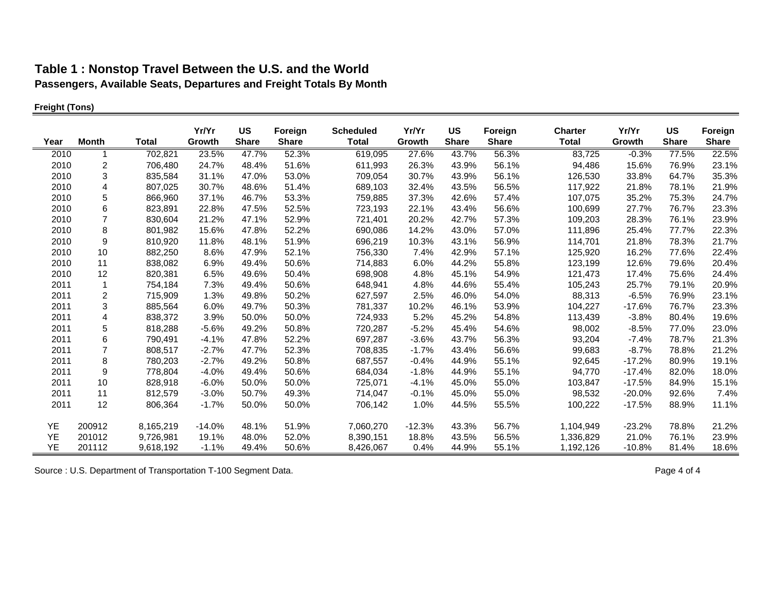## **Freight (Tons)**

|      |                  |              | Yr/Yr    | <b>US</b>    | Foreign      | <b>Scheduled</b> | Yr/Yr    | US           | Foreign      | <b>Charter</b> | Yr/Yr    | <b>US</b>    | Foreign      |
|------|------------------|--------------|----------|--------------|--------------|------------------|----------|--------------|--------------|----------------|----------|--------------|--------------|
| Year | <b>Month</b>     | <b>Total</b> | Growth   | <b>Share</b> | <b>Share</b> | <b>Total</b>     | Growth   | <b>Share</b> | <b>Share</b> | <b>Total</b>   | Growth   | <b>Share</b> | <b>Share</b> |
| 2010 |                  | 702,821      | 23.5%    | 47.7%        | 52.3%        | 619,095          | 27.6%    | 43.7%        | 56.3%        | 83,725         | $-0.3%$  | 77.5%        | 22.5%        |
| 2010 | 2                | 706,480      | 24.7%    | 48.4%        | 51.6%        | 611,993          | 26.3%    | 43.9%        | 56.1%        | 94,486         | 15.6%    | 76.9%        | 23.1%        |
| 2010 | 3                | 835,584      | 31.1%    | 47.0%        | 53.0%        | 709,054          | 30.7%    | 43.9%        | 56.1%        | 126,530        | 33.8%    | 64.7%        | 35.3%        |
| 2010 | 4                | 807,025      | 30.7%    | 48.6%        | 51.4%        | 689,103          | 32.4%    | 43.5%        | 56.5%        | 117,922        | 21.8%    | 78.1%        | 21.9%        |
| 2010 | 5                | 866,960      | 37.1%    | 46.7%        | 53.3%        | 759,885          | 37.3%    | 42.6%        | 57.4%        | 107,075        | 35.2%    | 75.3%        | 24.7%        |
| 2010 | $\,6$            | 823,891      | 22.8%    | 47.5%        | 52.5%        | 723,193          | 22.1%    | 43.4%        | 56.6%        | 100,699        | 27.7%    | 76.7%        | 23.3%        |
| 2010 | $\overline{7}$   | 830,604      | 21.2%    | 47.1%        | 52.9%        | 721,401          | 20.2%    | 42.7%        | 57.3%        | 109,203        | 28.3%    | 76.1%        | 23.9%        |
| 2010 | 8                | 801,982      | 15.6%    | 47.8%        | 52.2%        | 690,086          | 14.2%    | 43.0%        | 57.0%        | 111,896        | 25.4%    | 77.7%        | 22.3%        |
| 2010 | 9                | 810,920      | 11.8%    | 48.1%        | 51.9%        | 696,219          | 10.3%    | 43.1%        | 56.9%        | 114,701        | 21.8%    | 78.3%        | 21.7%        |
| 2010 | 10               | 882,250      | 8.6%     | 47.9%        | 52.1%        | 756,330          | 7.4%     | 42.9%        | 57.1%        | 125,920        | 16.2%    | 77.6%        | 22.4%        |
| 2010 | 11               | 838,082      | 6.9%     | 49.4%        | 50.6%        | 714,883          | 6.0%     | 44.2%        | 55.8%        | 123,199        | 12.6%    | 79.6%        | 20.4%        |
| 2010 | 12               | 820,381      | 6.5%     | 49.6%        | 50.4%        | 698,908          | 4.8%     | 45.1%        | 54.9%        | 121,473        | 17.4%    | 75.6%        | 24.4%        |
| 2011 | $\mathbf{1}$     | 754,184      | 7.3%     | 49.4%        | 50.6%        | 648,941          | 4.8%     | 44.6%        | 55.4%        | 105,243        | 25.7%    | 79.1%        | 20.9%        |
| 2011 | 2                | 715,909      | 1.3%     | 49.8%        | 50.2%        | 627,597          | 2.5%     | 46.0%        | 54.0%        | 88,313         | $-6.5%$  | 76.9%        | 23.1%        |
| 2011 | 3                | 885,564      | 6.0%     | 49.7%        | 50.3%        | 781,337          | 10.2%    | 46.1%        | 53.9%        | 104,227        | $-17.6%$ | 76.7%        | 23.3%        |
| 2011 | 4                | 838,372      | 3.9%     | 50.0%        | 50.0%        | 724,933          | 5.2%     | 45.2%        | 54.8%        | 113,439        | $-3.8%$  | 80.4%        | 19.6%        |
| 2011 | 5                | 818,288      | $-5.6%$  | 49.2%        | 50.8%        | 720,287          | $-5.2%$  | 45.4%        | 54.6%        | 98,002         | $-8.5%$  | 77.0%        | 23.0%        |
| 2011 | 6                | 790,491      | $-4.1%$  | 47.8%        | 52.2%        | 697,287          | $-3.6%$  | 43.7%        | 56.3%        | 93,204         | $-7.4%$  | 78.7%        | 21.3%        |
| 2011 | $\overline{7}$   | 808,517      | $-2.7%$  | 47.7%        | 52.3%        | 708,835          | $-1.7%$  | 43.4%        | 56.6%        | 99,683         | $-8.7%$  | 78.8%        | 21.2%        |
| 2011 | 8                | 780,203      | $-2.7%$  | 49.2%        | 50.8%        | 687,557          | $-0.4%$  | 44.9%        | 55.1%        | 92,645         | $-17.2%$ | 80.9%        | 19.1%        |
| 2011 | $\boldsymbol{9}$ | 778,804      | $-4.0\%$ | 49.4%        | 50.6%        | 684,034          | $-1.8%$  | 44.9%        | 55.1%        | 94,770         | $-17.4%$ | 82.0%        | 18.0%        |
| 2011 | 10               | 828,918      | $-6.0%$  | 50.0%        | 50.0%        | 725,071          | $-4.1%$  | 45.0%        | 55.0%        | 103,847        | $-17.5%$ | 84.9%        | 15.1%        |
| 2011 | 11               | 812,579      | $-3.0%$  | 50.7%        | 49.3%        | 714,047          | $-0.1%$  | 45.0%        | 55.0%        | 98,532         | $-20.0%$ | 92.6%        | 7.4%         |
| 2011 | 12               | 806,364      | $-1.7%$  | 50.0%        | 50.0%        | 706,142          | 1.0%     | 44.5%        | 55.5%        | 100,222        | $-17.5%$ | 88.9%        | 11.1%        |
| YE   | 200912           | 8,165,219    | $-14.0%$ | 48.1%        | 51.9%        | 7,060,270        | $-12.3%$ | 43.3%        | 56.7%        | 1,104,949      | $-23.2%$ | 78.8%        | 21.2%        |
| YE   | 201012           | 9,726,981    | 19.1%    | 48.0%        | 52.0%        | 8,390,151        | 18.8%    | 43.5%        | 56.5%        | 1,336,829      | 21.0%    | 76.1%        | 23.9%        |
| YE   | 201112           | 9,618,192    | $-1.1%$  | 49.4%        | 50.6%        | 8,426,067        | 0.4%     | 44.9%        | 55.1%        | 1,192,126      | $-10.8%$ | 81.4%        | 18.6%        |

Source : U.S. Department of Transportation T-100 Segment Data. Page 4 of 4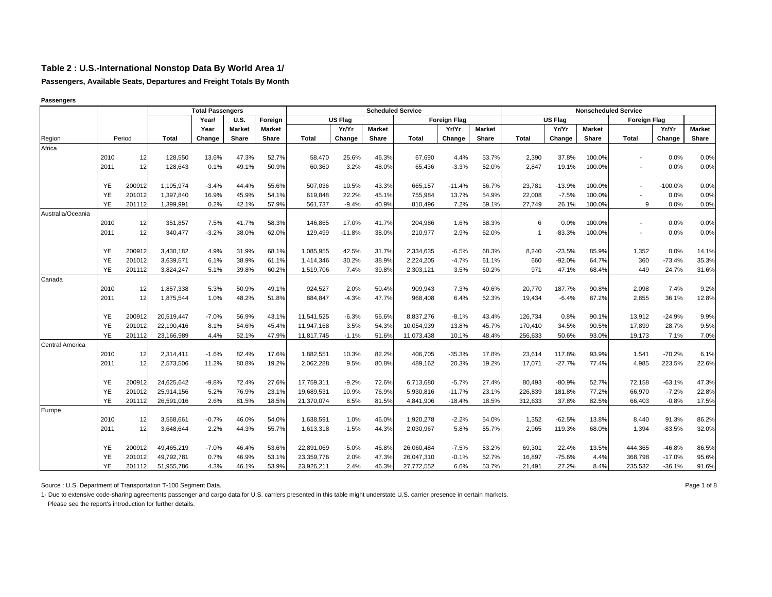**Passengers, Available Seats, Departures and Freight Totals By Month**

|                   |           |        |              | <b>Total Passengers</b> |               |               |              |          | <b>Scheduled Service</b> |              |                     |               |                |          |               | <b>Nonscheduled Service</b> |           |               |
|-------------------|-----------|--------|--------------|-------------------------|---------------|---------------|--------------|----------|--------------------------|--------------|---------------------|---------------|----------------|----------|---------------|-----------------------------|-----------|---------------|
|                   |           |        |              | Year/                   | <b>U.S.</b>   | Foreign       |              | US Flag  |                          |              | <b>Foreign Flag</b> |               |                | US Flag  |               | <b>Foreign Flag</b>         |           |               |
|                   |           |        |              | Year                    | <b>Market</b> | <b>Market</b> |              | Yr/Yr    | <b>Market</b>            |              | Yr/Yr               | <b>Market</b> |                | Yr/Yr    | <b>Market</b> |                             | Yr/Yr     | <b>Market</b> |
| Region            |           | Period | <b>Total</b> | Change                  | Share         | Share         | <b>Total</b> | Change   | Share                    | <b>Total</b> | Change              | Share         | <b>Total</b>   | Change   | Share         | <b>Total</b>                | Change    | Share         |
| Africa            |           |        |              |                         |               |               |              |          |                          |              |                     |               |                |          |               |                             |           |               |
|                   | 2010      | 12     | 128,550      | 13.6%                   | 47.3%         | 52.7%         | 58,470       | 25.6%    | 46.3%                    | 67,690       | 4.4%                | 53.7%         | 2,390          | 37.8%    | 100.0%        | $\blacksquare$              | 0.0%      | 0.0%          |
|                   | 2011      | 12     | 128,643      | 0.1%                    | 49.1%         | 50.9%         | 60,360       | 3.2%     | 48.0%                    | 65,436       | $-3.3%$             | 52.0%         | 2,847          | 19.1%    | 100.0%        | $\blacksquare$              | 0.0%      | 0.0%          |
|                   | YE        | 200912 | 1,195,974    | $-3.4%$                 | 44.4%         | 55.6%         | 507,036      | 10.5%    | 43.3%                    | 665,157      | $-11.4%$            | 56.7%         | 23,781         | $-13.9%$ | 100.0%        | $\blacksquare$              | $-100.0%$ | 0.0%          |
|                   | YE        | 201012 | 1,397,840    | 16.9%                   | 45.9%         | 54.1%         | 619,848      | 22.2%    | 45.1%                    | 755,984      | 13.7%               | 54.9%         | 22,008         | $-7.5%$  | 100.0%        |                             | 0.0%      | 0.0%          |
|                   | <b>YE</b> | 201112 | 1,399,991    | 0.2%                    | 42.1%         | 57.9%         | 561,737      | $-9.4%$  | 40.9%                    | 810,496      | 7.2%                | 59.1%         | 27,749         | 26.1%    | 100.0%        | 9                           | 0.0%      | 0.0%          |
| Australia/Oceania |           |        |              |                         |               |               |              |          |                          |              |                     |               |                |          |               |                             |           |               |
|                   | 2010      | 12     | 351,857      | 7.5%                    | 41.7%         | 58.3%         | 146,865      | 17.0%    | 41.7%                    | 204,986      | 1.6%                | 58.3%         | 6              | 0.0%     | 100.0%        | $\overline{a}$              | 0.0%      | 0.0%          |
|                   | 2011      | 12     | 340,477      | $-3.2%$                 | 38.0%         | 62.0%         | 129,499      | $-11.8%$ | 38.0%                    | 210,977      | 2.9%                | 62.0%         | $\overline{1}$ | $-83.3%$ | 100.0%        | $\blacksquare$              | 0.0%      | 0.0%          |
|                   | YE        | 200912 | 3,430,182    | 4.9%                    | 31.9%         | 68.1%         | 1,085,955    | 42.5%    | 31.7%                    | 2,334,635    | $-6.5%$             | 68.3%         | 8,240          | $-23.5%$ | 85.9%         | 1,352                       | 0.0%      | 14.1%         |
|                   | YE        | 201012 | 3,639,571    | 6.1%                    | 38.9%         | 61.1%         | 1,414,346    | 30.2%    | 38.9%                    | 2,224,205    | $-4.7%$             | 61.1%         | 660            | $-92.0%$ | 64.7%         | 360                         | $-73.4%$  | 35.3%         |
|                   | YE        | 201112 | 3,824,247    | 5.1%                    | 39.8%         | 60.2%         | 1,519,706    | 7.4%     | 39.8%                    | 2,303,121    | 3.5%                | 60.2%         | 971            | 47.1%    | 68.4%         | 449                         | 24.7%     | 31.6%         |
| Canada            |           |        |              |                         |               |               |              |          |                          |              |                     |               |                |          |               |                             |           |               |
|                   | 2010      | 12     | 1,857,338    | 5.3%                    | 50.9%         | 49.1%         | 924,527      | 2.0%     | 50.4%                    | 909,943      | 7.3%                | 49.6%         | 20,770         | 187.7%   | 90.8%         | 2,098                       | 7.4%      | 9.2%          |
|                   | 2011      | 12     | 1,875,544    | 1.0%                    | 48.2%         | 51.8%         | 884,847      | $-4.3%$  | 47.7%                    | 968,408      | 6.4%                | 52.3%         | 19,434         | $-6.4%$  | 87.2%         | 2,855                       | 36.1%     | 12.8%         |
|                   | YE        | 200912 | 20,519,447   | $-7.0%$                 | 56.9%         | 43.1%         | 11,541,525   | $-6.3%$  | 56.6%                    | 8,837,276    | $-8.1%$             | 43.4%         | 126,734        | 0.8%     | 90.1%         | 13,912                      | $-24.9%$  | 9.9%          |
|                   | <b>YE</b> | 201012 | 22,190,416   | 8.1%                    | 54.6%         | 45.4%         | 11,947,168   | 3.5%     | 54.3%                    | 10,054,939   | 13.8%               | 45.7%         | 170,410        | 34.5%    | 90.5%         | 17,899                      | 28.7%     | 9.5%          |
|                   | YE        | 201112 | 23,166,989   | 4.4%                    | 52.1%         | 47.9%         | 11,817,745   | $-1.1%$  | 51.6%                    | 11,073,438   | 10.1%               | 48.4%         | 256,633        | 50.6%    | 93.0%         | 19,173                      | 7.1%      | 7.0%          |
| Central America   |           |        |              |                         |               |               |              |          |                          |              |                     |               |                |          |               |                             |           |               |
|                   | 2010      | 12     | 2,314,411    | $-1.6%$                 | 82.4%         | 17.6%         | 1,882,551    | 10.3%    | 82.2%                    | 406,705      | $-35.3%$            | 17.8%         | 23,614         | 117.8%   | 93.9%         | 1,541                       | $-70.2%$  | 6.1%          |
|                   | 2011      | 12     | 2,573,506    | 11.2%                   | 80.8%         | 19.2%         | 2,062,288    | 9.5%     | 80.8%                    | 489,162      | 20.3%               | 19.2%         | 17,071         | $-27.7%$ | 77.4%         | 4,985                       | 223.5%    | 22.6%         |
|                   | YE        | 200912 | 24,625,642   | $-9.8%$                 | 72.4%         | 27.6%         | 17,759,311   | $-9.2%$  | 72.6%                    | 6,713,680    | $-5.7%$             | 27.4%         | 80,493         | $-80.9%$ | 52.7%         | 72,158                      | $-63.1%$  | 47.3%         |
|                   | <b>YE</b> | 201012 | 25,914,156   | 5.2%                    | 76.9%         | 23.1%         | 19,689,531   | 10.9%    | 76.9%                    | 5,930,816    | $-11.7%$            | 23.1%         | 226,839        | 181.8%   | 77.2%         | 66,970                      | $-7.2%$   | 22.8%         |
|                   | <b>YE</b> | 201112 | 26,591,016   | 2.6%                    | 81.5%         | 18.5%         | 21,370,074   | 8.5%     | 81.5%                    | 4,841,906    | $-18.4%$            | 18.5%         | 312,633        | 37.8%    | 82.5%         | 66,403                      | $-0.8%$   | 17.5%         |
| Europe            |           |        |              |                         |               |               |              |          |                          |              |                     |               |                |          |               |                             |           |               |
|                   | 2010      | 12     | 3,568,661    | $-0.7%$                 | 46.0%         | 54.0%         | 1,638,591    | 1.0%     | 46.0%                    | 1,920,278    | $-2.2%$             | 54.0%         | 1,352          | $-62.5%$ | 13.8%         | 8,440                       | 91.3%     | 86.2%         |
|                   | 2011      | 12     | 3,648,644    | 2.2%                    | 44.3%         | 55.7%         | 1,613,318    | $-1.5%$  | 44.3%                    | 2,030,967    | 5.8%                | 55.7%         | 2,965          | 119.3%   | 68.0%         | 1,394                       | $-83.5%$  | 32.0%         |
|                   | YE        | 200912 | 49,465,219   | $-7.0%$                 | 46.4%         | 53.6%         | 22,891,069   | $-5.0%$  | 46.8%                    | 26,060,484   | $-7.5%$             | 53.2%         | 69,301         | 22.4%    | 13.5%         | 444,365                     | $-46.8%$  | 86.5%         |
|                   | <b>YE</b> | 201012 | 49,792,781   | 0.7%                    | 46.9%         | 53.1%         | 23,359,776   | 2.0%     | 47.3%                    | 26,047,310   | $-0.1%$             | 52.7%         | 16,897         | $-75.6%$ | 4.4%          | 368,798                     | $-17.0%$  | 95.6%         |
|                   | YE        | 201112 | 51,955,786   | 4.3%                    | 46.1%         | 53.9%         | 23,926,211   | 2.4%     | 46.3%                    | 27,772,552   | 6.6%                | 53.7%         | 21,491         | 27.2%    | 8.4%          | 235,532                     | $-36.1%$  | 91.6%         |

#### **Passengers**

Source : U.S. Department of Transportation T-100 Segment Data. 
<br>
Page 1 of 8

1- Due to extensive code-sharing agreements passenger and cargo data for U.S. carriers presented in this table might understate U.S. carrier presence in certain markets.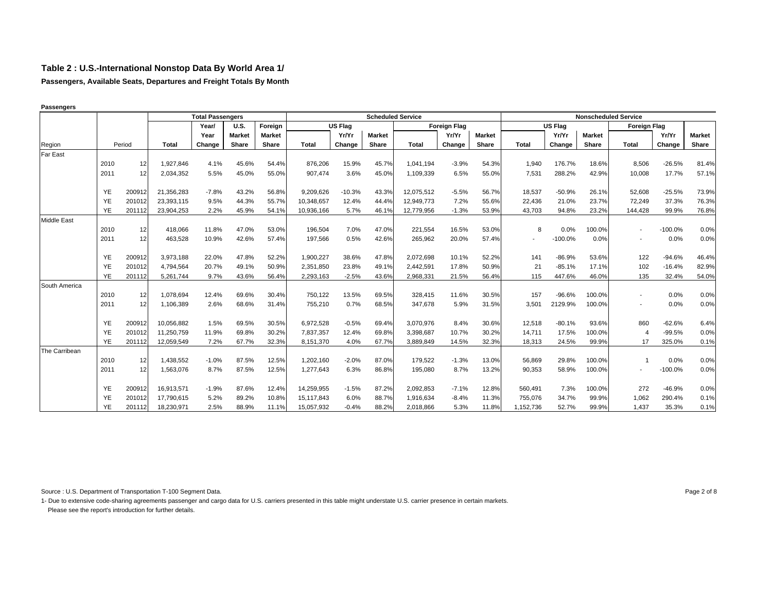**Passengers, Available Seats, Departures and Freight Totals By Month**

**Passengers**

|                    |           |        |              | <b>Total Passengers</b> |               |               |              |          | <b>Scheduled Service</b> |              |                     |               |              |                |               | <b>Nonscheduled Service</b> |           |               |
|--------------------|-----------|--------|--------------|-------------------------|---------------|---------------|--------------|----------|--------------------------|--------------|---------------------|---------------|--------------|----------------|---------------|-----------------------------|-----------|---------------|
|                    |           |        |              | Year/                   | <b>U.S.</b>   | Foreign       |              | US Flag  |                          |              | <b>Foreign Flag</b> |               |              | <b>US Flag</b> |               | <b>Foreign Flag</b>         |           |               |
|                    |           |        |              | Year                    | <b>Market</b> | <b>Market</b> |              | Yr/Yr    | <b>Market</b>            |              | Yr/Yr               | <b>Market</b> |              | Yr/Yr          | <b>Market</b> |                             | Yr/Yr     | <b>Market</b> |
| Region             |           | Period | <b>Total</b> | Change                  | Share         | Share         | <b>Total</b> | Change   | Share                    | <b>Total</b> | Change              | Share         | <b>Total</b> | Change         | Share         | Total                       | Change    | Share         |
| Far East           |           |        |              |                         |               |               |              |          |                          |              |                     |               |              |                |               |                             |           |               |
|                    | 2010      | 12     | 1.927.846    | 4.1%                    | 45.6%         | 54.4%         | 876.206      | 15.9%    | 45.7%                    | 1.041.194    | $-3.9%$             | 54.3%         | 1.940        | 176.7%         | 18.6%         | 8,506                       | $-26.5%$  | 81.4%         |
|                    | 2011      | 12     | 2,034,352    | 5.5%                    | 45.0%         | 55.0%         | 907,474      | 3.6%     | 45.0%                    | 1,109,339    | 6.5%                | 55.0%         | 7,531        | 288.2%         | 42.9%         | 10,008                      | 17.7%     | 57.1%         |
|                    |           |        |              |                         |               |               |              |          |                          |              |                     |               |              |                |               |                             |           |               |
|                    | YE        | 200912 | 21,356,283   | $-7.8%$                 | 43.2%         | 56.8%         | 9,209,626    | $-10.3%$ | 43.3%                    | 12,075,512   | $-5.5%$             | 56.7%         | 18,537       | $-50.9%$       | 26.1%         | 52,608                      | $-25.5%$  | 73.9%         |
|                    | YE        | 201012 | 23.393.115   | 9.5%                    | 44.3%         | 55.7%         | 10.348.657   | 12.4%    | 44.4%                    | 12.949.773   | 7.2%                | 55.6%         | 22,436       | 21.0%          | 23.7%         | 72.249                      | 37.3%     | 76.3%         |
|                    | YE        | 201112 | 23,904,253   | 2.2%                    | 45.9%         | 54.1%         | 10,936,166   | 5.7%     | 46.1%                    | 12,779,956   | $-1.3%$             | 53.9%         | 43,703       | 94.8%          | 23.2%         | 144,428                     | 99.9%     | 76.8%         |
| <b>Middle East</b> |           |        |              |                         |               |               |              |          |                          |              |                     |               |              |                |               |                             |           |               |
|                    | 2010      | 12     | 418,066      | 11.8%                   | 47.0%         | 53.0%         | 196,504      | 7.0%     | 47.0%                    | 221,554      | 16.5%               | 53.0%         | 8            | 0.0%           | 100.0%        | $\overline{\phantom{a}}$    | $-100.0%$ | 0.0%          |
|                    | 2011      | 12     | 463,528      | 10.9%                   | 42.6%         | 57.4%         | 197,566      | 0.5%     | 42.6%                    | 265,962      | 20.0%               | 57.4%         | $\sim$       | $-100.0%$      | 0.0%          |                             | 0.0%      | 0.0%          |
|                    |           |        |              |                         |               |               |              |          |                          |              |                     |               |              |                |               |                             |           |               |
|                    | <b>YE</b> | 200912 | 3,973,188    | 22.0%                   | 47.8%         | 52.2%         | 1,900,227    | 38.6%    | 47.8%                    | 2,072,698    | 10.1%               | 52.2%         | 141          | $-86.9%$       | 53.6%         | 122                         | $-94.6%$  | 46.4%         |
|                    | YE        | 201012 | 4,794,564    | 20.7%                   | 49.1%         | 50.9%         | 2,351,850    | 23.8%    | 49.1%                    | 2,442,591    | 17.8%               | 50.9%         | 21           | $-85.1%$       | 17.1%         | 102                         | $-16.4%$  | 82.9%         |
|                    | <b>YE</b> | 201112 | 5,261,744    | 9.7%                    | 43.6%         | 56.4%         | 2,293,163    | $-2.5%$  | 43.6%                    | 2,968,331    | 21.5%               | 56.4%         | 115          | 447.6%         | 46.0%         | 135                         | 32.4%     | 54.0%         |
| South America      |           |        |              |                         |               |               |              |          |                          |              |                     |               |              |                |               |                             |           |               |
|                    | 2010      | 12     | 1,078,694    | 12.4%                   | 69.6%         | 30.4%         | 750,122      | 13.5%    | 69.5%                    | 328,415      | 11.6%               | 30.5%         | 157          | $-96.6%$       | 100.0%        |                             | 0.0%      | 0.0%          |
|                    | 2011      | 12     | 1,106,389    | 2.6%                    | 68.6%         | 31.4%         | 755,210      | 0.7%     | 68.5%                    | 347,678      | 5.9%                | 31.5%         | 3,501        | 2129.9%        | 100.0%        | $\sim$                      | 0.0%      | 0.0%          |
|                    |           |        |              |                         |               |               |              |          |                          |              |                     |               |              |                |               |                             |           |               |
|                    | YE        | 200912 | 10,056,882   | 1.5%                    | 69.5%         | 30.5%         | 6,972,528    | $-0.5%$  | 69.4%                    | 3,070,976    | 8.4%                | 30.6%         | 12,518       | $-80.1%$       | 93.6%         | 860                         | $-62.6%$  | 6.4%          |
|                    | YE        | 201012 | 11.250.759   | 11.9%                   | 69.8%         | 30.2%         | 7.837.357    | 12.4%    | 69.8%                    | 3.398.687    | 10.7%               | 30.2%         | 14.711       | 17.5%          | 100.0%        | 4                           | $-99.5%$  | 0.0%          |
|                    | <b>YE</b> | 201112 | 12,059,549   | 7.2%                    | 67.7%         | 32.3%         | 8,151,370    | 4.0%     | 67.7%                    | 3,889,849    | 14.5%               | 32.3%         | 18,313       | 24.5%          | 99.9%         | 17                          | 325.0%    | 0.1%          |
| The Carribean      |           |        |              |                         |               |               |              |          |                          |              |                     |               |              |                |               |                             |           |               |
|                    | 2010      | 12     | 1,438,552    | $-1.0%$                 | 87.5%         | 12.5%         | 1,202,160    | $-2.0%$  | 87.0%                    | 179,522      | $-1.3%$             | 13.0%         | 56,869       | 29.8%          | 100.0%        | 1                           | 0.0%      | 0.0%          |
|                    | 2011      | 12     | 1,563,076    | 8.7%                    | 87.5%         | 12.5%         | 1,277,643    | 6.3%     | 86.8%                    | 195,080      | 8.7%                | 13.2%         | 90,353       | 58.9%          | 100.0%        |                             | $-100.0%$ | 0.0%          |
|                    |           |        |              |                         |               |               |              |          |                          |              |                     |               |              |                |               |                             |           |               |
|                    | YE        | 200912 | 16,913,571   | $-1.9%$                 | 87.6%         | 12.4%         | 14,259,955   | $-1.5%$  | 87.2%                    | 2,092,853    | $-7.1%$             | 12.8%         | 560,491      | 7.3%           | 100.0%        | 272                         | $-46.9%$  | 0.0%          |
|                    | YE        | 201012 | 17,790,615   | 5.2%                    | 89.2%         | 10.8%         | 15,117,843   | 6.0%     | 88.7%                    | 1.916.634    | $-8.4%$             | 11.3%         | 755,076      | 34.7%          | 99.9%         | 1.062                       | 290.4%    | 0.1%          |
|                    | YE        | 201112 | 18,230,971   | 2.5%                    | 88.9%         | 11.1%         | 15,057,932   | $-0.4%$  | 88.2%                    | 2.018.866    | 5.3%                | 11.8%         | 1,152,736    | 52.7%          | 99.9%         | 1.437                       | 35.3%     | 0.1%          |

Source : U.S. Department of Transportation T-100 Segment Data. 
<br>
Page 2 of 8

1- Due to extensive code-sharing agreements passenger and cargo data for U.S. carriers presented in this table might understate U.S. carrier presence in certain markets. Please see the report's introduction for further details.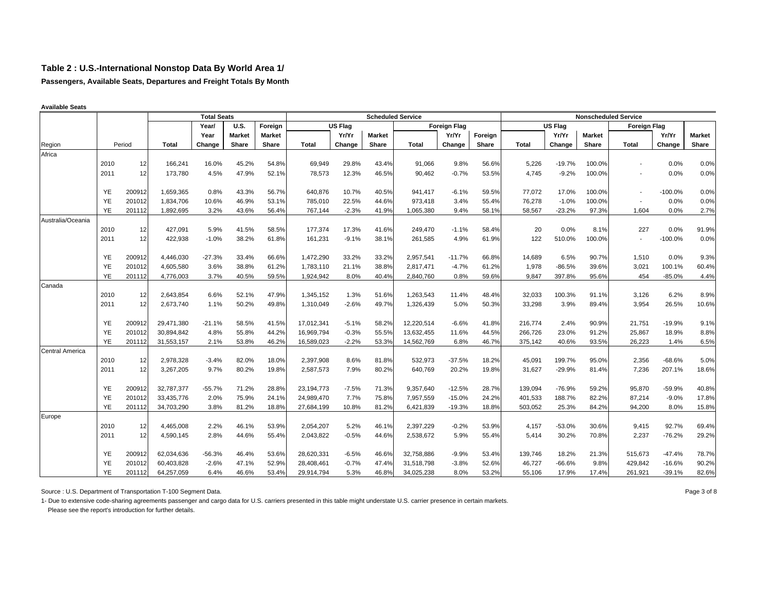**Passengers, Available Seats, Departures and Freight Totals By Month**

|                        |           |        |              | <b>Total Seats</b> |               |               |              |                |               | <b>Scheduled Service</b> |                     |         |              |                |               | <b>Nonscheduled Service</b> |           |               |
|------------------------|-----------|--------|--------------|--------------------|---------------|---------------|--------------|----------------|---------------|--------------------------|---------------------|---------|--------------|----------------|---------------|-----------------------------|-----------|---------------|
|                        |           |        |              | Year/              | <b>U.S.</b>   | Foreign       |              | <b>US Flag</b> |               |                          | <b>Foreign Flag</b> |         |              | <b>US Flag</b> |               | Foreign Flag                |           |               |
|                        |           |        |              | Year               | <b>Market</b> | <b>Market</b> |              | Yr/Yr          | <b>Market</b> |                          | Yr/Yr               | Foreign |              | Yr/Yr          | <b>Market</b> |                             | Yr/Yr     | <b>Market</b> |
| Region                 |           | Period | <b>Total</b> | Change             | Share         | Share         | <b>Total</b> | Change         | Share         | <b>Total</b>             | Change              | Share   | <b>Total</b> | Change         | Share         | <b>Total</b>                | Change    | Share         |
| Africa                 |           |        |              |                    |               |               |              |                |               |                          |                     |         |              |                |               |                             |           |               |
|                        | 2010      | 12     | 166,241      | 16.0%              | 45.2%         | 54.8%         | 69,949       | 29.8%          | 43.4%         | 91,066                   | 9.8%                | 56.6%   | 5,226        | $-19.7%$       | 100.0%        |                             | 0.0%      | 0.0%          |
|                        | 2011      | 12     | 173,780      | 4.5%               | 47.9%         | 52.1%         | 78,573       | 12.3%          | 46.5%         | 90,462                   | $-0.7%$             | 53.5%   | 4,745        | $-9.2%$        | 100.0%        |                             | 0.0%      | 0.0%          |
|                        |           |        |              |                    |               |               |              |                |               |                          |                     |         |              |                |               |                             |           |               |
|                        | <b>YE</b> | 200912 | 1,659,365    | 0.8%               | 43.3%         | 56.7%         | 640,876      | 10.7%          | 40.5%         | 941,417                  | $-6.1%$             | 59.5%   | 77,072       | 17.0%          | 100.0%        |                             | $-100.0%$ | 0.0%          |
|                        | YE        | 201012 | 1,834,706    | 10.6%              | 46.9%         | 53.1%         | 785,010      | 22.5%          | 44.6%         | 973,418                  | 3.4%                | 55.4%   | 76,278       | $-1.0%$        | 100.0%        | $\sim$                      | 0.0%      | 0.0%          |
|                        | <b>YE</b> | 201112 | 1,892,695    | 3.2%               | 43.6%         | 56.4%         | 767,144      | $-2.3%$        | 41.9%         | 1,065,380                | 9.4%                | 58.1%   | 58,567       | $-23.2%$       | 97.3%         | 1,604                       | 0.0%      | 2.7%          |
| Australia/Oceania      |           |        |              |                    |               |               |              |                |               |                          |                     |         |              |                |               |                             |           |               |
|                        | 2010      | 12     | 427,091      | 5.9%               | 41.5%         | 58.5%         | 177,374      | 17.3%          | 41.6%         | 249,470                  | $-1.1%$             | 58.4%   | 20           | 0.0%           | 8.1%          | 227                         | 0.0%      | 91.9%         |
|                        | 2011      | 12     | 422,938      | $-1.0%$            | 38.2%         | 61.8%         | 161,231      | $-9.1%$        | 38.1%         | 261,585                  | 4.9%                | 61.9%   | 122          | 510.0%         | 100.0%        | $\sim$                      | $-100.0%$ | 0.0%          |
|                        |           |        |              |                    |               |               |              |                |               |                          |                     |         |              |                |               |                             |           |               |
|                        | YE        | 200912 | 4,446,030    | $-27.3%$           | 33.4%         | 66.6%         | 1,472,290    | 33.2%          | 33.2%         | 2,957,541                | $-11.7%$            | 66.8%   | 14,689       | 6.5%           | 90.7%         | 1.510                       | 0.0%      | 9.3%          |
|                        | YE        | 201012 | 4,605,580    | 3.6%               | 38.8%         | 61.2%         | 1,783,110    | 21.1%          | 38.8%         | 2,817,471                | $-4.7%$             | 61.2%   | 1,978        | $-86.5%$       | 39.6%         | 3,021                       | 100.1%    | 60.4%         |
|                        | <b>YE</b> | 201112 | 4,776,003    | 3.7%               | 40.5%         | 59.5%         | 1,924,942    | 8.0%           | 40.4%         | 2,840,760                | 0.8%                | 59.6%   | 9,847        | 397.8%         | 95.6%         | 454                         | $-85.0%$  | 4.4%          |
| Canada                 | 2010      | 12     | 2,643,854    | 6.6%               | 52.1%         | 47.9%         | 1,345,152    | 1.3%           | 51.6%         | 1,263,543                | 11.4%               | 48.4%   |              | 100.3%         | 91.1%         | 3,126                       | 6.2%      | 8.9%          |
|                        | 2011      | 12     | 2,673,740    |                    | 50.2%         | 49.8%         |              | $-2.6%$        | 49.7%         |                          | 5.0%                | 50.3%   | 32,033       | 3.9%           | 89.4%         | 3,954                       | 26.5%     |               |
|                        |           |        |              | 1.1%               |               |               | 1,310,049    |                |               | 1,326,439                |                     |         | 33,298       |                |               |                             |           | 10.6%         |
|                        | <b>YE</b> | 200912 | 29,471,380   | $-21.1%$           | 58.5%         | 41.5%         | 17,012,341   | $-5.1%$        | 58.2%         | 12,220,514               | $-6.6%$             | 41.8%   | 216,774      | 2.4%           | 90.9%         | 21,751                      | $-19.9%$  | 9.1%          |
|                        | YE        | 201012 | 30,894,842   | 4.8%               | 55.8%         | 44.2%         | 16,969,794   | $-0.3%$        | 55.5%         | 13,632,455               | 11.6%               | 44.5%   | 266,726      | 23.0%          | 91.2%         | 25,867                      | 18.9%     | 8.8%          |
|                        | YE        | 201112 | 31,553,157   | 2.1%               | 53.8%         | 46.2%         | 16,589,023   | $-2.2%$        | 53.3%         | 14,562,769               | 6.8%                | 46.7%   | 375,142      | 40.6%          | 93.5%         | 26,223                      | 1.4%      | 6.5%          |
| <b>Central America</b> |           |        |              |                    |               |               |              |                |               |                          |                     |         |              |                |               |                             |           |               |
|                        | 2010      | 12     | 2,978,328    | $-3.4%$            | 82.0%         | 18.0%         | 2,397,908    | 8.6%           | 81.8%         | 532,973                  | $-37.5%$            | 18.2%   | 45,091       | 199.7%         | 95.0%         | 2,356                       | $-68.6%$  | 5.0%          |
|                        | 2011      | 12     | 3,267,205    | 9.7%               | 80.2%         | 19.8%         | 2,587,573    | 7.9%           | 80.2%         | 640,769                  | 20.2%               | 19.8%   | 31,627       | $-29.9%$       | 81.4%         | 7,236                       | 207.1%    | 18.6%         |
|                        |           |        |              |                    |               |               |              |                |               |                          |                     |         |              |                |               |                             |           |               |
|                        | YE        | 200912 | 32,787,377   | $-55.7%$           | 71.2%         | 28.8%         | 23,194,773   | $-7.5%$        | 71.3%         | 9,357,640                | $-12.5%$            | 28.7%   | 139,094      | $-76.9%$       | 59.2%         | 95,870                      | $-59.9%$  | 40.8%         |
|                        | YE        | 201012 | 33,435,776   | 2.0%               | 75.9%         | 24.1%         | 24,989,470   | 7.7%           | 75.8%         | 7,957,559                | $-15.0%$            | 24.2%   | 401,533      | 188.7%         | 82.2%         | 87,214                      | $-9.0%$   | 17.8%         |
|                        | <b>YE</b> | 201112 | 34,703,290   | 3.8%               | 81.2%         | 18.8%         | 27,684,199   | 10.8%          | 81.2%         | 6,421,839                | $-19.3%$            | 18.8%   | 503,052      | 25.3%          | 84.2%         | 94,200                      | 8.0%      | 15.8%         |
| Europe                 |           |        |              |                    |               |               |              |                |               |                          |                     |         |              |                |               |                             |           |               |
|                        | 2010      | 12     | 4,465,008    | 2.2%               | 46.1%         | 53.9%         | 2,054,207    | 5.2%           | 46.1%         | 2,397,229                | $-0.2%$             | 53.9%   | 4,157        | $-53.0%$       | 30.6%         | 9,415                       | 92.7%     | 69.4%         |
|                        | 2011      | 12     | 4,590,145    | 2.8%               | 44.6%         | 55.4%         | 2,043,822    | $-0.5%$        | 44.6%         | 2,538,672                | 5.9%                | 55.4%   | 5,414        | 30.2%          | 70.8%         | 2,237                       | $-76.2%$  | 29.2%         |
|                        |           |        |              |                    |               |               |              |                |               |                          |                     |         |              |                |               |                             |           |               |
|                        | YE        | 200912 | 62,034,636   | $-56.3%$           | 46.4%         | 53.6%         | 28,620,331   | $-6.5%$        | 46.6%         | 32,758,886               | $-9.9%$             | 53.4%   | 139,746      | 18.2%          | 21.3%         | 515,673                     | $-47.4%$  | 78.7%         |
|                        | YE        | 201012 | 60,403,828   | $-2.6%$            | 47.1%         | 52.9%         | 28,408,461   | $-0.7%$        | 47.4%         | 31,518,798               | $-3.8%$             | 52.6%   | 46,727       | $-66.6%$       | 9.8%          | 429,842                     | $-16.6%$  | 90.2%         |
|                        | <b>YE</b> | 201112 | 64,257,059   | 6.4%               | 46.6%         | 53.4%         | 29,914,794   | 5.3%           | 46.8%         | 34,025,238               | 8.0%                | 53.2%   | 55,106       | 17.9%          | 17.4%         | 261,921                     | $-39.1%$  | 82.6%         |

**Available Seats**

Source : U.S. Department of Transportation T-100 Segment Data. 
<br>
Page 3 of 8

1- Due to extensive code-sharing agreements passenger and cargo data for U.S. carriers presented in this table might understate U.S. carrier presence in certain markets.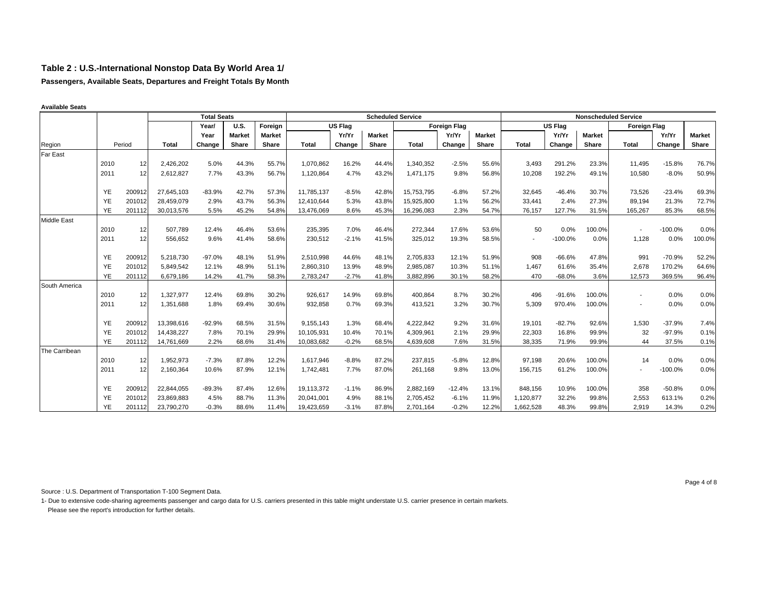**Passengers, Available Seats, Departures and Freight Totals By Month**

|                    |           |        |            | <b>Total Seats</b> |               |               |            |         |               | <b>Scheduled Service</b> |                     |               |                          |                |               | <b>Nonscheduled Service</b> |           |               |
|--------------------|-----------|--------|------------|--------------------|---------------|---------------|------------|---------|---------------|--------------------------|---------------------|---------------|--------------------------|----------------|---------------|-----------------------------|-----------|---------------|
|                    |           |        |            | Year/              | <b>U.S.</b>   | Foreign       |            | US Flag |               |                          | <b>Foreign Flag</b> |               |                          | <b>US Flag</b> |               | <b>Foreign Flag</b>         |           |               |
|                    |           |        |            | Year               | <b>Market</b> | <b>Market</b> |            | Yr/Yr   | <b>Market</b> |                          | Yr/Yr               | <b>Market</b> |                          | Yr/Yr          | <b>Market</b> |                             | Yr/Yr     | <b>Market</b> |
| Region             |           | Period | Total      | Change             | Share         | Share         | Total      | Change  | Share         | <b>Total</b>             | Change              | Share         | <b>Total</b>             | Change         | Share         | <b>Total</b>                | Change    | Share         |
| <b>Far East</b>    |           |        |            |                    |               |               |            |         |               |                          |                     |               |                          |                |               |                             |           |               |
|                    | 2010      | 12     | 2,426,202  | 5.0%               | 44.3%         | 55.7%         | 1.070.862  | 16.2%   | 44.4%         | 1,340,352                | $-2.5%$             | 55.6%         | 3,493                    | 291.2%         | 23.3%         | 11.495                      | $-15.8%$  | 76.7%         |
|                    | 2011      | 12     | 2,612,827  | 7.7%               | 43.3%         | 56.7%         | 1,120,864  | 4.7%    | 43.2%         | 1,471,175                | 9.8%                | 56.8%         | 10,208                   | 192.2%         | 49.1%         | 10,580                      | $-8.0%$   | 50.9%         |
|                    |           |        |            |                    |               |               |            |         |               |                          |                     |               |                          |                |               |                             |           |               |
|                    | YE        | 200912 | 27,645,103 | $-83.9%$           | 42.7%         | 57.3%         | 11,785,137 | $-8.5%$ | 42.8%         | 15,753,795               | $-6.8%$             | 57.2%         | 32,645                   | $-46.4%$       | 30.7%         | 73,526                      | $-23.4%$  | 69.3%         |
|                    | YE        | 201012 | 28.459.079 | 2.9%               | 43.7%         | 56.3%         | 12.410.644 | 5.3%    | 43.8%         | 15,925,800               | 1.1%                | 56.2%         | 33,441                   | 2.4%           | 27.3%         | 89,194                      | 21.3%     | 72.7%         |
|                    | YE        | 201112 | 30,013,576 | 5.5%               | 45.2%         | 54.8%         | 13,476,069 | 8.6%    | 45.3%         | 16,296,083               | 2.3%                | 54.7%         | 76,157                   | 127.7%         | 31.5%         | 165,267                     | 85.3%     | 68.5%         |
| <b>Middle East</b> |           |        |            |                    |               |               |            |         |               |                          |                     |               |                          |                |               |                             |           |               |
|                    | 2010      | 12     | 507.789    | 12.4%              | 46.4%         | 53.6%         | 235,395    | 7.0%    | 46.4%         | 272,344                  | 17.6%               | 53.6%         | 50                       | 0.0%           | 100.0%        |                             | $-100.0%$ | 0.0%          |
|                    | 2011      | 12     | 556,652    | 9.6%               | 41.4%         | 58.6%         | 230,512    | $-2.1%$ | 41.5%         | 325,012                  | 19.3%               | 58.5%         | $\overline{\phantom{a}}$ | $-100.0%$      | 0.0%          | 1,128                       | 0.0%      | 100.0%        |
|                    |           |        |            |                    |               |               |            |         |               |                          |                     |               |                          |                |               |                             |           |               |
|                    | YE        | 200912 | 5,218,730  | $-97.0%$           | 48.1%         | 51.9%         | 2,510,998  | 44.6%   | 48.1%         | 2,705,833                | 12.1%               | 51.9%         | 908                      | $-66.6%$       | 47.8%         | 991                         | $-70.9%$  | 52.2%         |
|                    | YE        | 201012 | 5,849,542  | 12.1%              | 48.9%         | 51.1%         | 2,860,310  | 13.9%   | 48.9%         | 2,985,087                | 10.3%               | 51.1%         | 1,467                    | 61.6%          | 35.4%         | 2,678                       | 170.2%    | 64.6%         |
|                    | <b>YE</b> | 201112 | 6,679,186  | 14.2%              | 41.7%         | 58.3%         | 2,783,247  | $-2.7%$ | 41.8%         | 3,882,896                | 30.1%               | 58.2%         | 470                      | $-68.0%$       | 3.6%          | 12,573                      | 369.5%    | 96.4%         |
| South America      |           |        |            |                    |               |               |            |         |               |                          |                     |               |                          |                |               |                             |           |               |
|                    | 2010      | 12     | 1,327,977  | 12.4%              | 69.8%         | 30.2%         | 926,617    | 14.9%   | 69.8%         | 400,864                  | 8.7%                | 30.2%         | 496                      | $-91.6%$       | 100.0%        | $\overline{\phantom{a}}$    | 0.0%      | 0.0%          |
|                    | 2011      | 12     | 1,351,688  | 1.8%               | 69.4%         | 30.6%         | 932,858    | 0.7%    | 69.3%         | 413,521                  | 3.2%                | 30.7%         | 5,309                    | 970.4%         | 100.0%        | $\sim$                      | 0.0%      | 0.0%          |
|                    |           |        |            |                    |               |               |            |         |               |                          |                     |               |                          |                |               |                             |           |               |
|                    | YE        | 200912 | 13,398,616 | $-92.9%$           | 68.5%         | 31.5%         | 9,155,143  | 1.3%    | 68.4%         | 4,222,842                | 9.2%                | 31.6%         | 19,101                   | $-82.7%$       | 92.6%         | 1,530                       | $-37.9%$  | 7.4%          |
|                    | <b>YE</b> | 201012 | 14,438,227 | 7.8%               | 70.1%         | 29.9%         | 10,105,931 | 10.4%   | 70.1%         | 4,309,961                | 2.1%                | 29.9%         | 22,303                   | 16.8%          | 99.9%         | 32                          | $-97.9%$  | 0.1%          |
|                    | <b>YE</b> | 201112 | 14,761,669 | 2.2%               | 68.6%         | 31.4%         | 10,083,682 | $-0.2%$ | 68.5%         | 4,639,608                | 7.6%                | 31.5%         | 38,335                   | 71.9%          | 99.9%         | 44                          | 37.5%     | 0.1%          |
| The Carribean      |           |        |            |                    |               |               |            |         |               |                          |                     |               |                          |                |               |                             |           |               |
|                    | 2010      | 12     | 1,952,973  | $-7.3%$            | 87.8%         | 12.2%         | 1,617,946  | $-8.8%$ | 87.2%         | 237,815                  | $-5.8%$             | 12.8%         | 97,198                   | 20.6%          | 100.0%        | 14                          | 0.0%      | 0.0%          |
|                    | 2011      | 12     | 2,160,364  | 10.6%              | 87.9%         | 12.1%         | 1,742,481  | 7.7%    | 87.0%         | 261,168                  | 9.8%                | 13.0%         | 156,715                  | 61.2%          | 100.0%        | $\sim$                      | $-100.0%$ | 0.0%          |
|                    |           |        |            |                    |               |               |            |         |               |                          |                     |               |                          |                |               |                             |           |               |
|                    | YE        | 200912 | 22,844,055 | $-89.3%$           | 87.4%         | 12.6%         | 19,113,372 | $-1.1%$ | 86.9%         | 2,882,169                | $-12.4%$            | 13.1%         | 848,156                  | 10.9%          | 100.0%        | 358                         | $-50.8%$  | 0.0%          |
|                    | YE        | 201012 | 23,869,883 | 4.5%               | 88.7%         | 11.3%         | 20,041,001 | 4.9%    | 88.1%         | 2,705,452                | $-6.1%$             | 11.9%         | 1,120,877                | 32.2%          | 99.8%         | 2,553                       | 613.1%    | 0.2%          |
|                    | YE        | 201112 | 23,790,270 | $-0.3%$            | 88.6%         | 11.4%         | 19,423,659 | $-3.1%$ | 87.8%         | 2,701,164                | $-0.2%$             | 12.2%         | 1.662.528                | 48.3%          | 99.8%         | 2.919                       | 14.3%     | 0.2%          |

**Available Seats**

Source : U.S. Department of Transportation T-100 Segment Data.

1- Due to extensive code-sharing agreements passenger and cargo data for U.S. carriers presented in this table might understate U.S. carrier presence in certain markets. Please see the report's introduction for further details.

Page 4 of 8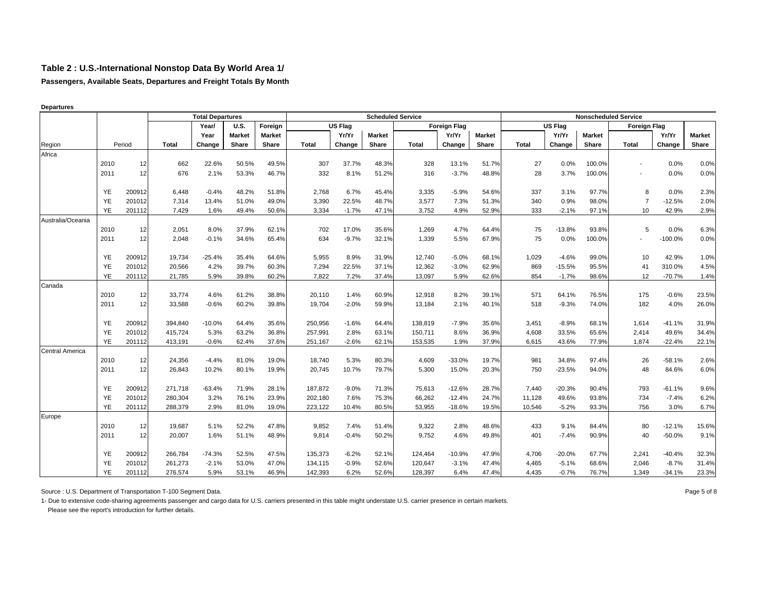**Passengers, Available Seats, Departures and Freight Totals By Month**

|                        |           |        |              | <b>Total Departures</b> |               |               |              |                |        | <b>Scheduled Service</b> |                     |               |              |                |               | <b>Nonscheduled Service</b> |           |               |
|------------------------|-----------|--------|--------------|-------------------------|---------------|---------------|--------------|----------------|--------|--------------------------|---------------------|---------------|--------------|----------------|---------------|-----------------------------|-----------|---------------|
|                        |           |        |              | Year/                   | <b>U.S.</b>   | Foreign       |              | <b>US Flag</b> |        |                          | <b>Foreign Flag</b> |               |              | <b>US Flag</b> |               | <b>Foreign Flag</b>         |           |               |
|                        |           |        |              | Year                    | <b>Market</b> | <b>Market</b> |              | Yr/Yr          | Market |                          | Yr/Yr               | <b>Market</b> |              | Yr/Yr          | <b>Market</b> |                             | Yr/Yr     | <b>Market</b> |
| Region                 |           | Period | <b>Total</b> | Change                  | Share         | Share         | <b>Total</b> | Change         | Share  | <b>Total</b>             | Change              | Share         | <b>Total</b> | Change         | Share         | <b>Total</b>                | Change    | Share         |
| Africa                 |           |        |              |                         |               |               |              |                |        |                          |                     |               |              |                |               |                             |           |               |
|                        | 2010      | 12     | 662          | 22.6%                   | 50.5%         | 49.5%         | 307          | 37.7%          | 48.3%  | 328                      | 13.1%               | 51.7%         | 27           | 0.0%           | 100.0%        |                             | 0.0%      | 0.0%          |
|                        | 2011      | 12     | 676          | 2.1%                    | 53.3%         | 46.7%         | 332          | 8.1%           | 51.2%  | 316                      | $-3.7%$             | 48.8%         | 28           | 3.7%           | 100.0%        |                             | 0.0%      | 0.0%          |
|                        | YE        | 200912 | 6,448        | $-0.4%$                 | 48.2%         | 51.8%         | 2,768        | 6.7%           | 45.4%  | 3,335                    | $-5.9%$             | 54.6%         | 337          | 3.1%           | 97.7%         | 8                           | 0.0%      | 2.3%          |
|                        | YE        | 201012 | 7,314        | 13.4%                   | 51.0%         | 49.0%         | 3,390        | 22.5%          | 48.7%  | 3,577                    | 7.3%                | 51.3%         | 340          | 0.9%           | 98.0%         | $\overline{7}$              | $-12.5%$  | 2.0%          |
|                        | <b>YE</b> | 201112 | 7,429        | 1.6%                    | 49.4%         | 50.6%         | 3,334        | $-1.7%$        | 47.1%  | 3,752                    | 4.9%                | 52.9%         | 333          | $-2.1%$        | 97.1%         | 10                          | 42.9%     | 2.9%          |
| Australia/Oceania      |           |        |              |                         |               |               |              |                |        |                          |                     |               |              |                |               |                             |           |               |
|                        | 2010      | 12     | 2,051        | 8.0%                    | 37.9%         | 62.1%         | 702          | 17.0%          | 35.6%  | 1,269                    | 4.7%                | 64.4%         | 75           | $-13.8%$       | 93.8%         | 5                           | 0.0%      | 6.3%          |
|                        | 2011      | 12     | 2,048        | $-0.1%$                 | 34.6%         | 65.4%         | 634          | $-9.7%$        | 32.1%  | 1,339                    | 5.5%                | 67.9%         | 75           | 0.0%           | 100.0%        |                             | $-100.0%$ | 0.0%          |
|                        | YE        | 200912 | 19,734       | $-25.4%$                | 35.4%         | 64.6%         | 5.955        | 8.9%           | 31.9%  | 12,740                   | $-5.0%$             | 68.1%         | 1,029        | $-4.6%$        | 99.0%         | 10                          | 42.9%     | 1.0%          |
|                        | YE        | 201012 | 20,566       | 4.2%                    | 39.7%         | 60.3%         | 7,294        | 22.5%          | 37.1%  | 12,362                   | $-3.0%$             | 62.9%         | 869          | $-15.5%$       | 95.5%         | 41                          | 310.0%    | 4.5%          |
|                        | <b>YE</b> | 201112 | 21,785       | 5.9%                    | 39.8%         | 60.2%         | 7.822        | 7.2%           | 37.4%  | 13,097                   | 5.9%                | 62.6%         | 854          | $-1.7%$        | 98.6%         | 12                          | $-70.7%$  | 1.4%          |
| Canada                 |           |        |              |                         |               |               |              |                |        |                          |                     |               |              |                |               |                             |           |               |
|                        | 2010      | 12     | 33,774       | 4.6%                    | 61.2%         | 38.8%         | 20,110       | 1.4%           | 60.9%  | 12,918                   | 8.2%                | 39.1%         | 571          | 64.1%          | 76.5%         | 175                         | $-0.6%$   | 23.5%         |
|                        | 2011      | 12     | 33,588       | $-0.6%$                 | 60.2%         | 39.8%         | 19,704       | $-2.0%$        | 59.9%  | 13,184                   | 2.1%                | 40.1%         | 518          | $-9.3%$        | 74.0%         | 182                         | 4.0%      | 26.0%         |
|                        | YE        | 200912 | 394,840      | $-10.0%$                | 64.4%         | 35.6%         | 250,956      | $-1.6%$        | 64.4%  | 138,819                  | $-7.9%$             | 35.6%         | 3,451        | $-8.9%$        | 68.1%         | 1,614                       | $-41.1%$  | 31.9%         |
|                        | YE        | 201012 | 415,724      | 5.3%                    | 63.2%         | 36.8%         | 257,991      | 2.8%           | 63.1%  | 150,711                  | 8.6%                | 36.9%         | 4,608        | 33.5%          | 65.6%         | 2,414                       | 49.6%     | 34.4%         |
|                        | YE        | 201112 | 413,191      | $-0.6%$                 | 62.4%         | 37.6%         | 251,167      | $-2.6%$        | 62.1%  | 153,535                  | 1.9%                | 37.9%         | 6,615        | 43.6%          | 77.9%         | 1,874                       | $-22.4%$  | 22.1%         |
| <b>Central America</b> |           |        |              |                         |               |               |              |                |        |                          |                     |               |              |                |               |                             |           |               |
|                        | 2010      | 12     | 24,356       | $-4.4%$                 | 81.0%         | 19.0%         | 18,740       | 5.3%           | 80.3%  | 4,609                    | $-33.0%$            | 19.7%         | 981          | 34.8%          | 97.4%         | 26                          | $-58.1%$  | 2.6%          |
|                        | 2011      | 12     | 26,843       | 10.2%                   | 80.1%         | 19.9%         | 20,745       | 10.7%          | 79.7%  | 5,300                    | 15.0%               | 20.3%         | 750          | $-23.5%$       | 94.0%         | 48                          | 84.6%     | 6.0%          |
|                        | YE        | 200912 | 271,718      | $-63.4%$                | 71.9%         | 28.1%         | 187,872      | $-9.0%$        | 71.3%  | 75,613                   | $-12.6%$            | 28.7%         | 7,440        | $-20.3%$       | 90.4%         | 793                         | $-61.1%$  | 9.6%          |
|                        | YE        | 201012 | 280,304      | 3.2%                    | 76.1%         | 23.9%         | 202,180      | 7.6%           | 75.3%  | 66,262                   | $-12.4%$            | 24.7%         | 11,128       | 49.6%          | 93.8%         | 734                         | $-7.4%$   | 6.2%          |
|                        | <b>YE</b> | 201112 | 288,379      | 2.9%                    | 81.0%         | 19.0%         | 223,122      | 10.4%          | 80.5%  | 53,955                   | $-18.6%$            | 19.5%         | 10,546       | $-5.2%$        | 93.3%         | 756                         | 3.0%      | 6.7%          |
| Europe                 |           |        |              |                         |               |               |              |                |        |                          |                     |               |              |                |               |                             |           |               |
|                        | 2010      | 12     | 19,687       | 5.1%                    | 52.2%         | 47.8%         | 9,852        | 7.4%           | 51.4%  | 9,322                    | 2.8%                | 48.6%         | 433          | 9.1%           | 84.4%         | 80                          | $-12.1%$  | 15.6%         |
|                        | 2011      | 12     | 20,007       | 1.6%                    | 51.1%         | 48.9%         | 9.814        | $-0.4%$        | 50.2%  | 9,752                    | 4.6%                | 49.8%         | 401          | $-7.4%$        | 90.9%         | 40                          | $-50.0%$  | 9.1%          |
|                        | YE        | 200912 | 266,784      | $-74.3%$                | 52.5%         | 47.5%         | 135,373      | $-6.2%$        | 52.1%  | 124,464                  | $-10.9%$            | 47.9%         | 4,706        | $-20.0%$       | 67.7%         | 2,241                       | $-40.4%$  | 32.3%         |
|                        | YE        | 201012 | 261,273      | $-2.1%$                 | 53.0%         | 47.0%         | 134,115      | $-0.9%$        | 52.6%  | 120,647                  | $-3.1%$             | 47.4%         | 4,465        | $-5.1%$        | 68.6%         | 2,046                       | $-8.7%$   | 31.4%         |
|                        | <b>YE</b> | 201112 | 276,574      | 5.9%                    | 53.1%         | 46.9%         | 142,393      | 6.2%           | 52.6%  | 128,397                  | 6.4%                | 47.4%         | 4,435        | $-0.7%$        | 76.7%         | 1,349                       | $-34.1%$  | 23.3%         |

**Departures**

Source : U.S. Department of Transportation T-100 Segment Data. 
<br>
Page 5 of 8

1- Due to extensive code-sharing agreements passenger and cargo data for U.S. carriers presented in this table might understate U.S. carrier presence in certain markets.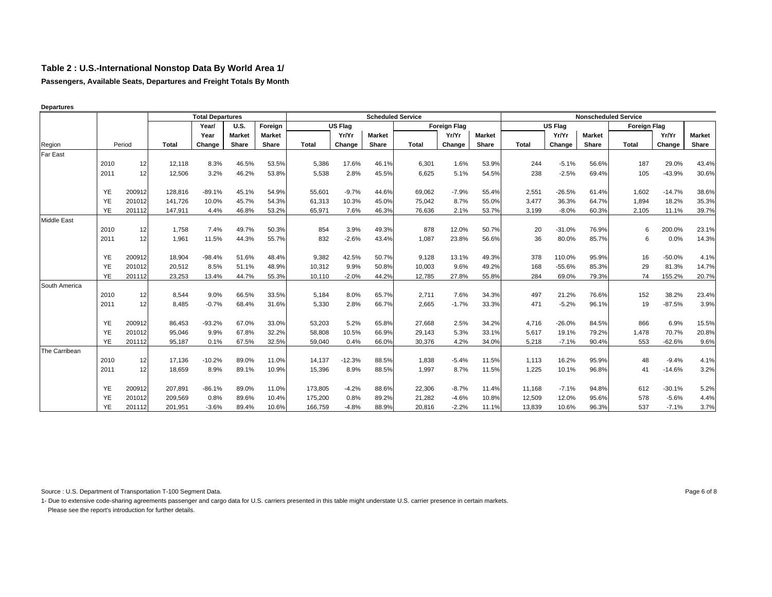**Passengers, Available Seats, Departures and Freight Totals By Month**

|           | <b>Total Departures</b><br><b>U.S.</b><br>Year/                                  |                                                                                                              |                                                                                                                |                                                                                                       |                                                                                                 |                                                                                                 |                                                                                                         |                                                                                                               |                                                                                                 |                                                                                                                          |                                                                                                        |                                                                                                                                   |                                                                                    |                                                                                                                         |                                                                                                                    |                                                                                                                       |                                                                                                                                                                             |
|-----------|----------------------------------------------------------------------------------|--------------------------------------------------------------------------------------------------------------|----------------------------------------------------------------------------------------------------------------|-------------------------------------------------------------------------------------------------------|-------------------------------------------------------------------------------------------------|-------------------------------------------------------------------------------------------------|---------------------------------------------------------------------------------------------------------|---------------------------------------------------------------------------------------------------------------|-------------------------------------------------------------------------------------------------|--------------------------------------------------------------------------------------------------------------------------|--------------------------------------------------------------------------------------------------------|-----------------------------------------------------------------------------------------------------------------------------------|------------------------------------------------------------------------------------|-------------------------------------------------------------------------------------------------------------------------|--------------------------------------------------------------------------------------------------------------------|-----------------------------------------------------------------------------------------------------------------------|-----------------------------------------------------------------------------------------------------------------------------------------------------------------------------|
|           |                                                                                  |                                                                                                              |                                                                                                                |                                                                                                       | Foreign                                                                                         |                                                                                                 |                                                                                                         |                                                                                                               |                                                                                                 |                                                                                                                          |                                                                                                        |                                                                                                                                   |                                                                                    |                                                                                                                         |                                                                                                                    |                                                                                                                       |                                                                                                                                                                             |
|           |                                                                                  |                                                                                                              | Year                                                                                                           | <b>Market</b>                                                                                         | <b>Market</b>                                                                                   |                                                                                                 | Yr/Yr                                                                                                   | <b>Market</b>                                                                                                 |                                                                                                 | Yr/Yr                                                                                                                    | <b>Market</b>                                                                                          |                                                                                                                                   | Yr/Yr                                                                              | <b>Market</b>                                                                                                           |                                                                                                                    | Yr/Yr                                                                                                                 | <b>Market</b>                                                                                                                                                               |
|           |                                                                                  | <b>Total</b>                                                                                                 | Change                                                                                                         | Share                                                                                                 | Share                                                                                           | <b>Total</b>                                                                                    | Change                                                                                                  | Share                                                                                                         | <b>Total</b>                                                                                    | Change                                                                                                                   | <b>Share</b>                                                                                           | <b>Total</b>                                                                                                                      | Change                                                                             | Share                                                                                                                   | <b>Total</b>                                                                                                       | Change                                                                                                                | Share                                                                                                                                                                       |
|           |                                                                                  |                                                                                                              |                                                                                                                |                                                                                                       |                                                                                                 |                                                                                                 |                                                                                                         |                                                                                                               |                                                                                                 |                                                                                                                          |                                                                                                        |                                                                                                                                   |                                                                                    |                                                                                                                         |                                                                                                                    |                                                                                                                       |                                                                                                                                                                             |
| 2010      | 12                                                                               | 12,118                                                                                                       | 8.3%                                                                                                           | 46.5%                                                                                                 | 53.5%                                                                                           | 5.386                                                                                           | 17.6%                                                                                                   | 46.1%                                                                                                         | 6,301                                                                                           |                                                                                                                          | 53.9%                                                                                                  | 244                                                                                                                               | $-5.1%$                                                                            | 56.6%                                                                                                                   | 187                                                                                                                | 29.0%                                                                                                                 | 43.4%                                                                                                                                                                       |
| 2011      | 12                                                                               | 12,506                                                                                                       | 3.2%                                                                                                           | 46.2%                                                                                                 | 53.8%                                                                                           | 5,538                                                                                           | 2.8%                                                                                                    | 45.5%                                                                                                         | 6,625                                                                                           | 5.1%                                                                                                                     | 54.5%                                                                                                  | 238                                                                                                                               | $-2.5%$                                                                            | 69.4%                                                                                                                   | 105                                                                                                                | $-43.9%$                                                                                                              | 30.6%                                                                                                                                                                       |
|           |                                                                                  |                                                                                                              |                                                                                                                |                                                                                                       |                                                                                                 |                                                                                                 |                                                                                                         |                                                                                                               |                                                                                                 |                                                                                                                          |                                                                                                        |                                                                                                                                   |                                                                                    |                                                                                                                         |                                                                                                                    |                                                                                                                       |                                                                                                                                                                             |
|           |                                                                                  |                                                                                                              |                                                                                                                |                                                                                                       |                                                                                                 |                                                                                                 |                                                                                                         |                                                                                                               |                                                                                                 |                                                                                                                          |                                                                                                        |                                                                                                                                   |                                                                                    |                                                                                                                         |                                                                                                                    |                                                                                                                       | 38.6%                                                                                                                                                                       |
|           |                                                                                  |                                                                                                              |                                                                                                                |                                                                                                       |                                                                                                 |                                                                                                 |                                                                                                         |                                                                                                               |                                                                                                 |                                                                                                                          |                                                                                                        |                                                                                                                                   |                                                                                    |                                                                                                                         |                                                                                                                    |                                                                                                                       | 35.3%                                                                                                                                                                       |
|           |                                                                                  |                                                                                                              |                                                                                                                |                                                                                                       |                                                                                                 |                                                                                                 |                                                                                                         |                                                                                                               |                                                                                                 |                                                                                                                          |                                                                                                        |                                                                                                                                   |                                                                                    |                                                                                                                         |                                                                                                                    |                                                                                                                       | 39.7%                                                                                                                                                                       |
|           |                                                                                  |                                                                                                              |                                                                                                                |                                                                                                       |                                                                                                 |                                                                                                 |                                                                                                         |                                                                                                               |                                                                                                 |                                                                                                                          |                                                                                                        |                                                                                                                                   |                                                                                    |                                                                                                                         |                                                                                                                    |                                                                                                                       | 23.1%                                                                                                                                                                       |
|           |                                                                                  |                                                                                                              |                                                                                                                |                                                                                                       |                                                                                                 |                                                                                                 |                                                                                                         |                                                                                                               |                                                                                                 |                                                                                                                          |                                                                                                        |                                                                                                                                   |                                                                                    |                                                                                                                         |                                                                                                                    |                                                                                                                       |                                                                                                                                                                             |
|           |                                                                                  |                                                                                                              |                                                                                                                |                                                                                                       |                                                                                                 |                                                                                                 |                                                                                                         |                                                                                                               |                                                                                                 |                                                                                                                          |                                                                                                        |                                                                                                                                   |                                                                                    |                                                                                                                         |                                                                                                                    |                                                                                                                       | 14.3%                                                                                                                                                                       |
| YE        | 200912                                                                           | 18,904                                                                                                       | $-98.4%$                                                                                                       | 51.6%                                                                                                 | 48.4%                                                                                           | 9,382                                                                                           | 42.5%                                                                                                   | 50.7%                                                                                                         | 9,128                                                                                           |                                                                                                                          | 49.3%                                                                                                  | 378                                                                                                                               | 110.0%                                                                             | 95.9%                                                                                                                   | 16                                                                                                                 | $-50.0%$                                                                                                              | 4.1%                                                                                                                                                                        |
| YE        | 201012                                                                           | 20,512                                                                                                       | 8.5%                                                                                                           | 51.1%                                                                                                 | 48.9%                                                                                           | 10,312                                                                                          | 9.9%                                                                                                    | 50.8%                                                                                                         | 10,003                                                                                          | 9.6%                                                                                                                     | 49.2%                                                                                                  | 168                                                                                                                               | $-55.6%$                                                                           | 85.3%                                                                                                                   | 29                                                                                                                 | 81.3%                                                                                                                 | 14.7%                                                                                                                                                                       |
| <b>YE</b> | 201112                                                                           | 23,253                                                                                                       | 13.4%                                                                                                          | 44.7%                                                                                                 | 55.3%                                                                                           | 10,110                                                                                          | $-2.0%$                                                                                                 | 44.2%                                                                                                         | 12,785                                                                                          | 27.8%                                                                                                                    | 55.8%                                                                                                  | 284                                                                                                                               | 69.0%                                                                              | 79.3%                                                                                                                   | 74                                                                                                                 |                                                                                                                       | 20.7%                                                                                                                                                                       |
|           |                                                                                  |                                                                                                              |                                                                                                                |                                                                                                       |                                                                                                 |                                                                                                 |                                                                                                         |                                                                                                               |                                                                                                 |                                                                                                                          |                                                                                                        |                                                                                                                                   |                                                                                    |                                                                                                                         |                                                                                                                    |                                                                                                                       |                                                                                                                                                                             |
| 2010      | 12                                                                               | 8,544                                                                                                        | 9.0%                                                                                                           | 66.5%                                                                                                 | 33.5%                                                                                           | 5,184                                                                                           | 8.0%                                                                                                    | 65.7%                                                                                                         | 2,711                                                                                           | 7.6%                                                                                                                     | 34.3%                                                                                                  | 497                                                                                                                               | 21.2%                                                                              | 76.6%                                                                                                                   | 152                                                                                                                | 38.2%                                                                                                                 | 23.4%                                                                                                                                                                       |
| 2011      | 12                                                                               | 8,485                                                                                                        | $-0.7%$                                                                                                        | 68.4%                                                                                                 | 31.6%                                                                                           | 5,330                                                                                           | 2.8%                                                                                                    | 66.7%                                                                                                         | 2,665                                                                                           | $-1.7%$                                                                                                                  | 33.3%                                                                                                  | 471                                                                                                                               | $-5.2%$                                                                            | 96.1%                                                                                                                   | 19                                                                                                                 | $-87.5%$                                                                                                              | 3.9%                                                                                                                                                                        |
|           |                                                                                  |                                                                                                              |                                                                                                                |                                                                                                       |                                                                                                 |                                                                                                 |                                                                                                         |                                                                                                               |                                                                                                 |                                                                                                                          |                                                                                                        |                                                                                                                                   |                                                                                    |                                                                                                                         |                                                                                                                    |                                                                                                                       | 15.5%                                                                                                                                                                       |
|           |                                                                                  |                                                                                                              |                                                                                                                |                                                                                                       |                                                                                                 |                                                                                                 |                                                                                                         |                                                                                                               |                                                                                                 |                                                                                                                          |                                                                                                        |                                                                                                                                   |                                                                                    |                                                                                                                         |                                                                                                                    |                                                                                                                       | 20.8%                                                                                                                                                                       |
|           |                                                                                  |                                                                                                              |                                                                                                                |                                                                                                       |                                                                                                 |                                                                                                 |                                                                                                         |                                                                                                               |                                                                                                 |                                                                                                                          |                                                                                                        |                                                                                                                                   |                                                                                    |                                                                                                                         |                                                                                                                    |                                                                                                                       | 9.6%                                                                                                                                                                        |
|           |                                                                                  |                                                                                                              |                                                                                                                |                                                                                                       |                                                                                                 |                                                                                                 |                                                                                                         |                                                                                                               |                                                                                                 |                                                                                                                          |                                                                                                        |                                                                                                                                   |                                                                                    |                                                                                                                         |                                                                                                                    |                                                                                                                       |                                                                                                                                                                             |
| 2010      | 12                                                                               | 17,136                                                                                                       | $-10.2%$                                                                                                       | 89.0%                                                                                                 | 11.0%                                                                                           | 14,137                                                                                          | $-12.3%$                                                                                                | 88.5%                                                                                                         | 1,838                                                                                           | $-5.4%$                                                                                                                  | 11.5%                                                                                                  | 1,113                                                                                                                             | 16.2%                                                                              | 95.9%                                                                                                                   | 48                                                                                                                 |                                                                                                                       | 4.1%                                                                                                                                                                        |
| 2011      | 12                                                                               | 18,659                                                                                                       | 8.9%                                                                                                           | 89.1%                                                                                                 | 10.9%                                                                                           | 15,396                                                                                          | 8.9%                                                                                                    | 88.5%                                                                                                         | 1,997                                                                                           |                                                                                                                          | 11.5%                                                                                                  | 1,225                                                                                                                             |                                                                                    | 96.8%                                                                                                                   | 41                                                                                                                 | $-14.6%$                                                                                                              | 3.2%                                                                                                                                                                        |
|           |                                                                                  |                                                                                                              |                                                                                                                |                                                                                                       |                                                                                                 |                                                                                                 |                                                                                                         |                                                                                                               |                                                                                                 |                                                                                                                          |                                                                                                        |                                                                                                                                   |                                                                                    |                                                                                                                         |                                                                                                                    |                                                                                                                       |                                                                                                                                                                             |
|           |                                                                                  |                                                                                                              |                                                                                                                |                                                                                                       |                                                                                                 |                                                                                                 |                                                                                                         |                                                                                                               |                                                                                                 |                                                                                                                          |                                                                                                        |                                                                                                                                   |                                                                                    |                                                                                                                         |                                                                                                                    |                                                                                                                       | 5.2%<br>4.4%                                                                                                                                                                |
|           |                                                                                  |                                                                                                              |                                                                                                                |                                                                                                       |                                                                                                 |                                                                                                 |                                                                                                         |                                                                                                               |                                                                                                 |                                                                                                                          |                                                                                                        |                                                                                                                                   |                                                                                    |                                                                                                                         |                                                                                                                    |                                                                                                                       | 3.7%                                                                                                                                                                        |
|           | YE<br>YE<br>YE<br>2010<br>2011<br>YE<br><b>YE</b><br><b>YE</b><br>YE<br>YE<br>YE | Period<br>200912<br>201012<br>201112<br>12<br>12<br>200912<br>201012<br>201112<br>200912<br>201012<br>201112 | 128,816<br>141.726<br>147,911<br>1,758<br>1,961<br>86,453<br>95,046<br>95,187<br>207,891<br>209,569<br>201,951 | $-89.1%$<br>10.0%<br>4.4%<br>7.4%<br>11.5%<br>$-93.2%$<br>9.9%<br>0.1%<br>$-86.1%$<br>0.8%<br>$-3.6%$ | 45.1%<br>45.7%<br>46.8%<br>49.7%<br>44.3%<br>67.0%<br>67.8%<br>67.5%<br>89.0%<br>89.6%<br>89.4% | 54.9%<br>54.3%<br>53.2%<br>50.3%<br>55.7%<br>33.0%<br>32.2%<br>32.5%<br>11.0%<br>10.4%<br>10.6% | 55,601<br>61,313<br>65,971<br>854<br>832<br>53,203<br>58,808<br>59,040<br>173,805<br>175,200<br>166.759 | US Flag<br>$-9.7%$<br>10.3%<br>7.6%<br>3.9%<br>$-2.6%$<br>5.2%<br>10.5%<br>0.4%<br>$-4.2%$<br>0.8%<br>$-4.8%$ | 44.6%<br>45.0%<br>46.3%<br>49.3%<br>43.4%<br>65.8%<br>66.9%<br>66.0%<br>88.6%<br>89.2%<br>88.9% | <b>Scheduled Service</b><br>69,062<br>75,042<br>76,636<br>878<br>1,087<br>27,668<br>29,143<br>30,376<br>22,306<br>21,282 | <b>Foreign Flag</b><br>$-7.9%$<br>2.1%<br>12.0%<br>23.8%<br>2.5%<br>5.3%<br>4.2%<br>$-8.7%$<br>$-4.6%$ | 1.6%<br>55.4%<br>8.7%<br>55.0%<br>53.7%<br>50.7%<br>56.6%<br>13.1%<br>34.2%<br>33.1%<br>34.0%<br>8.7%<br>11.4%<br>10.8%<br>20.816 | 2,551<br>3.477<br>3,199<br>20<br>36<br>4,716<br>5,617<br>5,218<br>11,168<br>12,509 | <b>US Flag</b><br>$-26.5%$<br>36.3%<br>$-8.0%$<br>$-31.0%$<br>80.0%<br>$-26.0%$<br>19.1%<br>$-7.1%$<br>$-7.1%$<br>12.0% | 61.4%<br>64.7%<br>60.3%<br>76.9%<br>85.7%<br>84.5%<br>79.2%<br>90.4%<br>10.1%<br>94.8%<br>95.6%<br>10.6%<br>13.839 | <b>Nonscheduled Service</b><br>1,602<br>1.894<br>2,105<br>6<br>6<br>866<br>1,478<br>553<br>612<br>578<br>537<br>96.3% | <b>Foreign Flag</b><br>$-14.7%$<br>18.2%<br>11.1%<br>200.0%<br>0.0%<br>155.2%<br>6.9%<br>70.7%<br>$-62.6%$<br>$-9.4%$<br>$-30.1%$<br>$-5.6%$<br>$-2.2%$<br>11.1%<br>$-7.1%$ |

**Departures**

Source : U.S. Department of Transportation T-100 Segment Data. 
<br>
Page 6 of 8

1- Due to extensive code-sharing agreements passenger and cargo data for U.S. carriers presented in this table might understate U.S. carrier presence in certain markets. Please see the report's introduction for further details.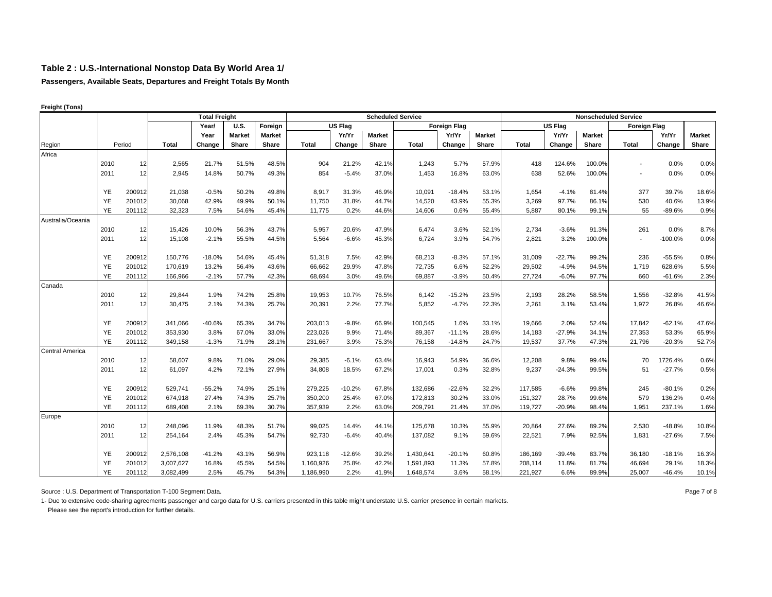**Passengers, Available Seats, Departures and Freight Totals By Month**

|                        |           |        |              | <b>Total Freight</b> |               |               |              |          |        | <b>Scheduled Service</b> |                     |               |              |                |               | <b>Nonscheduled Service</b> |           |               |
|------------------------|-----------|--------|--------------|----------------------|---------------|---------------|--------------|----------|--------|--------------------------|---------------------|---------------|--------------|----------------|---------------|-----------------------------|-----------|---------------|
|                        |           |        |              | Year/                | <b>U.S.</b>   | Foreign       |              | US Flag  |        |                          | <b>Foreign Flag</b> |               |              | <b>US Flag</b> |               | <b>Foreign Flag</b>         |           |               |
|                        |           |        |              | Year                 | <b>Market</b> | <b>Market</b> |              | Yr/Yr    | Market |                          | Yr/Yr               | <b>Market</b> |              | Yr/Yr          | <b>Market</b> |                             | Yr/Yr     | <b>Market</b> |
| Region                 |           | Period | <b>Total</b> | Change               | Share         | Share         | <b>Total</b> | Change   | Share  | <b>Total</b>             | Change              | Share         | <b>Total</b> | Change         | Share         | Total                       | Change    | Share         |
| Africa                 |           |        |              |                      |               |               |              |          |        |                          |                     |               |              |                |               |                             |           |               |
|                        | 2010      | 12     | 2,565        | 21.7%                | 51.5%         | 48.5%         | 904          | 21.2%    | 42.1%  | 1,243                    | 5.7%                | 57.9%         | 418          | 124.6%         | 100.0%        |                             | 0.0%      | 0.0%          |
|                        | 2011      | 12     | 2,945        | 14.8%                | 50.7%         | 49.3%         | 854          | $-5.4%$  | 37.0%  | 1,453                    | 16.8%               | 63.0%         | 638          | 52.6%          | 100.0%        |                             | 0.0%      | 0.0%          |
|                        | <b>YE</b> | 200912 | 21,038       | $-0.5%$              | 50.2%         | 49.8%         | 8,917        | 31.3%    | 46.9%  | 10,091                   | $-18.4%$            | 53.1%         | 1,654        | $-4.1%$        | 81.4%         | 377                         | 39.7%     | 18.6%         |
|                        | YE        | 201012 | 30,068       | 42.9%                | 49.9%         | 50.1%         | 11,750       | 31.8%    | 44.7%  | 14,520                   | 43.9%               | 55.3%         | 3,269        | 97.7%          | 86.1%         | 530                         | 40.6%     | 13.9%         |
|                        | <b>YE</b> | 201112 | 32,323       | 7.5%                 | 54.6%         | 45.4%         | 11,775       | 0.2%     | 44.6%  | 14,606                   | 0.6%                | 55.4%         | 5,887        | 80.1%          | 99.1%         | 55                          | $-89.6%$  | 0.9%          |
| Australia/Oceania      |           |        |              |                      |               |               |              |          |        |                          |                     |               |              |                |               |                             |           |               |
|                        | 2010      | 12     | 15,426       | 10.0%                | 56.3%         | 43.7%         | 5,957        | 20.6%    | 47.9%  | 6,474                    | 3.6%                | 52.1%         | 2,734        | $-3.6%$        | 91.3%         | 261                         | 0.0%      | 8.7%          |
|                        | 2011      | 12     | 15,108       | $-2.1%$              | 55.5%         | 44.5%         | 5,564        | $-6.6%$  | 45.3%  | 6,724                    | 3.9%                | 54.7%         | 2,821        | 3.2%           | 100.0%        | $\overline{\phantom{a}}$    | $-100.0%$ | 0.0%          |
|                        |           |        |              |                      |               |               |              |          |        |                          |                     |               |              |                |               |                             |           |               |
|                        | <b>YE</b> | 200912 | 150,776      | $-18.0%$             | 54.6%         | 45.4%         | 51,318       | 7.5%     | 42.9%  | 68,213                   | $-8.3%$             | 57.1%         | 31,009       | $-22.7%$       | 99.2%         | 236                         | $-55.5%$  | 0.8%          |
|                        | <b>YE</b> | 201012 | 170,619      | 13.2%                | 56.4%         | 43.6%         | 66,662       | 29.9%    | 47.8%  | 72,735                   | 6.6%                | 52.2%         | 29,502       | $-4.9%$        | 94.5%         | 1,719                       | 628.6%    | 5.5%          |
|                        | YE        | 201112 | 166,966      | $-2.1%$              | 57.7%         | 42.3%         | 68,694       | 3.0%     | 49.6%  | 69,887                   | $-3.9%$             | 50.4%         | 27,724       | $-6.0%$        | 97.7%         | 660                         | $-61.6%$  | 2.3%          |
| Canada                 |           |        |              |                      |               |               |              |          |        |                          |                     |               |              |                |               |                             |           |               |
|                        | 2010      | 12     | 29,844       | 1.9%                 | 74.2%         | 25.8%         | 19,953       | 10.7%    | 76.5%  | 6,142                    | $-15.2%$            | 23.5%         | 2,193        | 28.2%          | 58.5%         | 1,556                       | $-32.8%$  | 41.5%         |
|                        | 2011      | 12     | 30,475       | 2.1%                 | 74.3%         | 25.7%         | 20,391       | 2.2%     | 77.7%  | 5,852                    | $-4.7%$             | 22.3%         | 2,261        | 3.1%           | 53.4%         | 1,972                       | 26.8%     | 46.6%         |
|                        |           |        |              |                      |               |               |              |          |        |                          |                     |               |              |                |               |                             |           |               |
|                        | <b>YE</b> | 200912 | 341,066      | $-40.6%$             | 65.3%         | 34.7%         | 203,013      | $-9.8%$  | 66.9%  | 100,545                  | 1.6%                | 33.1%         | 19,666       | 2.0%           | 52.4%         | 17,842                      | $-62.1%$  | 47.6%         |
|                        | YE        | 201012 | 353,930      | 3.8%                 | 67.0%         | 33.0%         | 223.026      | 9.9%     | 71.4%  | 89.367                   | $-11.1%$            | 28.6%         | 14,183       | $-27.9%$       | 34.1%         | 27,353                      | 53.3%     | 65.9%         |
|                        | <b>YE</b> | 201112 | 349,158      | $-1.3%$              | 71.9%         | 28.1%         | 231,667      | 3.9%     | 75.3%  | 76,158                   | $-14.8%$            | 24.7%         | 19,537       | 37.7%          | 47.3%         | 21,796                      | $-20.3%$  | 52.7%         |
| <b>Central America</b> |           |        |              |                      |               |               |              |          |        |                          |                     |               |              |                |               |                             |           |               |
|                        | 2010      | 12     | 58,607       | 9.8%                 | 71.0%         | 29.0%         | 29,385       | $-6.1%$  | 63.4%  | 16,943                   | 54.9%               | 36.6%         | 12,208       | 9.8%           | 99.4%         | 70                          | 1726.4%   | 0.6%          |
|                        | 2011      | 12     | 61,097       | 4.2%                 | 72.1%         | 27.9%         | 34,808       | 18.5%    | 67.2%  | 17,001                   | 0.3%                | 32.8%         | 9,237        | $-24.3%$       | 99.5%         | 51                          | $-27.7%$  | 0.5%          |
|                        | <b>YE</b> | 200912 | 529,741      | $-55.2%$             | 74.9%         | 25.1%         | 279,225      | $-10.2%$ | 67.8%  | 132,686                  | $-22.6%$            | 32.2%         | 117,585      | $-6.6%$        | 99.8%         | 245                         | $-80.1%$  | 0.2%          |
|                        | YE        | 201012 | 674,918      | 27.4%                | 74.3%         | 25.7%         | 350,200      | 25.4%    | 67.0%  | 172,813                  | 30.2%               | 33.0%         | 151,327      | 28.7%          | 99.6%         | 579                         | 136.2%    | 0.4%          |
|                        | YE        | 201112 | 689,408      | 2.1%                 | 69.3%         | 30.7%         | 357,939      | 2.2%     | 63.0%  | 209,791                  | 21.4%               | 37.0%         | 119,727      | $-20.9%$       | 98.4%         | 1.951                       | 237.1%    | 1.6%          |
| Europe                 |           |        |              |                      |               |               |              |          |        |                          |                     |               |              |                |               |                             |           |               |
|                        | 2010      | 12     | 248,096      | 11.9%                | 48.3%         | 51.7%         | 99,025       | 14.4%    | 44.1%  | 125,678                  | 10.3%               | 55.9%         | 20,864       | 27.6%          | 89.2%         | 2,530                       | $-48.8%$  | 10.8%         |
|                        | 2011      | 12     | 254,164      | 2.4%                 | 45.3%         | 54.7%         | 92,730       | $-6.4%$  | 40.4%  | 137,082                  | 9.1%                | 59.6%         | 22,521       | 7.9%           | 92.5%         | 1,831                       | $-27.6%$  | 7.5%          |
|                        | <b>YE</b> | 200912 | 2,576,108    | $-41.2%$             | 43.1%         | 56.9%         | 923,118      | $-12.6%$ | 39.2%  | 1,430,641                | $-20.1%$            | 60.8%         | 186,169      | $-39.4%$       | 83.7%         | 36,180                      | $-18.1%$  | 16.3%         |
|                        | <b>YE</b> | 201012 | 3,007,627    | 16.8%                | 45.5%         | 54.5%         | 1,160,926    | 25.8%    | 42.2%  | 1,591,893                | 11.3%               | 57.8%         | 208,114      | 11.8%          | 81.7%         | 46,694                      | 29.1%     | 18.3%         |
|                        | <b>YE</b> | 201112 | 3,082,499    | 2.5%                 | 45.7%         | 54.3%         | 1,186,990    | 2.2%     | 41.9%  | 1,648,574                | 3.6%                | 58.1%         | 221,927      | 6.6%           | 89.9%         | 25,007                      | $-46.4%$  | 10.1%         |

**Freight (Tons)** 

Source : U.S. Department of Transportation T-100 Segment Data. 
<br>
Page 7 of 8

1- Due to extensive code-sharing agreements passenger and cargo data for U.S. carriers presented in this table might understate U.S. carrier presence in certain markets.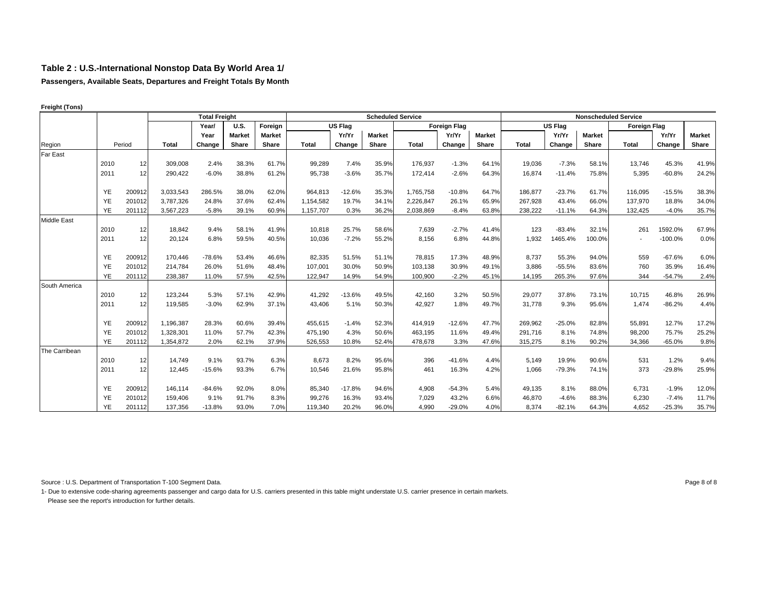**Passengers, Available Seats, Departures and Freight Totals By Month**

|                    |           |        |              | <b>Total Freight</b> |               |               |              |                |               | <b>Scheduled Service</b> |                     |               |              |                |               | <b>Nonscheduled Service</b> |           |               |
|--------------------|-----------|--------|--------------|----------------------|---------------|---------------|--------------|----------------|---------------|--------------------------|---------------------|---------------|--------------|----------------|---------------|-----------------------------|-----------|---------------|
|                    |           |        |              | Year/                | <b>U.S.</b>   | Foreign       |              | <b>US Flag</b> |               |                          | <b>Foreign Flag</b> |               |              | <b>US Flag</b> |               | <b>Foreign Flag</b>         |           |               |
|                    |           |        |              | Year                 | <b>Market</b> | <b>Market</b> |              | Yr/Yr          | <b>Market</b> |                          | Yr/Yr               | <b>Market</b> |              | Yr/Yr          | <b>Market</b> |                             | Yr/Yr     | <b>Market</b> |
| Region             |           | Period | <b>Total</b> | Change               | Share         | Share         | <b>Total</b> | Change         | Share         | <b>Total</b>             | Change              | Share         | <b>Total</b> | Change         | Share         | Total                       | Change    | Share         |
| Far East           |           |        |              |                      |               |               |              |                |               |                          |                     |               |              |                |               |                             |           |               |
|                    | 2010      | 12     | 309.008      | 2.4%                 | 38.3%         | 61.7%         | 99,289       | 7.4%           | 35.9%         | 176,937                  | $-1.3%$             | 64.1%         | 19,036       | $-7.3%$        | 58.1%         | 13.746                      | 45.3%     | 41.9%         |
|                    | 2011      | 12     | 290,422      | $-6.0%$              | 38.8%         | 61.2%         | 95,738       | $-3.6%$        | 35.7%         | 172,414                  | $-2.6%$             | 64.3%         | 16,874       | $-11.4%$       | 75.8%         | 5,395                       | $-60.8%$  | 24.2%         |
|                    |           |        |              |                      |               |               |              |                |               |                          |                     |               |              |                |               |                             |           |               |
|                    | YE        | 200912 | 3,033,543    | 286.5%               | 38.0%         | 62.0%         | 964,813      | $-12.6%$       | 35.3%         | 1,765,758                | $-10.8%$            | 64.7%         | 186,877      | $-23.7%$       | 61.7%         | 116,095                     | $-15.5%$  | 38.3%         |
|                    | YE        | 201012 | 3,787,326    | 24.8%                | 37.6%         | 62.4%         | 1,154,582    | 19.7%          | 34.1%         | 2.226.847                | 26.1%               | 65.9%         | 267.928      | 43.4%          | 66.0%         | 137.970                     | 18.8%     | 34.0%         |
|                    | <b>YE</b> | 201112 | 3,567,223    | $-5.8%$              | 39.1%         | 60.9%         | 1,157,707    | 0.3%           | 36.2%         | 2,038,869                | $-8.4%$             | 63.8%         | 238.222      | $-11.1%$       | 64.3%         | 132,425                     | $-4.0%$   | 35.7%         |
| <b>Middle East</b> |           |        |              |                      |               |               |              |                |               |                          |                     |               |              |                |               |                             |           |               |
|                    | 2010      | 12     | 18,842       | 9.4%                 | 58.1%         | 41.9%         | 10,818       | 25.7%          | 58.6%         | 7,639                    | $-2.7%$             | 41.4%         | 123          | $-83.4%$       | 32.1%         | 261                         | 1592.0%   | 67.9%         |
|                    | 2011      | 12     | 20,124       | 6.8%                 | 59.5%         | 40.5%         | 10,036       | $-7.2%$        | 55.2%         | 8,156                    | 6.8%                | 44.8%         | 1,932        | 1465.4%        | 100.0%        | $\sim$                      | $-100.0%$ | 0.0%          |
|                    |           |        |              |                      |               |               |              |                |               |                          |                     |               |              |                |               |                             |           |               |
|                    | <b>YE</b> | 200912 | 170,446      | $-78.6%$             | 53.4%         | 46.6%         | 82,335       | 51.5%          | 51.1%         | 78,815                   | 17.3%               | 48.9%         | 8,737        | 55.3%          | 94.0%         | 559                         | $-67.6%$  | 6.0%          |
|                    | YE        | 201012 | 214,784      | 26.0%                | 51.6%         | 48.4%         | 107,001      | 30.0%          | 50.9%         | 103,138                  | 30.9%               | 49.1%         | 3,886        | $-55.5%$       | 83.6%         | 760                         | 35.9%     | 16.4%         |
|                    | YE        | 201112 | 238,387      | 11.0%                | 57.5%         | 42.5%         | 122,947      | 14.9%          | 54.9%         | 100,900                  | $-2.2%$             | 45.1%         | 14,195       | 265.3%         | 97.6%         | 344                         | $-54.7%$  | 2.4%          |
| South America      |           |        |              |                      |               |               |              |                |               |                          |                     |               |              |                |               |                             |           |               |
|                    | 2010      | 12     | 123,244      | 5.3%                 | 57.1%         | 42.9%         | 41,292       | $-13.6%$       | 49.5%         | 42,160                   | 3.2%                | 50.5%         | 29,077       | 37.8%          | 73.1%         | 10,715                      | 46.8%     | 26.9%         |
|                    | 2011      | 12     | 119,585      | $-3.0%$              | 62.9%         | 37.1%         | 43.406       | 5.1%           | 50.3%         | 42,927                   | 1.8%                | 49.7%         | 31,778       | 9.3%           | 95.6%         | 1,474                       | $-86.2%$  | 4.4%          |
|                    |           |        |              |                      |               |               |              |                |               |                          |                     |               |              |                |               |                             |           |               |
|                    | YE        | 200912 | 1,196,387    | 28.3%                | 60.6%         | 39.4%         | 455,615      | $-1.4%$        | 52.3%         | 414,919                  | $-12.6%$            | 47.7%         | 269,962      | $-25.0%$       | 82.8%         | 55,891                      | 12.7%     | 17.2%         |
|                    | YE        | 201012 | 1,328,301    | 11.0%                | 57.7%         | 42.3%         | 475,190      | 4.3%           | 50.6%         | 463,195                  | 11.6%               | 49.4%         | 291,716      | 8.1%           | 74.8%         | 98,200                      | 75.7%     | 25.2%         |
|                    | <b>YE</b> | 201112 | 1,354,872    | 2.0%                 | 62.1%         | 37.9%         | 526,553      | 10.8%          | 52.4%         | 478,678                  | 3.3%                | 47.6%         | 315,275      | 8.1%           | 90.2%         | 34,366                      | $-65.0%$  | 9.8%          |
| The Carribean      |           |        |              |                      |               |               |              |                |               |                          |                     |               |              |                |               |                             |           |               |
|                    | 2010      | 12     | 14,749       | 9.1%                 | 93.7%         | 6.3%          | 8,673        | 8.2%           | 95.6%         | 396                      | $-41.6%$            | 4.4%          | 5,149        | 19.9%          | 90.6%         | 531                         | 1.2%      | 9.4%          |
|                    | 2011      | 12     | 12,445       | $-15.6%$             | 93.3%         | 6.7%          | 10,546       | 21.6%          | 95.8%         | 461                      | 16.3%               | 4.2%          | 1,066        | $-79.3%$       | 74.1%         | 373                         | $-29.8%$  | 25.9%         |
|                    |           |        |              |                      |               |               |              |                |               |                          |                     |               |              |                |               |                             |           |               |
|                    | YE        | 200912 | 146,114      | $-84.6%$             | 92.0%         | 8.0%          | 85,340       | $-17.8%$       | 94.6%         | 4,908                    | $-54.3%$            | 5.4%          | 49,135       | 8.1%           | 88.0%         | 6,731                       | $-1.9%$   | 12.0%         |
|                    | YE        | 201012 | 159,406      | 9.1%                 | 91.7%         | 8.3%          | 99,276       | 16.3%          | 93.4%         | 7,029                    | 43.2%               | 6.6%          | 46,870       | $-4.6%$        | 88.3%         | 6,230                       | $-7.4%$   | 11.7%         |
|                    | YE        | 201112 | 137.356      | $-13.8%$             | 93.0%         | 7.0%          | 119,340      | 20.2%          | 96.0%         | 4.990                    | $-29.0%$            | 4.0%          | 8.374        | $-82.1%$       | 64.3%         | 4.652                       | $-25.3%$  | 35.7%         |

**Freight (Tons)** 

Source : U.S. Department of Transportation T-100 Segment Data. 
<br>
Page 8 of 8

1- Due to extensive code-sharing agreements passenger and cargo data for U.S. carriers presented in this table might understate U.S. carrier presence in certain markets.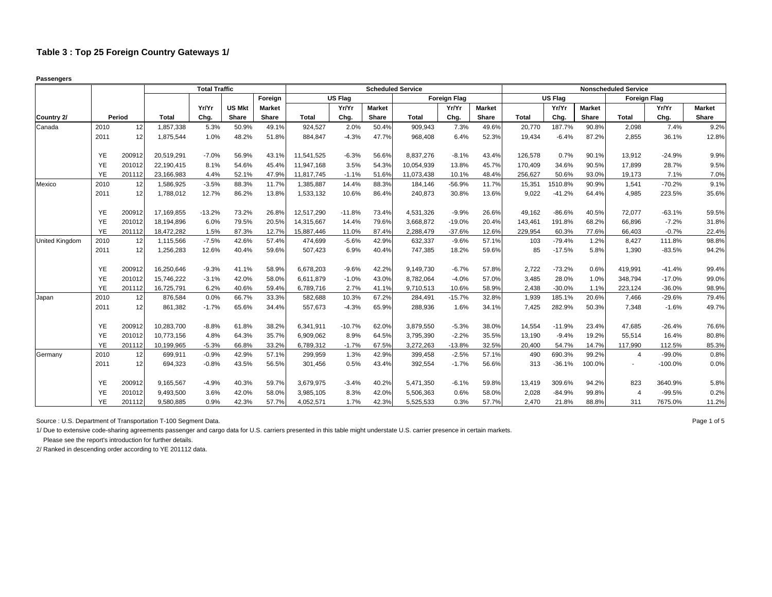**Passengers**

|                       |           |        |              | <b>Total Traffic</b> |               |               |              |          | <b>Scheduled Service</b> |            |                     |               |              |                |               | <b>Nonscheduled Service</b> |           |               |
|-----------------------|-----------|--------|--------------|----------------------|---------------|---------------|--------------|----------|--------------------------|------------|---------------------|---------------|--------------|----------------|---------------|-----------------------------|-----------|---------------|
|                       |           |        |              |                      |               | Foreign       |              | US Flag  |                          |            | <b>Foreign Flag</b> |               |              | <b>US Flag</b> |               | <b>Foreign Flag</b>         |           |               |
|                       |           |        |              | Yr/Yr                | <b>US Mkt</b> | <b>Market</b> |              | Yr/Yr    | <b>Market</b>            |            | Yr/Yr               | <b>Market</b> |              | Yr/Yr          | <b>Market</b> |                             | Yr/Yr     | <b>Market</b> |
| Country 2/            |           | Period | <b>Total</b> | Chg.                 | Share         | Share         | <b>Total</b> | Chg.     | <b>Share</b>             | Total      | Chg.                | Share         | <b>Total</b> | Chg.           | Share         | <b>Total</b>                | Chg.      | Share         |
| Canada                | 2010      | 12     | 1,857,338    | 5.3%                 | 50.9%         | 49.1%         | 924,527      | 2.0%     | 50.4%                    | 909,943    | 7.3%                | 49.6%         | 20,770       | 187.7%         | 90.8%         | 2,098                       | 7.4%      | 9.2%          |
|                       | 2011      | 12     | 1,875,544    | 1.0%                 | 48.2%         | 51.8%         | 884,847      | $-4.3%$  | 47.7%                    | 968,408    | 6.4%                | 52.3%         | 19,434       | $-6.4%$        | 87.2%         | 2,855                       | 36.1%     | 12.8%         |
|                       | YE        | 200912 | 20,519,291   | $-7.0%$              | 56.9%         | 43.1%         | 11,541,525   | $-6.3%$  | 56.6%                    | 8,837,276  | $-8.1%$             | 43.4%         | 126,578      | 0.7%           | 90.1%         | 13,912                      | $-24.9%$  | 9.9%          |
|                       | <b>YE</b> | 201012 | 22,190,415   | 8.1%                 | 54.6%         | 45.4%         | 11,947,168   | 3.5%     | 54.3%                    | 10,054,939 | 13.8%               | 45.7%         | 170,409      | 34.6%          | 90.5%         | 17,899                      | 28.7%     | 9.5%          |
|                       | YE        | 201112 | 23,166,983   | 4.4%                 | 52.1%         | 47.9%         | 11,817,745   | $-1.1%$  | 51.6%                    | 11,073,438 | 10.1%               | 48.4%         | 256,627      | 50.6%          | 93.0%         | 19,173                      | 7.1%      | 7.0%          |
| Mexico                | 2010      | 12     | 1,586,925    | $-3.5%$              | 88.3%         | 11.7%         | 1,385,887    | 14.4%    | 88.3%                    | 184.146    | $-56.9%$            | 11.7%         | 15,351       | 1510.8%        | 90.9%         | 1.541                       | $-70.2%$  | 9.1%          |
|                       | 2011      | 12     | 1,788,012    | 12.7%                | 86.2%         | 13.8%         | 1,533,132    | 10.6%    | 86.4%                    | 240,873    | 30.8%               | 13.6%         | 9,022        | $-41.2%$       | 64.4%         | 4,985                       | 223.5%    | 35.6%         |
|                       | YE        | 200912 | 17,169,855   | $-13.2%$             | 73.2%         | 26.8%         | 12,517,290   | $-11.8%$ | 73.4%                    | 4,531,326  | $-9.9%$             | 26.6%         | 49,162       | $-86.6%$       | 40.5%         | 72,077                      | $-63.1%$  | 59.5%         |
|                       | YE        | 201012 | 18,194,896   | 6.0%                 | 79.5%         | 20.5%         | 14,315,667   | 14.4%    | 79.6%                    | 3,668,872  | $-19.0%$            | 20.4%         | 143,461      | 191.8%         | 68.2%         | 66,896                      | $-7.2%$   | 31.8%         |
|                       | <b>YE</b> | 201112 | 18,472,282   | 1.5%                 | 87.3%         | 12.7%         | 15,887,446   | 11.0%    | 87.4%                    | 2,288,479  | $-37.6%$            | 12.6%         | 229,954      | 60.3%          | 77.6%         | 66,403                      | $-0.7%$   | 22.4%         |
| <b>United Kingdom</b> | 2010      | 12     | 1,115,566    | $-7.5%$              | 42.6%         | 57.4%         | 474,699      | $-5.6%$  | 42.9%                    | 632,337    | $-9.6%$             | 57.1%         | 103          | $-79.4%$       | 1.2%          | 8,427                       | 111.8%    | 98.8%         |
|                       | 2011      | 12     | 1,256,283    | 12.6%                | 40.4%         | 59.6%         | 507,423      | 6.9%     | 40.4%                    | 747,385    | 18.2%               | 59.6%         | 85           | $-17.5%$       | 5.8%          | 1.390                       | $-83.5%$  | 94.2%         |
|                       | YE        | 200912 | 16,250,646   | $-9.3%$              | 41.1%         | 58.9%         | 6,678,203    | $-9.6%$  | 42.2%                    | 9,149,730  | $-6.7%$             | 57.8%         | 2,722        | $-73.2%$       | 0.6%          | 419,991                     | $-41.4%$  | 99.4%         |
|                       | YE        | 201012 | 15,746,222   | $-3.1%$              | 42.0%         | 58.0%         | 6,611,879    | $-1.0%$  | 43.0%                    | 8,782,064  | $-4.0%$             | 57.0%         | 3,485        | 28.0%          | 1.0%          | 348,794                     | $-17.0%$  | 99.0%         |
|                       | YE        | 201112 | 16,725,791   | 6.2%                 | 40.6%         | 59.4%         | 6,789,716    | 2.7%     | 41.1%                    | 9,710,513  | 10.6%               | 58.9%         | 2,438        | $-30.0%$       | 1.1%          | 223,124                     | $-36.0%$  | 98.9%         |
| Japan                 | 2010      | 12     | 876,584      | 0.0%                 | 66.7%         | 33.3%         | 582,688      | 10.3%    | 67.2%                    | 284,491    | $-15.7%$            | 32.8%         | 1,939        | 185.1%         | 20.6%         | 7,466                       | $-29.6%$  | 79.4%         |
|                       | 2011      | 12     | 861,382      | $-1.7%$              | 65.6%         | 34.4%         | 557,673      | $-4.3%$  | 65.9%                    | 288,936    | 1.6%                | 34.1%         | 7,425        | 282.9%         | 50.3%         | 7,348                       | $-1.6%$   | 49.7%         |
|                       | YE        | 200912 | 10,283,700   | $-8.8%$              | 61.8%         | 38.2%         | 6,341,911    | $-10.7%$ | 62.0%                    | 3,879,550  | $-5.3%$             | 38.0%         | 14,554       | $-11.9%$       | 23.4%         | 47,685                      | $-26.4%$  | 76.6%         |
|                       | YE        | 201012 | 10,773,156   | 4.8%                 | 64.3%         | 35.7%         | 6,909,062    | 8.9%     | 64.5%                    | 3,795,390  | $-2.2%$             | 35.5%         | 13,190       | $-9.4%$        | 19.2%         | 55,514                      | 16.4%     | 80.8%         |
|                       | YE.       | 201112 | 10,199,965   | $-5.3%$              | 66.8%         | 33.2%         | 6,789,312    | $-1.7%$  | 67.5%                    | 3.272.263  | $-13.8%$            | 32.5%         | 20,400       | 54.7%          | 14.7%         | 117.990                     | 112.5%    | 85.3%         |
| Germany               | 2010      | 12     | 699,911      | $-0.9%$              | 42.9%         | 57.1%         | 299,959      | 1.3%     | 42.9%                    | 399,458    | $-2.5%$             | 57.1%         | 490          | 690.3%         | 99.2%         | $\overline{4}$              | $-99.0%$  | 0.8%          |
|                       | 2011      | 12     | 694,323      | $-0.8%$              | 43.5%         | 56.5%         | 301,456      | 0.5%     | 43.4%                    | 392,554    | $-1.7%$             | 56.6%         | 313          | $-36.1%$       | 100.0%        | $\blacksquare$              | $-100.0%$ | 0.0%          |
|                       | YE        | 200912 | 9,165,567    | $-4.9%$              | 40.3%         | 59.7%         | 3,679,975    | $-3.4%$  | 40.2%                    | 5,471,350  | $-6.1%$             | 59.8%         | 13,419       | 309.6%         | 94.2%         | 823                         | 3640.9%   | 5.8%          |
|                       | YE        | 201012 | 9,493,500    | 3.6%                 | 42.0%         | 58.0%         | 3,985,105    | 8.3%     | 42.0%                    | 5,506,363  | 0.6%                | 58.0%         | 2,028        | $-84.9%$       | 99.8%         | $\overline{4}$              | $-99.5%$  | 0.2%          |
|                       | <b>YE</b> | 201112 | 9,580,885    | 0.9%                 | 42.3%         | 57.7%         | 4,052,571    | 1.7%     | 42.3%                    | 5,525,533  | 0.3%                | 57.7%         | 2.470        | 21.8%          | 88.8%         | 311                         | 7675.0%   | 11.2%         |

Source : U.S. Department of Transportation T-100 Segment Data. 
<br>
Page 1 of 5

1/ Due to extensive code-sharing agreements passenger and cargo data for U.S. carriers presented in this table might understate U.S. carrier presence in certain markets.

Please see the report's introduction for further details.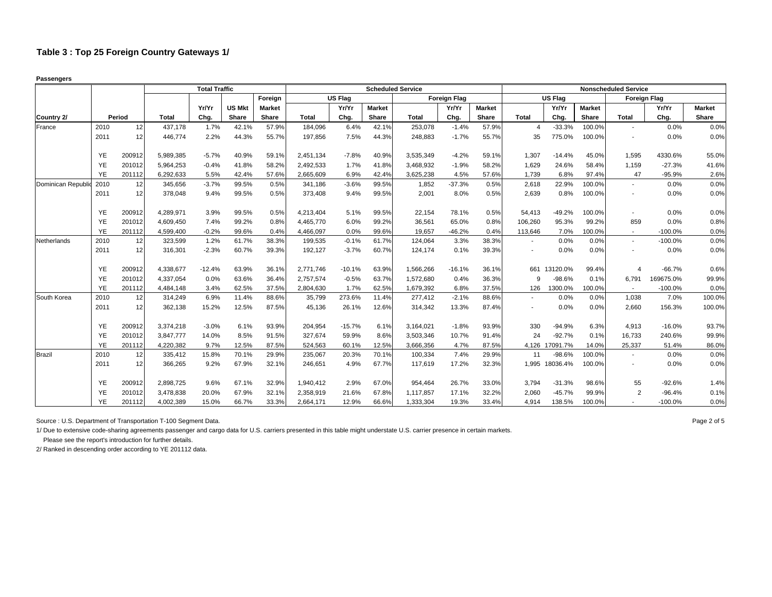**Passengers**

|                   |           |        |              | <b>Total Traffic</b> |               |               |           |          |               | <b>Scheduled Service</b> |                     |               |                |                |               | <b>Nonscheduled Service</b> |                     |               |
|-------------------|-----------|--------|--------------|----------------------|---------------|---------------|-----------|----------|---------------|--------------------------|---------------------|---------------|----------------|----------------|---------------|-----------------------------|---------------------|---------------|
|                   |           |        |              |                      |               | Foreign       |           | US Flag  |               |                          | <b>Foreign Flag</b> |               |                | <b>US Flag</b> |               |                             | <b>Foreign Flag</b> |               |
|                   |           |        |              | Yr/Yr                | <b>US Mkt</b> | <b>Market</b> |           | Yr/Yr    | <b>Market</b> |                          | Yr/Yr               | <b>Market</b> |                | Yr/Yr          | <b>Market</b> |                             | Yr/Yr               | <b>Market</b> |
| Country 2/        |           | Period | <b>Total</b> | Chg.                 | Share         | Share         | Total     | Chg.     | <b>Share</b>  | <b>Total</b>             | Chg.                | Share         | Total          | Chg.           | Share         | <b>Total</b>                | Chg.                | Share         |
| France            | 2010      | 12     | 437,178      | 1.7%                 | 42.1%         | 57.9%         | 184,096   | 6.4%     | 42.1%         | 253,078                  | $-1.4%$             | 57.9%         | $\overline{4}$ | $-33.3%$       | 100.0%        | $\overline{\phantom{a}}$    | 0.0%                | 0.0%          |
|                   | 2011      | 12     | 446.774      | 2.2%                 | 44.3%         | 55.7%         | 197.856   | 7.5%     | 44.3%         | 248.883                  | $-1.7%$             | 55.7%         | 35             | 775.0%         | 100.0%        | $\blacksquare$              | 0.0%                | 0.0%          |
|                   | YE        | 200912 | 5,989,385    | $-5.7%$              | 40.9%         | 59.1%         | 2,451,134 | $-7.8%$  | 40.9%         | 3,535,349                | $-4.2%$             | 59.1%         | 1,307          | $-14.4%$       | 45.0%         | 1,595                       | 4330.6%             | 55.0%         |
|                   | YE        | 201012 | 5,964,253    | $-0.4%$              | 41.8%         | 58.2%         | 2,492,533 | 1.7%     | 41.8%         | 3,468,932                | $-1.9%$             | 58.2%         | 1,629          | 24.6%          | 58.4%         | 1,159                       | $-27.3%$            | 41.6%         |
|                   | <b>YE</b> | 201112 | 6,292,633    | 5.5%                 | 42.4%         | 57.6%         | 2,665,609 | 6.9%     | 42.4%         | 3,625,238                | 4.5%                | 57.6%         | 1.739          | 6.8%           | 97.4%         | 47                          | $-95.9%$            | 2.6%          |
| Dominican Republi | 2010      | 12     | 345,656      | $-3.7%$              | 99.5%         | 0.5%          | 341,186   | $-3.6%$  | 99.5%         | 1,852                    | $-37.3%$            | 0.5%          | 2,618          | 22.9%          | 100.0%        | $\blacksquare$              | 0.0%                | 0.0%          |
|                   | 2011      | 12     | 378,048      | 9.4%                 | 99.5%         | 0.5%          | 373,408   | 9.4%     | 99.5%         | 2,001                    | 8.0%                | 0.5%          | 2,639          | 0.8%           | 100.0%        | $\overline{\phantom{a}}$    | 0.0%                | 0.0%          |
|                   | YE        | 200912 | 4,289,971    | 3.9%                 | 99.5%         | 0.5%          | 4,213,404 | 5.1%     | 99.5%         | 22,154                   | 78.1%               | 0.5%          | 54,413         | $-49.2%$       | 100.0%        |                             | 0.0%                | 0.0%          |
|                   | YE        | 201012 | 4.609.450    | 7.4%                 | 99.2%         | 0.8%          | 4.465.770 | 6.0%     | 99.2%         | 36,561                   | 65.0%               | 0.8%          | 106,260        | 95.3%          | 99.2%         | 859                         | 0.0%                | 0.8%          |
|                   | YE        | 201112 | 4,599,400    | $-0.2%$              | 99.6%         | 0.4%          | 4,466,097 | 0.0%     | 99.6%         | 19,657                   | $-46.2%$            | 0.4%          | 113,646        | 7.0%           | 100.0%        | $\overline{\phantom{a}}$    | $-100.0%$           | 0.0%          |
| Netherlands       | 2010      | 12     | 323,599      | 1.2%                 | 61.7%         | 38.3%         | 199,535   | $-0.1%$  | 61.7%         | 124,064                  | 3.3%                | 38.3%         | $\sim$         | 0.0%           | 0.0%          | $\sim$                      | $-100.0%$           | 0.0%          |
|                   | 2011      | 12     | 316,301      | $-2.3%$              | 60.7%         | 39.3%         | 192,127   | $-3.7%$  | 60.7%         | 124,174                  | 0.1%                | 39.3%         |                | 0.0%           | 0.0%          |                             | 0.0%                | 0.0%          |
|                   | YE        | 200912 | 4,338,677    | $-12.4%$             | 63.9%         | 36.1%         | 2,771,746 | $-10.1%$ | 63.9%         | 1,566,266                | $-16.1%$            | 36.1%         |                | 661 13120.0%   | 99.4%         |                             | $-66.7%$            | 0.6%          |
|                   | YE        | 201012 | 4,337,054    | 0.0%                 | 63.6%         | 36.4%         | 2,757,574 | $-0.5%$  | 63.7%         | 1,572,680                | 0.4%                | 36.3%         | 9              | $-98.6%$       | 0.1%          | 6,791                       | 169675.0%           | 99.9%         |
|                   | YE        | 201112 | 4,484,148    | 3.4%                 | 62.5%         | 37.5%         | 2,804,630 | 1.7%     | 62.5%         | 1,679,392                | 6.8%                | 37.5%         | 126            | 1300.0%        | 100.0%        | $\sim$                      | $-100.0%$           | 0.0%          |
| South Korea       | 2010      | 12     | 314,249      | 6.9%                 | 11.4%         | 88.6%         | 35,799    | 273.6%   | 11.4%         | 277,412                  | $-2.1%$             | 88.6%         |                | 0.0%           | 0.0%          | 1,038                       | 7.0%                | 100.0%        |
|                   | 2011      | 12     | 362,138      | 15.2%                | 12.5%         | 87.5%         | 45,136    | 26.1%    | 12.6%         | 314,342                  | 13.3%               | 87.4%         |                | 0.0%           | 0.0%          | 2,660                       | 156.3%              | 100.0%        |
|                   | YE        | 200912 | 3,374,218    | $-3.0%$              | 6.1%          | 93.9%         | 204,954   | $-15.7%$ | 6.1%          | 3,164,021                | $-1.8%$             | 93.9%         | 330            | $-94.9%$       | 6.3%          | 4,913                       | $-16.0%$            | 93.7%         |
|                   | YE        | 201012 | 3,847,777    | 14.0%                | 8.5%          | 91.5%         | 327,674   | 59.9%    | 8.6%          | 3,503,346                | 10.7%               | 91.4%         | 24             | $-92.7%$       | 0.1%          | 16,733                      | 240.6%              | 99.9%         |
|                   | YE        | 201112 | 4,220,382    | 9.7%                 | 12.5%         | 87.5%         | 524,563   | 60.1%    | 12.5%         | 3.666.356                | 4.7%                | 87.5%         |                | 4,126 17091.7% | 14.0%         | 25,337                      | 51.4%               | 86.0%         |
| <b>Brazil</b>     | 2010      | 12     | 335,412      | 15.8%                | 70.1%         | 29.9%         | 235,067   | 20.3%    | 70.1%         | 100,334                  | 7.4%                | 29.9%         | 11             | $-98.6%$       | 100.0%        |                             | 0.0%                | 0.0%          |
|                   | 2011      | 12     | 366,265      | 9.2%                 | 67.9%         | 32.1%         | 246,651   | 4.9%     | 67.7%         | 117,619                  | 17.2%               | 32.3%         | 1,995          | 18036.4%       | 100.0%        |                             | 0.0%                | 0.0%          |
|                   | YE        | 200912 | 2,898,725    | 9.6%                 | 67.1%         | 32.9%         | 1,940,412 | 2.9%     | 67.0%         | 954.464                  | 26.7%               | 33.0%         | 3.794          | $-31.3%$       | 98.6%         | 55                          | $-92.6%$            | 1.4%          |
|                   | YE        | 201012 | 3,478,838    | 20.0%                | 67.9%         | 32.1%         | 2,358,919 | 21.6%    | 67.8%         | 1,117,857                | 17.1%               | 32.2%         | 2,060          | $-45.7%$       | 99.9%         | $\overline{2}$              | $-96.4%$            | 0.1%          |
|                   | <b>YE</b> | 201112 | 4,002,389    | 15.0%                | 66.7%         | 33.3%         | 2,664,171 | 12.9%    | 66.6%         | 1,333,304                | 19.3%               | 33.4%         | 4,914          | 138.5%         | 100.0%        |                             | $-100.0%$           | 0.0%          |

Source : U.S. Department of Transportation T-100 Segment Data. 
<br>
Page 2 of 5

1/ Due to extensive code-sharing agreements passenger and cargo data for U.S. carriers presented in this table might understate U.S. carrier presence in certain markets.

Please see the report's introduction for further details.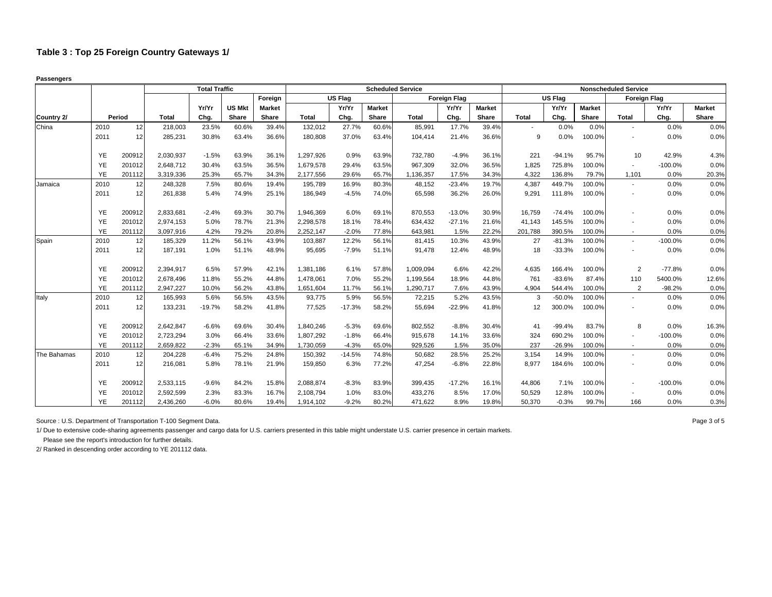**Passengers**

|             |           |        |           | <b>Total Traffic</b> |               |               |              |          |               | <b>Scheduled Service</b> |                     |               |              |                |               | <b>Nonscheduled Service</b> |           |               |
|-------------|-----------|--------|-----------|----------------------|---------------|---------------|--------------|----------|---------------|--------------------------|---------------------|---------------|--------------|----------------|---------------|-----------------------------|-----------|---------------|
|             |           |        |           |                      |               | Foreign       |              | US Flag  |               |                          | <b>Foreign Flag</b> |               |              | <b>US Flag</b> |               | <b>Foreign Flag</b>         |           |               |
|             |           |        |           | Yr/Yr                | <b>US Mkt</b> | <b>Market</b> |              | Yr/Yr    | <b>Market</b> |                          | Yr/Yr               | <b>Market</b> |              | Yr/Yr          | <b>Market</b> |                             | Yr/Yr     | <b>Market</b> |
| Country 2/  |           | Period | Total     | Chg.                 | Share         | Share         | <b>Total</b> | Chg.     | Share         | <b>Total</b>             | Chg.                | Share         | <b>Total</b> | Chg.           | Share         | <b>Total</b>                | Chg.      | Share         |
| China       | 2010      | 12     | 218,003   | 23.5%                | 60.6%         | 39.4%         | 132,012      | 27.7%    | 60.6%         | 85,991                   | 17.7%               | 39.4%         |              | 0.0%           | 0.0%          | $\blacksquare$              | 0.0%      | 0.0%          |
|             | 2011      | 12     | 285,231   | 30.8%                | 63.4%         | 36.6%         | 180,808      | 37.0%    | 63.4%         | 104,414                  | 21.4%               | 36.6%         | 9            | 0.0%           | 100.0%        | ٠                           | 0.0%      | 0.0%          |
|             | YE        | 200912 | 2,030,937 | $-1.5%$              | 63.9%         | 36.1%         | 1,297,926    | 0.9%     | 63.9%         | 732,780                  | $-4.9%$             | 36.1%         | 221          | $-94.1%$       | 95.7%         | 10                          | 42.9%     | 4.3%          |
|             | YE        | 201012 | 2,648,712 | 30.4%                | 63.5%         | 36.5%         | 1,679,578    | 29.4%    | 63.5%         | 967,309                  | 32.0%               | 36.5%         | 1,825        | 725.8%         | 100.0%        | $\overline{\phantom{a}}$    | $-100.0%$ | 0.0%          |
|             | YE        | 201112 | 3,319,336 | 25.3%                | 65.7%         | 34.3%         | 2,177,556    | 29.6%    | 65.7%         | 1,136,357                | 17.5%               | 34.3%         | 4,322        | 136.8%         | 79.7%         | 1,101                       | 0.0%      | 20.3%         |
| Jamaica     | 2010      | 12     | 248,328   | 7.5%                 | 80.6%         | 19.4%         | 195,789      | 16.9%    | 80.3%         | 48,152                   | $-23.4%$            | 19.7%         | 4,387        | 449.7%         | 100.0%        | $\overline{\phantom{a}}$    | 0.0%      | 0.0%          |
|             | 2011      | 12     | 261,838   | 5.4%                 | 74.9%         | 25.1%         | 186,949      | $-4.5%$  | 74.0%         | 65,598                   | 36.2%               | 26.0%         | 9,291        | 111.8%         | 100.0%        | $\blacksquare$              | 0.0%      | 0.0%          |
|             | YE        | 200912 | 2,833,681 | $-2.4%$              | 69.3%         | 30.7%         | 1,946,369    | 6.0%     | 69.1%         | 870,553                  | $-13.0%$            | 30.9%         | 16.759       | $-74.4%$       | 100.0%        |                             | 0.0%      | 0.0%          |
|             | YE        | 201012 | 2.974.153 | 5.0%                 | 78.7%         | 21.3%         | 2.298.578    | 18.1%    | 78.4%         | 634.432                  | $-27.1%$            | 21.6%         | 41.143       | 145.5%         | 100.0%        |                             | 0.0%      | 0.0%          |
|             | <b>YE</b> | 201112 | 3,097,916 | 4.2%                 | 79.2%         | 20.8%         | 2,252,147    | $-2.0%$  | 77.8%         | 643,981                  | 1.5%                | 22.2%         | 201,788      | 390.5%         | 100.0%        | $\overline{\phantom{a}}$    | 0.0%      | 0.0%          |
| Spain       | 2010      | 12     | 185,329   | 11.2%                | 56.1%         | 43.9%         | 103,887      | 12.2%    | 56.1%         | 81,415                   | 10.3%               | 43.9%         | 27           | $-81.3%$       | 100.0%        | $\blacksquare$              | $-100.0%$ | 0.0%          |
|             | 2011      | 12     | 187,191   | 1.0%                 | 51.1%         | 48.9%         | 95,695       | $-7.9%$  | 51.1%         | 91,478                   | 12.4%               | 48.9%         | 18           | $-33.3%$       | 100.0%        |                             | 0.0%      | 0.0%          |
|             | YE        | 200912 | 2,394,917 | 6.5%                 | 57.9%         | 42.1%         | 1,381,186    | 6.1%     | 57.8%         | 1,009,094                | 6.6%                | 42.2%         | 4,635        | 166.4%         | 100.0%        | $\overline{2}$              | $-77.8%$  | 0.0%          |
|             | YE        | 201012 | 2,678,496 | 11.8%                | 55.2%         | 44.8%         | 1,478,061    | 7.0%     | 55.2%         | 1,199,564                | 18.9%               | 44.8%         | 761          | $-83.6%$       | 87.4%         | 110                         | 5400.0%   | 12.6%         |
|             | YE        | 201112 | 2,947,227 | 10.0%                | 56.2%         | 43.8%         | 1,651,604    | 11.7%    | 56.1%         | 1,290,717                | 7.6%                | 43.9%         | 4,904        | 544.4%         | 100.0%        | 2                           | $-98.2%$  | 0.0%          |
| Italy       | 2010      | 12     | 165,993   | 5.6%                 | 56.5%         | 43.5%         | 93,775       | 5.9%     | 56.5%         | 72,215                   | 5.2%                | 43.5%         | 3            | $-50.0%$       | 100.0%        | $\blacksquare$              | 0.0%      | 0.0%          |
|             | 2011      | 12     | 133,231   | $-19.7%$             | 58.2%         | 41.8%         | 77,525       | $-17.3%$ | 58.2%         | 55,694                   | $-22.9%$            | 41.8%         | 12           | 300.0%         | 100.0%        |                             | 0.0%      | 0.0%          |
|             | YE        | 200912 | 2,642,847 | $-6.6%$              | 69.6%         | 30.4%         | 1,840,246    | $-5.3%$  | 69.6%         | 802,552                  | $-8.8%$             | 30.4%         | 41           | $-99.4%$       | 83.7%         | 8                           | 0.0%      | 16.3%         |
|             | YE        | 201012 | 2,723,294 | 3.0%                 | 66.4%         | 33.6%         | 1,807,292    | $-1.8%$  | 66.4%         | 915,678                  | 14.1%               | 33.6%         | 324          | 690.2%         | 100.0%        | $\overline{\phantom{a}}$    | $-100.0%$ | 0.0%          |
|             | YE        | 201112 | 2,659,822 | $-2.3%$              | 65.1%         | 34.9%         | 1,730,059    | $-4.3%$  | 65.0%         | 929,526                  | 1.5%                | 35.0%         | 237          | $-26.9%$       | 100.0%        | $\overline{\phantom{a}}$    | 0.0%      | 0.0%          |
| The Bahamas | 2010      | 12     | 204,228   | $-6.4%$              | 75.2%         | 24.8%         | 150,392      | $-14.5%$ | 74.8%         | 50,682                   | 28.5%               | 25.2%         | 3,154        | 14.9%          | 100.0%        |                             | 0.0%      | 0.0%          |
|             | 2011      | 12     | 216,081   | 5.8%                 | 78.1%         | 21.9%         | 159,850      | 6.3%     | 77.2%         | 47,254                   | $-6.8%$             | 22.8%         | 8,977        | 184.6%         | 100.0%        |                             | 0.0%      | 0.0%          |
|             | YE        | 200912 | 2,533,115 | $-9.6%$              | 84.2%         | 15.8%         | 2,088,874    | $-8.3%$  | 83.9%         | 399,435                  | $-17.2%$            | 16.1%         | 44,806       | 7.1%           | 100.0%        |                             | $-100.0%$ | 0.0%          |
|             | YE        | 201012 | 2,592,599 | 2.3%                 | 83.3%         | 16.7%         | 2,108,794    | 1.0%     | 83.0%         | 433,276                  | 8.5%                | 17.0%         | 50,529       | 12.8%          | 100.0%        |                             | 0.0%      | 0.0%          |
|             | <b>YE</b> | 201112 | 2,436,260 | $-6.0%$              | 80.6%         | 19.4%         | 1,914,102    | $-9.2%$  | 80.2%         | 471,622                  | 8.9%                | 19.8%         | 50,370       | $-0.3%$        | 99.7%         | 166                         | 0.0%      | 0.3%          |

Source : U.S. Department of Transportation T-100 Segment Data. 
<br>
Page 3 of 5

1/ Due to extensive code-sharing agreements passenger and cargo data for U.S. carriers presented in this table might understate U.S. carrier presence in certain markets.

Please see the report's introduction for further details.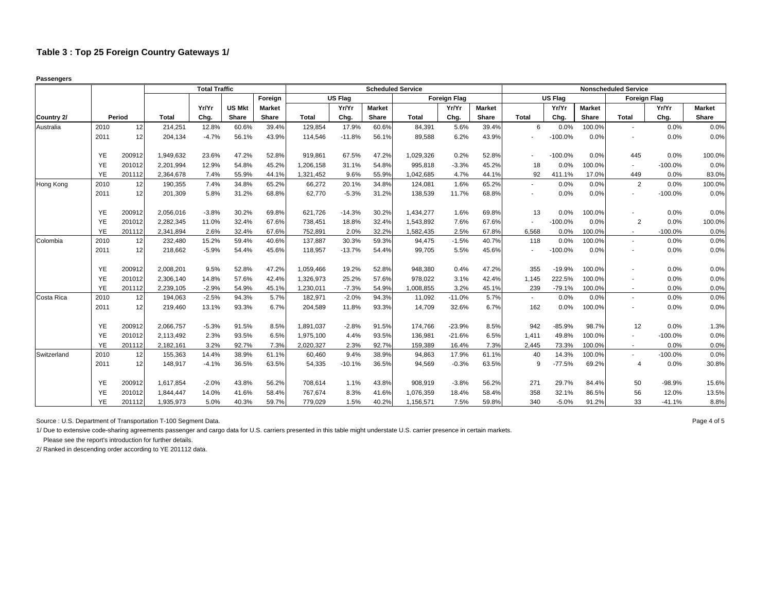**Passengers**

|             |           |        |              | <b>Total Traffic</b> |               |               |              |                |               | <b>Scheduled Service</b> |                     |               |              |                |               | <b>Nonscheduled Service</b> |           |               |
|-------------|-----------|--------|--------------|----------------------|---------------|---------------|--------------|----------------|---------------|--------------------------|---------------------|---------------|--------------|----------------|---------------|-----------------------------|-----------|---------------|
|             |           |        |              |                      |               | Foreign       |              | <b>US Flag</b> |               |                          | <b>Foreign Flag</b> |               |              | <b>US Flag</b> |               | <b>Foreign Flag</b>         |           |               |
|             |           |        |              | Yr/Yr                | <b>US Mkt</b> | <b>Market</b> |              | Yr/Yr          | <b>Market</b> |                          | Yr/Yr               | <b>Market</b> |              | Yr/Yr          | <b>Market</b> |                             | Yr/Yr     | <b>Market</b> |
| Country 2/  |           | Period | <b>Total</b> | Chg.                 | Share         | Share         | <b>Total</b> | Chg.           | Share         | <b>Total</b>             | Chg.                | Share         | <b>Total</b> | Chg.           | Share         | <b>Total</b>                | Chg.      | Share         |
| Australia   | 2010      | 12     | 214,251      | 12.8%                | 60.6%         | 39.4%         | 129,854      | 17.9%          | 60.6%         | 84,391                   | 5.6%                | 39.4%         | 6            | 0.0%           | 100.0%        | $\overline{\phantom{a}}$    | 0.0%      | 0.0%          |
|             | 2011      | 12     | 204.134      | $-4.7%$              | 56.1%         | 43.9%         | 114,546      | $-11.8%$       | 56.1%         | 89.588                   | 6.2%                | 43.9%         |              | $-100.0%$      | 0.0%          | $\blacksquare$              | 0.0%      | 0.0%          |
|             | YE        | 200912 | 1,949,632    | 23.6%                | 47.2%         | 52.8%         | 919,861      | 67.5%          | 47.2%         | 1,029,326                | 0.2%                | 52.8%         |              | $-100.0%$      | 0.0%          | 445                         | 0.0%      | 100.0%        |
|             | YE        | 201012 | 2,201,994    | 12.9%                | 54.8%         | 45.2%         | 1,206,158    | 31.1%          | 54.8%         | 995,818                  | $-3.3%$             | 45.2%         | 18           | 0.0%           | 100.0%        | $\overline{\phantom{a}}$    | $-100.0%$ | 0.0%          |
|             | YE        | 201112 | 2,364,678    | 7.4%                 | 55.9%         | 44.1%         | 1,321,452    | 9.6%           | 55.9%         | 1.042.685                | 4.7%                | 44.1%         | 92           | 411.1%         | 17.0%         | 449                         | 0.0%      | 83.0%         |
| Hong Kong   | 2010      | 12     | 190,355      | 7.4%                 | 34.8%         | 65.2%         | 66,272       | 20.1%          | 34.8%         | 124,081                  | 1.6%                | 65.2%         |              | 0.0%           | 0.0%          | 2                           | 0.0%      | 100.0%        |
|             | 2011      | 12     | 201,309      | 5.8%                 | 31.2%         | 68.8%         | 62,770       | $-5.3%$        | 31.2%         | 138,539                  | 11.7%               | 68.8%         |              | 0.0%           | 0.0%          | $\overline{\phantom{a}}$    | $-100.0%$ | 0.0%          |
|             | YE        | 200912 | 2,056,016    | $-3.8%$              | 30.2%         | 69.8%         | 621,726      | $-14.3%$       | 30.2%         | 1,434,277                | 1.6%                | 69.8%         | 13           | 0.0%           | 100.0%        |                             | 0.0%      | 0.0%          |
|             | YE        | 201012 | 2,282,345    | 11.0%                | 32.4%         | 67.6%         | 738,451      | 18.8%          | 32.4%         | 1.543.892                | 7.6%                | 67.6%         |              | $-100.0%$      | 0.0%          | $\overline{2}$              | 0.0%      | 100.0%        |
|             | YE        | 201112 | 2,341,894    | 2.6%                 | 32.4%         | 67.6%         | 752,891      | 2.0%           | 32.2%         | 1,582,435                | 2.5%                | 67.8%         | 6,568        | 0.0%           | 100.0%        | $\sim$                      | $-100.0%$ | 0.0%          |
| Colombia    | 2010      | 12     | 232,480      | 15.2%                | 59.4%         | 40.6%         | 137,887      | 30.3%          | 59.3%         | 94,475                   | $-1.5%$             | 40.7%         | 118          | 0.0%           | 100.0%        | $\sim$                      | 0.0%      | 0.0%          |
|             | 2011      | 12     | 218,662      | $-5.9%$              | 54.4%         | 45.6%         | 118,957      | $-13.7%$       | 54.4%         | 99,705                   | 5.5%                | 45.6%         |              | $-100.0%$      | 0.0%          |                             | 0.0%      | 0.0%          |
|             | YE        | 200912 | 2,008,201    | 9.5%                 | 52.8%         | 47.2%         | 1,059,466    | 19.2%          | 52.8%         | 948.380                  | 0.4%                | 47.2%         | 355          | $-19.9%$       | 100.0%        |                             | 0.0%      | 0.0%          |
|             | YE        | 201012 | 2,306,140    | 14.8%                | 57.6%         | 42.4%         | 1,326,973    | 25.2%          | 57.6%         | 978,022                  | 3.1%                | 42.4%         | 1,145        | 222.5%         | 100.0%        |                             | 0.0%      | 0.0%          |
|             | YE        | 201112 | 2,239,105    | $-2.9%$              | 54.9%         | 45.1%         | 1,230,011    | $-7.3%$        | 54.9%         | 1,008,855                | 3.2%                | 45.1%         | 239          | $-79.1%$       | 100.0%        | $\sim$                      | 0.0%      | 0.0%          |
| Costa Rica  | 2010      | 12     | 194,063      | $-2.5%$              | 94.3%         | 5.7%          | 182,971      | $-2.0%$        | 94.3%         | 11,092                   | $-11.0%$            | 5.7%          |              | 0.0%           | 0.0%          | $\blacksquare$              | 0.0%      | 0.0%          |
|             | 2011      | 12     | 219,460      | 13.1%                | 93.3%         | 6.7%          | 204,589      | 11.8%          | 93.3%         | 14,709                   | 32.6%               | 6.7%          | 162          | 0.0%           | 100.0%        |                             | 0.0%      | 0.0%          |
|             | YE        | 200912 | 2,066,757    | $-5.3%$              | 91.5%         | 8.5%          | 1,891,037    | $-2.8%$        | 91.5%         | 174,766                  | $-23.9%$            | 8.5%          | 942          | $-85.9%$       | 98.7%         | 12                          | 0.0%      | 1.3%          |
|             | YE        | 201012 | 2,113,492    | 2.3%                 | 93.5%         | 6.5%          | 1,975,100    | 4.4%           | 93.5%         | 136,981                  | $-21.6%$            | 6.5%          | 1,411        | 49.8%          | 100.0%        | $\sim$                      | $-100.0%$ | 0.0%          |
|             | YE        | 201112 | 2,182,161    | 3.2%                 | 92.7%         | 7.3%          | 2,020,327    | 2.3%           | 92.7%         | 159,389                  | 16.4%               | 7.3%          | 2,445        | 73.3%          | 100.0%        | $\sim$                      | 0.0%      | 0.0%          |
| Switzerland | 2010      | 12     | 155,363      | 14.4%                | 38.9%         | 61.1%         | 60,460       | 9.4%           | 38.9%         | 94,863                   | 17.9%               | 61.1%         | 40           | 14.3%          | 100.0%        |                             | $-100.0%$ | 0.0%          |
|             | 2011      | 12     | 148,917      | $-4.1%$              | 36.5%         | 63.5%         | 54,335       | $-10.1%$       | 36.5%         | 94,569                   | $-0.3%$             | 63.5%         | 9            | $-77.5%$       | 69.2%         | 4                           | 0.0%      | 30.8%         |
|             | YE        | 200912 | 1.617.854    | $-2.0%$              | 43.8%         | 56.2%         | 708,614      | 1.1%           | 43.8%         | 908.919                  | $-3.8%$             | 56.2%         | 271          | 29.7%          | 84.4%         | 50                          | $-98.9%$  | 15.6%         |
|             | YE        | 201012 | 1,844,447    | 14.0%                | 41.6%         | 58.4%         | 767,674      | 8.3%           | 41.6%         | 1,076,359                | 18.4%               | 58.4%         | 358          | 32.1%          | 86.5%         | 56                          | 12.0%     | 13.5%         |
|             | <b>YE</b> | 201112 | 1,935,973    | 5.0%                 | 40.3%         | 59.7%         | 779,029      | 1.5%           | 40.2%         | 1,156,571                | 7.5%                | 59.8%         | 340          | $-5.0%$        | 91.2%         | 33                          | $-41.1%$  | 8.8%          |

Source : U.S. Department of Transportation T-100 Segment Data. 
<br>
Page 4 of 5

1/ Due to extensive code-sharing agreements passenger and cargo data for U.S. carriers presented in this table might understate U.S. carrier presence in certain markets.

Please see the report's introduction for further details.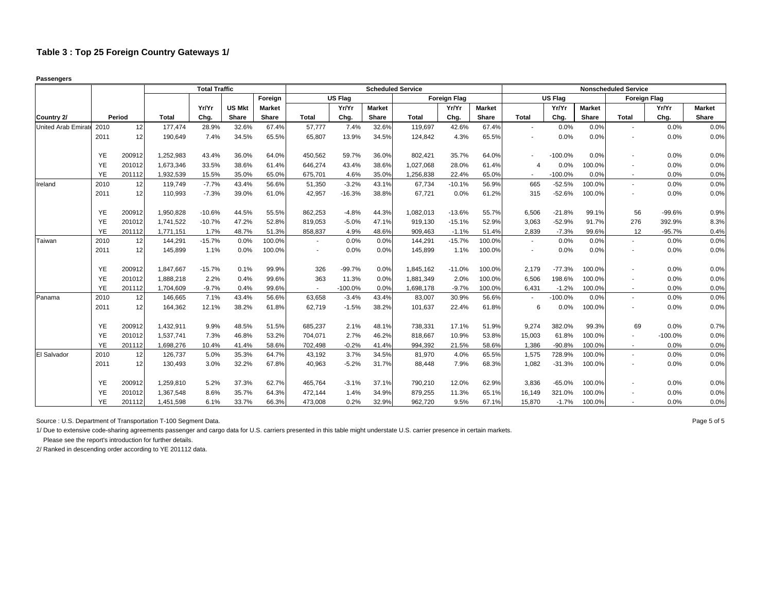**Passengers**

|                     |           |        |              | <b>Total Traffic</b> |               |               |                          |           | <b>Scheduled Service</b> |           |                     |               |              |                |               | <b>Nonscheduled Service</b> |           |               |
|---------------------|-----------|--------|--------------|----------------------|---------------|---------------|--------------------------|-----------|--------------------------|-----------|---------------------|---------------|--------------|----------------|---------------|-----------------------------|-----------|---------------|
|                     |           |        |              |                      |               | Foreign       |                          | US Flag   |                          |           | <b>Foreign Flag</b> |               |              | <b>US Flag</b> |               | <b>Foreign Flag</b>         |           |               |
|                     |           |        |              | Yr/Yr                | <b>US Mkt</b> | <b>Market</b> |                          | Yr/Yr     | <b>Market</b>            |           | Yr/Yr               | <b>Market</b> |              | Yr/Yr          | <b>Market</b> |                             | Yr/Yr     | <b>Market</b> |
| Country 2/          |           | Period | <b>Total</b> | Chg.                 | Share         | Share         | <b>Total</b>             | Chg.      | Share                    | Total     | Chg.                | Share         | <b>Total</b> | Chg.           | Share         | <b>Total</b>                | Chg.      | Share         |
| United Arab Emirate | 2010      | 12     | 177,474      | 28.9%                | 32.6%         | 67.4%         | 57,777                   | 7.4%      | 32.6%                    | 119,697   | 42.6%               | 67.4%         | $\sim$       | 0.0%           | 0.0%          | $\overline{\phantom{a}}$    | 0.0%      | 0.0%          |
|                     | 2011      | 12     | 190.649      | 7.4%                 | 34.5%         | 65.5%         | 65,807                   | 13.9%     | 34.5%                    | 124.842   | 4.3%                | 65.5%         |              | 0.0%           | 0.0%          |                             | 0.0%      | 0.0%          |
|                     | YE        | 200912 | 1,252,983    | 43.4%                | 36.0%         | 64.0%         | 450,562                  | 59.7%     | 36.0%                    | 802,421   | 35.7%               | 64.0%         |              | $-100.0%$      | 0.0%          |                             | 0.0%      | 0.0%          |
|                     | YE        | 201012 | 1,673,346    | 33.5%                | 38.6%         | 61.4%         | 646,274                  | 43.4%     | 38.6%                    | 1,027,068 | 28.0%               | 61.4%         | 4            | 0.0%           | 100.0%        |                             | 0.0%      | 0.0%          |
|                     | YE        | 201112 | 1,932,539    | 15.5%                | 35.0%         | 65.0%         | 675,701                  | 4.6%      | 35.0%                    | 1.256.838 | 22.4%               | 65.0%         | $\sim$       | $-100.0%$      | 0.0%          | $\overline{\phantom{a}}$    | 0.0%      | 0.0%          |
| Ireland             | 2010      | 12     | 119,749      | $-7.7%$              | 43.4%         | 56.6%         | 51,350                   | $-3.2%$   | 43.1%                    | 67,734    | $-10.1%$            | 56.9%         | 665          | $-52.5%$       | 100.0%        | $\sim$                      | 0.0%      | 0.0%          |
|                     | 2011      | 12     | 110,993      | $-7.3%$              | 39.0%         | 61.0%         | 42,957                   | $-16.3%$  | 38.8%                    | 67,721    | 0.0%                | 61.2%         | 315          | $-52.6%$       | 100.0%        |                             | 0.0%      | 0.0%          |
|                     | YE        | 200912 | 1,950,828    | $-10.6%$             | 44.5%         | 55.5%         | 862,253                  | $-4.8%$   | 44.3%                    | 1,082,013 | $-13.6%$            | 55.7%         | 6,506        | $-21.8%$       | 99.1%         | 56                          | $-99.6%$  | 0.9%          |
|                     | YE        | 201012 | 1.741.522    | $-10.7%$             | 47.2%         | 52.8%         | 819,053                  | $-5.0%$   | 47.1%                    | 919.130   | $-15.1%$            | 52.9%         | 3,063        | $-52.9%$       | 91.7%         | 276                         | 392.9%    | 8.3%          |
|                     | YE        | 201112 | 1,771,151    | 1.7%                 | 48.7%         | 51.3%         | 858,837                  | 4.9%      | 48.6%                    | 909,463   | $-1.1%$             | 51.4%         | 2,839        | $-7.3%$        | 99.6%         | 12                          | $-95.7%$  | 0.4%          |
| Taiwan              | 2010      | 12     | 144,291      | $-15.7%$             | 0.0%          | 100.0%        | $\overline{\phantom{a}}$ | 0.0%      | 0.0%                     | 144,291   | $-15.7%$            | 100.0%        | $\sim$       | 0.0%           | 0.0%          | $\sim$                      | 0.0%      | 0.0%          |
|                     | 2011      | 12     | 145,899      | 1.1%                 | 0.0%          | 100.0%        | $\blacksquare$           | 0.0%      | 0.0%                     | 145,899   | 1.1%                | 100.0%        |              | 0.0%           | 0.0%          |                             | 0.0%      | 0.0%          |
|                     | YE        | 200912 | 1,847,667    | $-15.7%$             | 0.1%          | 99.9%         | 326                      | $-99.7%$  | 0.0%                     | 1,845,162 | $-11.0%$            | 100.0%        | 2.179        | $-77.3%$       | 100.0%        |                             | 0.0%      | 0.0%          |
|                     | YE        | 201012 | 1,888,218    | 2.2%                 | 0.4%          | 99.6%         | 363                      | 11.3%     | 0.0%                     | 1,881,349 | 2.0%                | 100.0%        | 6,506        | 198.6%         | 100.0%        |                             | 0.0%      | 0.0%          |
|                     | YE        | 201112 | 1,704,609    | $-9.7%$              | 0.4%          | 99.6%         | $\overline{\phantom{a}}$ | $-100.0%$ | 0.0%                     | 1,698,178 | $-9.7%$             | 100.0%        | 6,431        | $-1.2%$        | 100.0%        | $\overline{\phantom{a}}$    | 0.0%      | 0.0%          |
| Panama              | 2010      | 12     | 146,665      | 7.1%                 | 43.4%         | 56.6%         | 63,658                   | $-3.4%$   | 43.4%                    | 83,007    | 30.9%               | 56.6%         |              | $-100.0%$      | 0.0%          |                             | 0.0%      | 0.0%          |
|                     | 2011      | 12     | 164,362      | 12.1%                | 38.2%         | 61.8%         | 62,719                   | $-1.5%$   | 38.2%                    | 101,637   | 22.4%               | 61.8%         | 6            | 0.0%           | 100.0%        |                             | 0.0%      | 0.0%          |
|                     | YE        | 200912 | 1,432,911    | 9.9%                 | 48.5%         | 51.5%         | 685,237                  | 2.1%      | 48.1%                    | 738,331   | 17.1%               | 51.9%         | 9,274        | 382.0%         | 99.3%         | 69                          | 0.0%      | 0.7%          |
|                     | YE        | 201012 | 1,537,741    | 7.3%                 | 46.8%         | 53.2%         | 704,071                  | 2.7%      | 46.2%                    | 818,667   | 10.9%               | 53.8%         | 15,003       | 61.8%          | 100.0%        | $\sim$                      | $-100.0%$ | 0.0%          |
|                     | YE        | 201112 | 1,698,276    | 10.4%                | 41.4%         | 58.6%         | 702,498                  | $-0.2%$   | 41.4%                    | 994,392   | 21.5%               | 58.6%         | 1,386        | $-90.8%$       | 100.0%        |                             | 0.0%      | 0.0%          |
| El Salvador         | 2010      | 12     | 126,737      | 5.0%                 | 35.3%         | 64.7%         | 43.192                   | 3.7%      | 34.5%                    | 81,970    | 4.0%                | 65.5%         | 1,575        | 728.9%         | 100.0%        |                             | 0.0%      | 0.0%          |
|                     | 2011      | 12     | 130,493      | 3.0%                 | 32.2%         | 67.8%         | 40,963                   | $-5.2%$   | 31.7%                    | 88,448    | 7.9%                | 68.3%         | 1,082        | $-31.3%$       | 100.0%        |                             | 0.0%      | 0.0%          |
|                     | YE        | 200912 | 1,259,810    | 5.2%                 | 37.3%         | 62.7%         | 465,764                  | $-3.1%$   | 37.1%                    | 790,210   | 12.0%               | 62.9%         | 3.836        | $-65.0%$       | 100.0%        |                             | 0.0%      | 0.0%          |
|                     | YE        | 201012 | 1,367,548    | 8.6%                 | 35.7%         | 64.3%         | 472,144                  | 1.4%      | 34.9%                    | 879,255   | 11.3%               | 65.1%         | 16,149       | 321.0%         | 100.0%        |                             | 0.0%      | 0.0%          |
|                     | <b>YE</b> | 201112 | 1,451,598    | 6.1%                 | 33.7%         | 66.3%         | 473,008                  | 0.2%      | 32.9%                    | 962,720   | 9.5%                | 67.1%         | 15,870       | $-1.7%$        | 100.0%        |                             | 0.0%      | 0.0%          |

Source : U.S. Department of Transportation T-100 Segment Data. 
<br>
Page 5 of 5

1/ Due to extensive code-sharing agreements passenger and cargo data for U.S. carriers presented in this table might understate U.S. carrier presence in certain markets.

Please see the report's introduction for further details.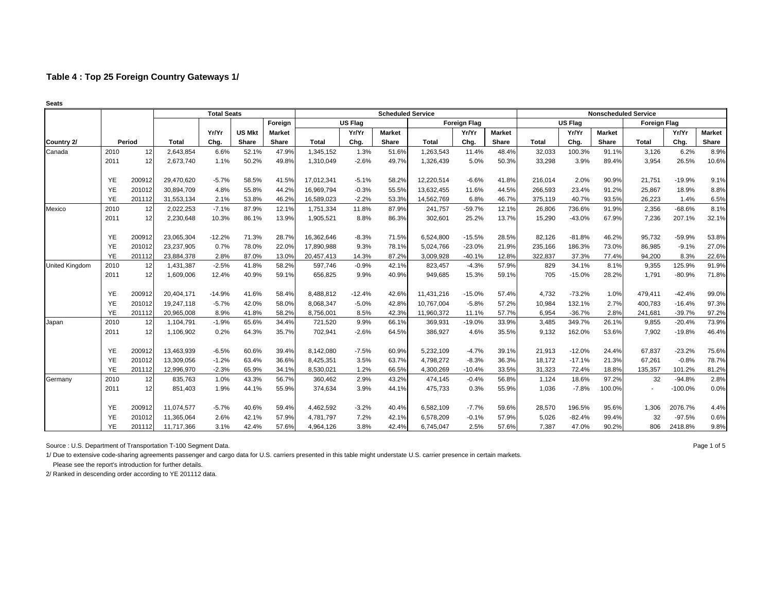| Seats                 |           |        |            |                    |               |               |              |                |                          |              |                     |               |              |                |                             |                     |           |               |
|-----------------------|-----------|--------|------------|--------------------|---------------|---------------|--------------|----------------|--------------------------|--------------|---------------------|---------------|--------------|----------------|-----------------------------|---------------------|-----------|---------------|
|                       |           |        |            | <b>Total Seats</b> |               |               |              |                | <b>Scheduled Service</b> |              |                     |               |              |                | <b>Nonscheduled Service</b> |                     |           |               |
|                       |           |        |            |                    |               | Foreign       |              | <b>US Flag</b> |                          |              | <b>Foreign Flag</b> |               |              | <b>US Flag</b> |                             | <b>Foreign Flag</b> |           |               |
|                       |           |        |            | Yr/Yr              | <b>US Mkt</b> | <b>Market</b> |              | Yr/Yr          | <b>Market</b>            |              | Yr/Yr               | <b>Market</b> |              | Yr/Yr          | <b>Market</b>               |                     | Yr/Yr     | <b>Market</b> |
| Country 2/            |           | Period | Total      | Chg.               | Share         | Share         | <b>Total</b> | Chg.           | <b>Share</b>             | <b>Total</b> | Chg.                | Share         | <b>Total</b> | Chg.           | <b>Share</b>                | <b>Total</b>        | Chg.      | Share         |
| Canada                | 2010      | 12     | 2,643,854  | 6.6%               | 52.1%         | 47.9%         | 1,345,152    | 1.3%           | 51.6%                    | 1,263,543    | 11.4%               | 48.4%         | 32,033       | 100.3%         | 91.1%                       | 3,126               | 6.2%      | 8.9%          |
|                       | 2011      | 12     | 2,673,740  | 1.1%               | 50.2%         | 49.8%         | 1,310,049    | $-2.6%$        | 49.7%                    | 1,326,439    | 5.0%                | 50.3%         | 33,298       | 3.9%           | 89.4%                       | 3,954               | 26.5%     | 10.6%         |
|                       | <b>YE</b> | 200912 | 29,470,620 | $-5.7%$            | 58.5%         | 41.5%         | 17,012,341   | $-5.1%$        | 58.2%                    | 12,220,514   | $-6.6%$             | 41.8%         | 216,014      | 2.0%           | 90.9%                       | 21,751              | $-19.9%$  | 9.1%          |
|                       | <b>YE</b> | 201012 | 30,894,709 | 4.8%               | 55.8%         | 44.2%         | 16,969,794   | $-0.3%$        | 55.5%                    | 13,632,455   | 11.6%               | 44.5%         | 266,593      | 23.4%          | 91.2%                       | 25,867              | 18.9%     | 8.8%          |
|                       | <b>YE</b> | 201112 | 31,553,134 | 2.1%               | 53.8%         | 46.2%         | 16,589,023   | $-2.2%$        | 53.3%                    | 14,562,769   | 6.8%                | 46.7%         | 375,119      | 40.7%          | 93.5%                       | 26,223              | 1.4%      | 6.5%          |
| Mexico                | 2010      | 12     | 2,022,253  | $-7.1%$            | 87.9%         | 12.1%         | 1,751,334    | 11.8%          | 87.9%                    | 241,757      | $-59.7%$            | 12.1%         | 26,806       | 736.6%         | 91.9%                       | 2,356               | $-68.6%$  | 8.1%          |
|                       | 2011      | 12     | 2,230,648  | 10.3%              | 86.1%         | 13.9%         | 1,905,521    | 8.8%           | 86.3%                    | 302,601      | 25.2%               | 13.7%         | 15,290       | $-43.0%$       | 67.9%                       | 7,236               | 207.1%    | 32.1%         |
|                       | YE        | 200912 | 23,065,304 | $-12.2%$           | 71.3%         | 28.7%         | 16,362,646   | $-8.3%$        | 71.5%                    | 6,524,800    | $-15.5%$            | 28.5%         | 82.126       | $-81.8%$       | 46.2%                       | 95,732              | -59.9%    | 53.8%         |
|                       | <b>YE</b> | 201012 | 23,237,905 | 0.7%               | 78.0%         | 22.0%         | 17,890,988   | 9.3%           | 78.1%                    | 5,024,766    | $-23.0%$            | 21.9%         | 235,166      | 186.3%         | 73.0%                       | 86,985              | $-9.1%$   | 27.0%         |
|                       | <b>YE</b> | 201112 | 23,884,378 | 2.8%               | 87.0%         | 13.0%         | 20,457,413   | 14.3%          | 87.2%                    | 3,009,928    | $-40.1%$            | 12.8%         | 322,837      | 37.3%          | 77.4%                       | 94,200              | 8.3%      | 22.6%         |
| <b>United Kingdom</b> | 2010      | 12     | 1,431,387  | $-2.5%$            | 41.8%         | 58.2%         | 597,746      | $-0.9%$        | 42.1%                    | 823,457      | $-4.3%$             | 57.9%         | 829          | 34.1%          | 8.1%                        | 9,355               | 125.9%    | 91.9%         |
|                       | 2011      | 12     | 1,609,006  | 12.4%              | 40.9%         | 59.1%         | 656,825      | 9.9%           | 40.9%                    | 949,685      | 15.3%               | 59.1%         | 705          | $-15.0%$       | 28.2%                       | 1,791               | $-80.9%$  | 71.8%         |
|                       | <b>YE</b> | 200912 | 20,404,171 | $-14.9%$           | 41.6%         | 58.4%         | 8,488,812    | $-12.4%$       | 42.6%                    | 11,431,216   | $-15.0%$            | 57.4%         | 4,732        | $-73.2%$       | 1.0%                        | 479,411             | $-42.4%$  | 99.0%         |
|                       | YE        | 201012 | 19,247,118 | $-5.7%$            | 42.0%         | 58.0%         | 8,068,347    | $-5.0%$        | 42.8%                    | 10,767,004   | $-5.8%$             | 57.2%         | 10,984       | 132.1%         | 2.7%                        | 400,783             | $-16.4%$  | 97.3%         |
|                       | YE        | 201112 | 20,965,008 | 8.9%               | 41.8%         | 58.2%         | 8,756,001    | 8.5%           | 42.3%                    | 11,960,372   | 11.1%               | 57.7%         | 6,954        | $-36.7%$       | 2.8%                        | 241,681             | $-39.7%$  | 97.2%         |
| Japan                 | 2010      | 12     | 1,104,791  | $-1.9%$            | 65.6%         | 34.4%         | 721,520      | 9.9%           | 66.1%                    | 369,931      | $-19.0%$            | 33.9%         | 3,485        | 349.7%         | 26.1%                       | 9,855               | $-20.4%$  | 73.9%         |
|                       | 2011      | 12     | 1,106,902  | 0.2%               | 64.3%         | 35.7%         | 702,941      | $-2.6%$        | 64.5%                    | 386,927      | 4.6%                | 35.5%         | 9,132        | 162.0%         | 53.6%                       | 7,902               | $-19.8%$  | 46.4%         |
|                       | YE        | 200912 | 13,463,939 | $-6.5%$            | 60.6%         | 39.4%         | 8,142,080    | $-7.5%$        | 60.9%                    | 5,232,109    | $-4.7%$             | 39.1%         | 21.913       | $-12.0%$       | 24.4%                       | 67,837              | $-23.2%$  | 75.6%         |
|                       | YE        | 201012 | 13,309,056 | $-1.2%$            | 63.4%         | 36.6%         | 8,425,351    | 3.5%           | 63.7%                    | 4,798,272    | $-8.3%$             | 36.3%         | 18,172       | $-17.1%$       | 21.3%                       | 67,261              | $-0.8%$   | 78.7%         |
|                       | YE        | 201112 | 12,996,970 | $-2.3%$            | 65.9%         | 34.1%         | 8,530,021    | 1.2%           | 66.5%                    | 4,300,269    | $-10.4%$            | 33.5%         | 31,323       | 72.4%          | 18.8%                       | 135,357             | 101.2%    | 81.2%         |
| Germany               | 2010      | 12     | 835,763    | 1.0%               | 43.3%         | 56.7%         | 360,462      | 2.9%           | 43.2%                    | 474,145      | $-0.4%$             | 56.8%         | 1,124        | 18.6%          | 97.2%                       | 32                  | $-94.8%$  | 2.8%          |
|                       | 2011      | 12     | 851,403    | 1.9%               | 44.1%         | 55.9%         | 374,634      | 3.9%           | 44.1%                    | 475,733      | 0.3%                | 55.9%         | 1,036        | $-7.8%$        | 100.0%                      |                     | $-100.0%$ | 0.0%          |
|                       | YE        | 200912 | 11.074.577 | $-5.7%$            | 40.6%         | 59.4%         | 4,462,592    | $-3.2%$        | 40.4%                    | 6,582,109    | $-7.7%$             | 59.6%         | 28.570       | 196.5%         | 95.6%                       | 1,306               | 2076.7%   | 4.4%          |
|                       | <b>YE</b> | 201012 | 11,365,064 | 2.6%               | 42.1%         | 57.9%         | 4,781,797    | 7.2%           | 42.1%                    | 6,578,209    | $-0.1%$             | 57.9%         | 5,026        | $-82.4%$       | 99.4%                       | 32                  | $-97.5%$  | 0.6%          |
|                       | <b>YE</b> | 201112 | 11,717,366 | 3.1%               | 42.4%         | 57.6%         | 4,964,126    | 3.8%           | 42.4%                    | 6,745,047    | 2.5%                | 57.6%         | 7,387        | 47.0%          | 90.2%                       | 806                 | 2418.8%   | 9.8%          |

Source : U.S. Department of Transportation T-100 Segment Data. Page 1 of 5

1/ Due to extensive code-sharing agreements passenger and cargo data for U.S. carriers presented in this table might understate U.S. carrier presence in certain markets.

 Please see the report's introduction for further details. 2/ Ranked in descending order according to YE 201112 data.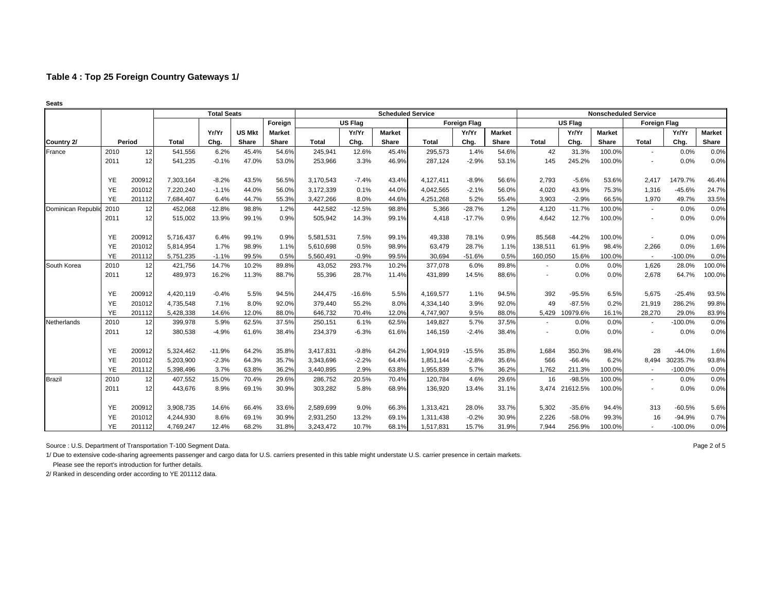|                   |           |        |              | <b>Total Seats</b> |               |               |              |                | <b>Scheduled Service</b> |              |                     |               |         |          | <b>Nonscheduled Service</b> |                          |           |               |
|-------------------|-----------|--------|--------------|--------------------|---------------|---------------|--------------|----------------|--------------------------|--------------|---------------------|---------------|---------|----------|-----------------------------|--------------------------|-----------|---------------|
|                   |           |        |              |                    |               | Foreign       |              | <b>US Flag</b> |                          |              | <b>Foreign Flag</b> |               |         | US Flag  |                             | <b>Foreign Flag</b>      |           |               |
|                   |           |        |              | Yr/Yr              | <b>US Mkt</b> | <b>Market</b> |              | Yr/Yr          | <b>Market</b>            |              | Yr/Yr               | <b>Market</b> |         | Yr/Yr    | <b>Market</b>               |                          | Yr/Yr     | <b>Market</b> |
| Country 2/        |           | Period | <b>Total</b> | Chg.               | Share         | Share         | <b>Total</b> | Chg.           | Share                    | <b>Total</b> | Chg.                | Share         | Total   | Chg.     | <b>Share</b>                | <b>Total</b>             | Chg.      | Share         |
| France            | 2010      | 12     | 541,556      | 6.2%               | 45.4%         | 54.6%         | 245,941      | 12.6%          | 45.4%                    | 295,573      | 1.4%                | 54.6%         | 42      | 31.3%    | 100.0%                      | $\sim$                   | 0.0%      | 0.0%          |
|                   | 2011      | 12     | 541,235      | $-0.1%$            | 47.0%         | 53.0%         | 253,966      | 3.3%           | 46.9%                    | 287.124      | $-2.9%$             | 53.1%         | 145     | 245.2%   | 100.0%                      | $\overline{\phantom{a}}$ | 0.0%      | 0.0%          |
|                   | YE        | 200912 | 7,303,164    | $-8.2%$            | 43.5%         | 56.5%         | 3,170,543    | $-7.4%$        | 43.4%                    | 4,127,411    | $-8.9%$             | 56.6%         | 2,793   | $-5.6%$  | 53.6%                       | 2,417                    | 1479.7%   | 46.4%         |
|                   | <b>YE</b> | 201012 | 7,220,240    | $-1.1%$            | 44.0%         | 56.0%         | 3,172,339    | 0.1%           | 44.0%                    | 4,042,565    | $-2.1%$             | 56.0%         | 4.020   | 43.9%    | 75.3%                       | 1,316                    | $-45.6%$  | 24.7%         |
|                   | YE        | 201112 | 7,684,407    | 6.4%               | 44.7%         | 55.3%         | 3,427,266    | 8.0%           | 44.6%                    | 4,251,268    | 5.2%                | 55.4%         | 3,903   | $-2.9%$  | 66.5%                       | 1,970                    | 49.7%     | 33.5%         |
| Dominican Republi | 2010      | 12     | 452,068      | $-12.8%$           | 98.8%         | 1.2%          | 442,582      | $-12.5%$       | 98.8%                    | 5,366        | $-28.7%$            | 1.2%          | 4,120   | $-11.7%$ | 100.0%                      | $\sim$                   | 0.0%      | 0.0%          |
|                   | 2011      | 12     | 515,002      | 13.9%              | 99.1%         | 0.9%          | 505,942      | 14.3%          | 99.1%                    | 4,418        | $-17.7%$            | 0.9%          | 4.642   | 12.7%    | 100.0%                      | $\overline{\phantom{a}}$ | 0.0%      | 0.0%          |
|                   | YE        | 200912 | 5,716,437    | 6.4%               | 99.1%         | 0.9%          | 5,581,531    | 7.5%           | 99.1%                    | 49,338       | 78.1%               | 0.9%          | 85,568  | $-44.2%$ | 100.0%                      |                          | 0.0%      | 0.0%          |
|                   | <b>YE</b> | 201012 | 5,814,954    | 1.7%               | 98.9%         | 1.1%          | 5,610,698    | 0.5%           | 98.9%                    | 63,479       | 28.7%               | 1.1%          | 138,511 | 61.9%    | 98.4%                       | 2,266                    | 0.0%      | 1.6%          |
|                   | <b>YE</b> | 201112 | 5,751,235    | $-1.1%$            | 99.5%         | 0.5%          | 5,560,491    | $-0.9%$        | 99.5%                    | 30,694       | $-51.6%$            | 0.5%          | 160,050 | 15.6%    | 100.0%                      | $\sim$                   | $-100.0%$ | 0.0%          |
| South Korea       | 2010      | 12     | 421,756      | 14.7%              | 10.2%         | 89.8%         | 43,052       | 293.7%         | 10.2%                    | 377,078      | 6.0%                | 89.8%         |         | 0.0%     | 0.0%                        | 1,626                    | 28.0%     | 100.0%        |
|                   | 2011      | 12     | 489,973      | 16.2%              | 11.3%         | 88.7%         | 55,396       | 28.7%          | 11.4%                    | 431.899      | 14.5%               | 88.6%         |         | 0.0%     | 0.0%                        | 2,678                    | 64.7%     | 100.0%        |
|                   | YE        | 200912 | 4,420,119    | $-0.4%$            | 5.5%          | 94.5%         | 244,475      | $-16.6%$       | 5.5%                     | 4,169,577    | 1.1%                | 94.5%         | 392     | $-95.5%$ | 6.5%                        | 5,675                    | $-25.4%$  | 93.5%         |
|                   | <b>YE</b> | 201012 | 4,735,548    | 7.1%               | 8.0%          | 92.0%         | 379,440      | 55.2%          | 8.0%                     | 4,334,140    | 3.9%                | 92.0%         | 49      | $-87.5%$ | 0.2%                        | 21,919                   | 286.2%    | 99.8%         |
|                   | <b>YE</b> | 201112 | 5,428,338    | 14.6%              | 12.0%         | 88.0%         | 646,732      | 70.4%          | 12.0%                    | 4,747,907    | 9.5%                | 88.0%         | 5,429   | 10979.6% | 16.1%                       | 28,270                   | 29.0%     | 83.9%         |
| Netherlands       | 2010      | 12     | 399,978      | 5.9%               | 62.5%         | 37.5%         | 250,151      | 6.1%           | 62.5%                    | 149,827      | 5.7%                | 37.5%         |         | 0.0%     | 0.0%                        | $\overline{\phantom{a}}$ | $-100.0%$ | 0.0%          |
|                   | 2011      | 12     | 380,538      | $-4.9%$            | 61.6%         | 38.4%         | 234,379      | $-6.3%$        | 61.6%                    | 146,159      | $-2.4%$             | 38.4%         |         | 0.0%     | 0.0%                        | $\overline{\phantom{a}}$ | 0.0%      | 0.0%          |
|                   | YE        | 200912 | 5,324,462    | $-11.9%$           | 64.2%         | 35.8%         | 3,417,831    | $-9.8%$        | 64.2%                    | 1,904,919    | $-15.5%$            | 35.8%         | 1,684   | 350.3%   | 98.4%                       | 28                       | $-44.0%$  | 1.6%          |
|                   | YE        | 201012 | 5,203,900    | $-2.3%$            | 64.3%         | 35.7%         | 3,343,696    | $-2.2%$        | 64.4%                    | 1,851,144    | $-2.8%$             | 35.6%         | 566     | $-66.4%$ | 6.2%                        | 8.494                    | 30235.7%  | 93.8%         |
|                   | <b>YE</b> | 201112 | 5,398,496    | 3.7%               | 63.8%         | 36.2%         | 3,440,895    | 2.9%           | 63.8%                    | 1,955,839    | 5.7%                | 36.2%         | 1.762   | 211.3%   | 100.0%                      | $\sim$                   | $-100.0%$ | 0.0%          |
| <b>Brazil</b>     | 2010      | 12     | 407,552      | 15.0%              | 70.4%         | 29.6%         | 286,752      | 20.5%          | 70.4%                    | 120,784      | 4.6%                | 29.6%         | 16      | $-98.5%$ | 100.0%                      | $\sim$                   | 0.0%      | 0.0%          |
|                   | 2011      | 12     | 443,676      | 8.9%               | 69.1%         | 30.9%         | 303,282      | 5.8%           | 68.9%                    | 136,920      | 13.4%               | 31.1%         | 3.474   | 21612.5% | 100.0%                      |                          | 0.0%      | 0.0%          |
|                   | YE        | 200912 | 3,908,735    | 14.6%              | 66.4%         | 33.6%         | 2,589,699    | 9.0%           | 66.3%                    | 1,313,421    | 28.0%               | 33.7%         | 5,302   | $-35.6%$ | 94.4%                       | 313                      | $-60.5%$  | 5.6%          |
|                   | YE        | 201012 | 4,244,930    | 8.6%               | 69.1%         | 30.9%         | 2,931,250    | 13.2%          | 69.1%                    | 1,311,438    | $-0.2%$             | 30.9%         | 2,226   | $-58.0%$ | 99.3%                       | 16                       | $-94.9%$  | 0.7%          |
|                   | YE        | 201112 | 4,769,247    | 12.4%              | 68.2%         | 31.8%         | 3,243,472    | 10.7%          | 68.1%                    | 1,517,831    | 15.7%               | 31.9%         | 7,944   | 256.9%   | 100.0%                      |                          | $-100.0%$ | 0.0%          |

Source : U.S. Department of Transportation T-100 Segment Data. 
<br>
Page 2 of 5

1/ Due to extensive code-sharing agreements passenger and cargo data for U.S. carriers presented in this table might understate U.S. carrier presence in certain markets.

 Please see the report's introduction for further details. 2/ Ranked in descending order according to YE 201112 data.

**Seats**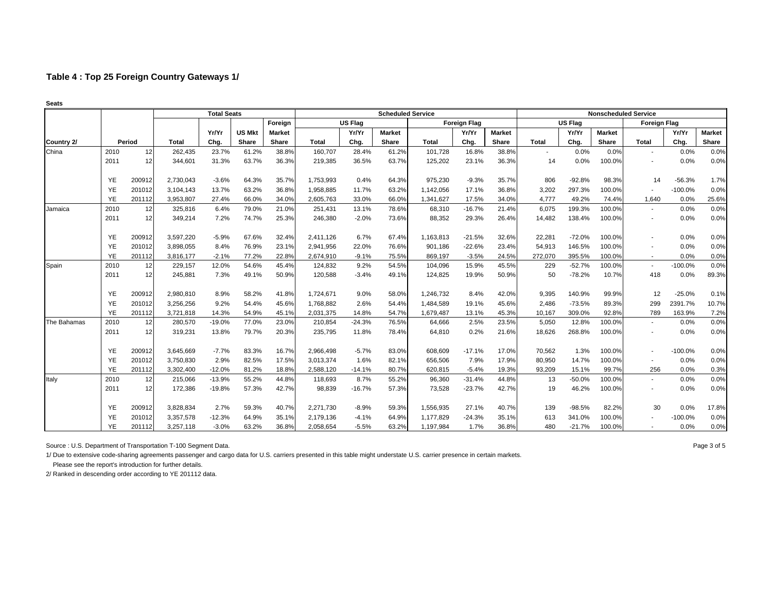|             |           |        |              | <b>Total Seats</b> |               |               |              |          | <b>Scheduled Service</b> |              |                     |               |                          |                | <b>Nonscheduled Service</b> |                          |           |               |
|-------------|-----------|--------|--------------|--------------------|---------------|---------------|--------------|----------|--------------------------|--------------|---------------------|---------------|--------------------------|----------------|-----------------------------|--------------------------|-----------|---------------|
|             |           |        |              |                    |               | Foreign       |              | US Flag  |                          |              | <b>Foreign Flag</b> |               |                          | <b>US Flag</b> |                             | <b>Foreign Flag</b>      |           |               |
|             |           |        |              | Yr/Yr              | <b>US Mkt</b> | <b>Market</b> |              | Yr/Yr    | <b>Market</b>            |              | Yr/Yr               | <b>Market</b> |                          | Yr/Yr          | <b>Market</b>               |                          | Yr/Yr     | <b>Market</b> |
| Country 2/  |           | Period | <b>Total</b> | Chg.               | Share         | Share         | <b>Total</b> | Chg.     | Share                    | <b>Total</b> | Chg.                | Share         | Total                    | Chg.           | Share                       | <b>Total</b>             | Chg.      | Share         |
| China       | 2010      | 12     | 262,435      | 23.7%              | 61.2%         | 38.8%         | 160,707      | 28.4%    | 61.2%                    | 101,728      | 16.8%               | 38.8%         | $\overline{\phantom{a}}$ | 0.0%           | 0.0%                        | $\overline{\phantom{a}}$ | 0.0%      | 0.0%          |
|             | 2011      | 12     | 344,601      | 31.3%              | 63.7%         | 36.3%         | 219,385      | 36.5%    | 63.7%                    | 125,202      | 23.1%               | 36.3%         | 14                       | 0.0%           | 100.0%                      | $\blacksquare$           | 0.0%      | 0.0%          |
|             | YE        | 200912 | 2,730,043    | $-3.6%$            | 64.3%         | 35.7%         | 1,753,993    | 0.4%     | 64.3%                    | 975,230      | $-9.3%$             | 35.7%         | 806                      | $-92.8%$       | 98.3%                       | 14                       | $-56.3%$  | 1.7%          |
|             | YE        | 201012 | 3,104,143    | 13.7%              | 63.2%         | 36.8%         | 1,958,885    | 11.7%    | 63.2%                    | 1,142,056    | 17.1%               | 36.8%         | 3,202                    | 297.3%         | 100.0%                      |                          | $-100.0%$ | 0.0%          |
|             | YE        | 201112 | 3,953,807    | 27.4%              | 66.0%         | 34.0%         | 2,605,763    | 33.0%    | 66.0%                    | 1,341,627    | 17.5%               | 34.0%         | 4,777                    | 49.2%          | 74.4%                       | 1,640                    | 0.0%      | 25.6%         |
| Jamaica     | 2010      | 12     | 325,816      | 6.4%               | 79.0%         | 21.0%         | 251,431      | 13.1%    | 78.6%                    | 68,310       | $-16.7%$            | 21.4%         | 6,075                    | 199.3%         | 100.0%                      | $\blacksquare$           | 0.0%      | 0.0%          |
|             | 2011      | 12     | 349,214      | 7.2%               | 74.7%         | 25.3%         | 246,380      | $-2.0%$  | 73.6%                    | 88,352       | 29.3%               | 26.4%         | 14,482                   | 138.4%         | 100.0%                      | $\overline{\phantom{a}}$ | 0.0%      | 0.0%          |
|             | YE        | 200912 | 3,597,220    | $-5.9%$            | 67.6%         | 32.4%         | 2,411,126    | 6.7%     | 67.4%                    | 1,163,813    | $-21.5%$            | 32.6%         | 22,281                   | $-72.0%$       | 100.0%                      |                          | 0.0%      | 0.0%          |
|             | YE        | 201012 | 3,898,055    | 8.4%               | 76.9%         | 23.1%         | 2,941,956    | 22.0%    | 76.6%                    | 901,186      | $-22.6%$            | 23.4%         | 54,913                   | 146.5%         | 100.0%                      |                          | 0.0%      | 0.0%          |
|             | YE        | 201112 | 3,816,177    | $-2.1%$            | 77.2%         | 22.8%         | 2,674,910    | $-9.1%$  | 75.5%                    | 869,197      | $-3.5%$             | 24.5%         | 272,070                  | 395.5%         | 100.0%                      | $\sim$                   | 0.0%      | 0.0%          |
| Spain       | 2010      | 12     | 229,157      | 12.0%              | 54.6%         | 45.4%         | 124,832      | 9.2%     | 54.5%                    | 104,096      | 15.9%               | 45.5%         | 229                      | $-52.7%$       | 100.0%                      | $\blacksquare$           | $-100.0%$ | 0.0%          |
|             | 2011      | 12     | 245,881      | 7.3%               | 49.1%         | 50.9%         | 120,588      | $-3.4%$  | 49.1%                    | 124,825      | 19.9%               | 50.9%         | 50                       | $-78.2%$       | 10.7%                       | 418                      | 0.0%      | 89.3%         |
|             | YE        | 200912 | 2,980,810    | 8.9%               | 58.2%         | 41.8%         | 1,724,671    | 9.0%     | 58.0%                    | 1,246,732    | 8.4%                | 42.0%         | 9,395                    | 140.9%         | 99.9%                       | 12                       | $-25.0%$  | 0.1%          |
|             | YE        | 201012 | 3,256,256    | 9.2%               | 54.4%         | 45.6%         | 1,768,882    | 2.6%     | 54.4%                    | 1,484,589    | 19.1%               | 45.6%         | 2.486                    | $-73.5%$       | 89.3%                       | 299                      | 2391.7%   | 10.7%         |
|             | YE        | 201112 | 3,721,818    | 14.3%              | 54.9%         | 45.1%         | 2,031,375    | 14.8%    | 54.7%                    | 1,679,487    | 13.1%               | 45.3%         | 10.167                   | 309.0%         | 92.8%                       | 789                      | 163.9%    | 7.2%          |
| The Bahamas | 2010      | 12     | 280,570      | $-19.0%$           | 77.0%         | 23.0%         | 210,854      | $-24.3%$ | 76.5%                    | 64,666       | 2.5%                | 23.5%         | 5,050                    | 12.8%          | 100.0%                      | $\overline{\phantom{a}}$ | 0.0%      | 0.0%          |
|             | 2011      | 12     | 319,231      | 13.8%              | 79.7%         | 20.3%         | 235,795      | 11.8%    | 78.4%                    | 64,810       | 0.2%                | 21.6%         | 18,626                   | 268.8%         | 100.0%                      | $\overline{\phantom{a}}$ | 0.0%      | 0.0%          |
|             | YE        | 200912 | 3,645,669    | $-7.7%$            | 83.3%         | 16.7%         | 2,966,498    | $-5.7%$  | 83.0%                    | 608,609      | $-17.1%$            | 17.0%         | 70,562                   | 1.3%           | 100.0%                      | $\blacksquare$           | $-100.0%$ | 0.0%          |
|             | YE        | 201012 | 3,750,830    | 2.9%               | 82.5%         | 17.5%         | 3,013,374    | 1.6%     | 82.1%                    | 656,506      | 7.9%                | 17.9%         | 80,950                   | 14.7%          | 100.0%                      | $\overline{\phantom{a}}$ | 0.0%      | 0.0%          |
|             | YE        | 201112 | 3,302,400    | $-12.0%$           | 81.2%         | 18.8%         | 2,588,120    | $-14.1%$ | 80.7%                    | 620.815      | $-5.4%$             | 19.3%         | 93.209                   | 15.1%          | 99.7%                       | 256                      | 0.0%      | 0.3%          |
| Italy       | 2010      | 12     | 215,066      | $-13.9%$           | 55.2%         | 44.8%         | 118,693      | 8.7%     | 55.2%                    | 96,360       | $-31.4%$            | 44.8%         | 13                       | $-50.0%$       | 100.0%                      | $\blacksquare$           | 0.0%      | 0.0%          |
|             | 2011      | 12     | 172,386      | $-19.8%$           | 57.3%         | 42.7%         | 98,839       | $-16.7%$ | 57.3%                    | 73,528       | $-23.7%$            | 42.7%         | 19                       | 46.2%          | 100.0%                      |                          | 0.0%      | 0.0%          |
|             | YE        | 200912 | 3,828,834    | 2.7%               | 59.3%         | 40.7%         | 2,271,730    | $-8.9%$  | 59.3%                    | 1,556,935    | 27.1%               | 40.7%         | 139                      | $-98.5%$       | 82.2%                       | 30                       | 0.0%      | 17.8%         |
|             | YE        | 201012 | 3,357,578    | $-12.3%$           | 64.9%         | 35.1%         | 2,179,136    | $-4.1%$  | 64.9%                    | 1,177,829    | $-24.3%$            | 35.1%         | 613                      | 341.0%         | 100.0%                      |                          | $-100.0%$ | 0.0%          |
|             | <b>YE</b> | 201112 | 3,257,118    | $-3.0%$            | 63.2%         | 36.8%         | 2,058,654    | $-5.5%$  | 63.2%                    | 1,197,984    | 1.7%                | 36.8%         | 480                      | $-21.7%$       | 100.0%                      |                          | 0.0%      | 0.0%          |

Source : U.S. Department of Transportation T-100 Segment Data. Page 3 of 5

1/ Due to extensive code-sharing agreements passenger and cargo data for U.S. carriers presented in this table might understate U.S. carrier presence in certain markets.

 Please see the report's introduction for further details. 2/ Ranked in descending order according to YE 201112 data.

**Seats**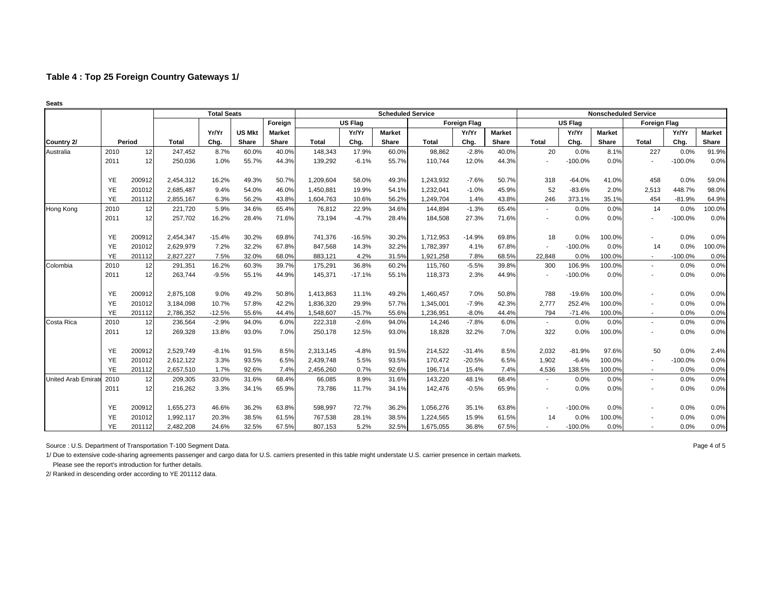|                           |           |        |              | <b>Total Seats</b> |               |               |              |                | <b>Scheduled Service</b> |              |                     |               |                          |                | <b>Nonscheduled Service</b> |                          |           |               |
|---------------------------|-----------|--------|--------------|--------------------|---------------|---------------|--------------|----------------|--------------------------|--------------|---------------------|---------------|--------------------------|----------------|-----------------------------|--------------------------|-----------|---------------|
|                           |           |        |              |                    |               | Foreign       |              | <b>US Flag</b> |                          |              | <b>Foreign Flag</b> |               |                          | <b>US Flag</b> |                             | <b>Foreign Flag</b>      |           |               |
|                           |           |        |              | Yr/Yr              | <b>US Mkt</b> | <b>Market</b> |              | Yr/Yr          | <b>Market</b>            |              | Yr/Yr               | <b>Market</b> |                          | Yr/Yr          | <b>Market</b>               |                          | Yr/Yr     | <b>Market</b> |
| Country 2/                |           | Period | <b>Total</b> | Chg.               | Share         | Share         | <b>Total</b> | Chg.           | Share                    | <b>Total</b> | Chg.                | Share         | <b>Total</b>             | Chg.           | Share                       | <b>Total</b>             | Chg.      | Share         |
| Australia                 | 2010      | 12     | 247,452      | 8.7%               | 60.0%         | 40.0%         | 148,343      | 17.9%          | 60.0%                    | 98,862       | $-2.8%$             | 40.0%         | 20                       | 0.0%           | 8.1%                        | 227                      | 0.0%      | 91.9%         |
|                           | 2011      | 12     | 250,036      | 1.0%               | 55.7%         | 44.3%         | 139,292      | $-6.1%$        | 55.7%                    | 110,744      | 12.0%               | 44.3%         |                          | $-100.0%$      | 0.0%                        | $\blacksquare$           | $-100.0%$ | 0.0%          |
|                           | YE        | 200912 | 2,454,312    | 16.2%              | 49.3%         | 50.7%         | 1,209,604    | 58.0%          | 49.3%                    | 1,243,932    | $-7.6%$             | 50.7%         | 318                      | $-64.0%$       | 41.0%                       | 458                      | 0.0%      | 59.0%         |
|                           | YE        | 201012 | 2,685,487    | 9.4%               | 54.0%         | 46.0%         | 1,450,881    | 19.9%          | 54.1%                    | 1,232,041    | $-1.0%$             | 45.9%         | 52                       | $-83.6%$       | 2.0%                        | 2,513                    | 448.7%    | 98.0%         |
|                           | YE        | 201112 | 2,855,167    | 6.3%               | 56.2%         | 43.8%         | 1,604,763    | 10.6%          | 56.2%                    | 1,249,704    | 1.4%                | 43.8%         | 246                      | 373.1%         | 35.1%                       | 454                      | $-81.9%$  | 64.9%         |
| Hong Kong                 | 2010      | 12     | 221,720      | 5.9%               | 34.6%         | 65.4%         | 76,812       | 22.9%          | 34.6%                    | 144,894      | $-1.3%$             | 65.4%         | $\sim$                   | 0.0%           | 0.0%                        | 14                       | 0.0%      | 100.0%        |
|                           | 2011      | 12     | 257,702      | 16.2%              | 28.4%         | 71.6%         | 73,194       | $-4.7%$        | 28.4%                    | 184,508      | 27.3%               | 71.6%         |                          | 0.0%           | 0.0%                        |                          | $-100.0%$ | 0.0%          |
|                           | YE        | 200912 | 2,454,347    | $-15.4%$           | 30.2%         | 69.8%         | 741,376      | $-16.5%$       | 30.2%                    | 1,712,953    | $-14.9%$            | 69.8%         | 18                       | 0.0%           | 100.0%                      |                          | 0.0%      | 0.0%          |
|                           | YE        | 201012 | 2,629,979    | 7.2%               | 32.2%         | 67.8%         | 847,568      | 14.3%          | 32.2%                    | 1,782,397    | 4.1%                | 67.8%         | $\overline{\phantom{a}}$ | $-100.0%$      | 0.0%                        | 14                       | 0.0%      | 100.0%        |
|                           | YE        | 201112 | 2,827,227    | 7.5%               | 32.0%         | 68.0%         | 883,121      | 4.2%           | 31.5%                    | 1.921.258    | 7.8%                | 68.5%         | 22.848                   | 0.0%           | 100.0%                      | $\overline{\phantom{a}}$ | $-100.0%$ | 0.0%          |
| Colombia                  | 2010      | 12     | 291,351      | 16.2%              | 60.3%         | 39.7%         | 175,291      | 36.8%          | 60.2%                    | 115,760      | $-5.5%$             | 39.8%         | 300                      | 106.9%         | 100.0%                      | $\overline{\phantom{a}}$ | 0.0%      | 0.0%          |
|                           | 2011      | 12     | 263,744      | $-9.5%$            | 55.1%         | 44.9%         | 145,371      | $-17.1%$       | 55.1%                    | 118,373      | 2.3%                | 44.9%         |                          | $-100.0%$      | 0.0%                        |                          | 0.0%      | 0.0%          |
|                           | YE        | 200912 | 2,875,108    | 9.0%               | 49.2%         | 50.8%         | 1,413,863    | 11.1%          | 49.2%                    | 1,460,457    | 7.0%                | 50.8%         | 788                      | $-19.6%$       | 100.0%                      |                          | 0.0%      | 0.0%          |
|                           | YE        | 201012 | 3,184,098    | 10.7%              | 57.8%         | 42.2%         | 1,836,320    | 29.9%          | 57.7%                    | 1,345,001    | $-7.9%$             | 42.3%         | 2.777                    | 252.4%         | 100.0%                      |                          | 0.0%      | 0.0%          |
|                           | YE        | 201112 | 2,786,352    | $-12.5%$           | 55.6%         | 44.4%         | 1,548,607    | $-15.7%$       | 55.6%                    | 1,236,951    | $-8.0%$             | 44.4%         | 794                      | $-71.4%$       | 100.0%                      | $\sim$                   | 0.0%      | 0.0%          |
| Costa Rica                | 2010      | 12     | 236,564      | $-2.9%$            | 94.0%         | 6.0%          | 222,318      | $-2.6%$        | 94.0%                    | 14,246       | $-7.8%$             | 6.0%          | $\sim$                   | 0.0%           | 0.0%                        | $\blacksquare$           | 0.0%      | 0.0%          |
|                           | 2011      | 12     | 269,328      | 13.8%              | 93.0%         | 7.0%          | 250,178      | 12.5%          | 93.0%                    | 18,828       | 32.2%               | 7.0%          | 322                      | 0.0%           | 100.0%                      |                          | 0.0%      | 0.0%          |
|                           | YE        | 200912 | 2,529,749    | $-8.1%$            | 91.5%         | 8.5%          | 2,313,145    | $-4.8%$        | 91.5%                    | 214,522      | $-31.4%$            | 8.5%          | 2,032                    | $-81.9%$       | 97.6%                       | 50                       | 0.0%      | 2.4%          |
|                           | YE        | 201012 | 2,612,122    | 3.3%               | 93.5%         | 6.5%          | 2,439,748    | 5.5%           | 93.5%                    | 170,472      | $-20.5%$            | 6.5%          | 1,902                    | $-6.4%$        | 100.0%                      |                          | $-100.0%$ | 0.0%          |
|                           | <b>YE</b> | 201112 | 2,657,510    | 1.7%               | 92.6%         | 7.4%          | 2,456,260    | 0.7%           | 92.6%                    | 196,714      | 15.4%               | 7.4%          | 4,536                    | 138.5%         | 100.0%                      | $\sim$                   | 0.0%      | 0.0%          |
| <b>United Arab Emirat</b> | 2010      | 12     | 209,305      | 33.0%              | 31.6%         | 68.4%         | 66,085       | 8.9%           | 31.6%                    | 143,220      | 48.1%               | 68.4%         | $\overline{\phantom{a}}$ | 0.0%           | 0.0%                        | $\blacksquare$           | 0.0%      | 0.0%          |
|                           | 2011      | 12     | 216,262      | 3.3%               | 34.1%         | 65.9%         | 73,786       | 11.7%          | 34.1%                    | 142,476      | $-0.5%$             | 65.9%         |                          | 0.0%           | 0.0%                        |                          | 0.0%      | 0.0%          |
|                           | YE        | 200912 | 1,655,273    | 46.6%              | 36.2%         | 63.8%         | 598,997      | 72.7%          | 36.2%                    | 1,056,276    | 35.1%               | 63.8%         |                          | $-100.0%$      | 0.0%                        |                          | 0.0%      | 0.0%          |
|                           | YE        | 201012 | 1,992,117    | 20.3%              | 38.5%         | 61.5%         | 767,538      | 28.1%          | 38.5%                    | 1,224,565    | 15.9%               | 61.5%         | 14                       | 0.0%           | 100.0%                      |                          | 0.0%      | 0.0%          |
|                           | YE        | 201112 | 2,482,208    | 24.6%              | 32.5%         | 67.5%         | 807,153      | 5.2%           | 32.5%                    | 1,675,055    | 36.8%               | 67.5%         |                          | $-100.0%$      | 0.0%                        |                          | 0.0%      | 0.0%          |

Source : U.S. Department of Transportation T-100 Segment Data. Page 4 of 5

1/ Due to extensive code-sharing agreements passenger and cargo data for U.S. carriers presented in this table might understate U.S. carrier presence in certain markets.

 Please see the report's introduction for further details. 2/ Ranked in descending order according to YE 201112 data.

**Seats**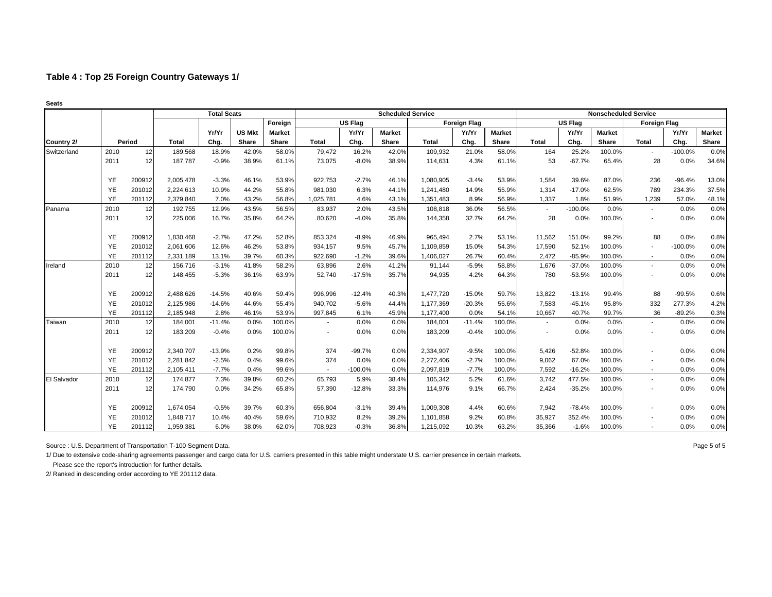| Seats       |           |        |           |                    |               |               |                          |                |                          |              |                     |               |                          |                |               |                             |           |               |
|-------------|-----------|--------|-----------|--------------------|---------------|---------------|--------------------------|----------------|--------------------------|--------------|---------------------|---------------|--------------------------|----------------|---------------|-----------------------------|-----------|---------------|
|             |           |        |           | <b>Total Seats</b> |               |               |                          |                | <b>Scheduled Service</b> |              |                     |               |                          |                |               | <b>Nonscheduled Service</b> |           |               |
|             |           |        |           |                    |               | Foreign       |                          | <b>US Flag</b> |                          |              | <b>Foreign Flag</b> |               |                          | <b>US Flag</b> |               | <b>Foreign Flag</b>         |           |               |
|             |           |        |           | Yr/Yr              | <b>US Mkt</b> | <b>Market</b> |                          | Yr/Yr          | <b>Market</b>            |              | Yr/Yr               | <b>Market</b> |                          | Yr/Yr          | <b>Market</b> |                             | Yr/Yr     | <b>Market</b> |
| Country 2/  |           | Period | Total     | Chg.               | Share         | Share         | <b>Total</b>             | Chg.           | <b>Share</b>             | <b>Total</b> | Chg.                | <b>Share</b>  | <b>Total</b>             | Chg.           | Share         | <b>Total</b>                | Chg.      | Share         |
| Switzerland | 2010      | 12     | 189,568   | 18.9%              | 42.0%         | 58.0%         | 79,472                   | 16.2%          | 42.0%                    | 109,932      | 21.0%               | 58.0%         | 164                      | 25.2%          | 100.0%        |                             | $-100.0%$ | 0.0%          |
|             | 2011      | 12     | 187,787   | $-0.9%$            | 38.9%         | 61.1%         | 73,075                   | $-8.0%$        | 38.9%                    | 114,631      | 4.3%                | 61.1%         | 53                       | $-67.7%$       | 65.4%         | 28                          | 0.0%      | 34.6%         |
|             | YE        | 200912 | 2,005,478 | $-3.3%$            | 46.1%         | 53.9%         | 922,753                  | $-2.7%$        | 46.1%                    | 1,080,905    | $-3.4%$             | 53.9%         | 1,584                    | 39.6%          | 87.0%         | 236                         | $-96.4%$  | 13.0%         |
|             | YE        | 201012 | 2,224,613 | 10.9%              | 44.2%         | 55.8%         | 981,030                  | 6.3%           | 44.1%                    | 1,241,480    | 14.9%               | 55.9%         | 1,314                    | $-17.0%$       | 62.5%         | 789                         | 234.3%    | 37.5%         |
|             | YE        | 201112 | 2,379,840 | 7.0%               | 43.2%         | 56.8%         | 1,025,781                | 4.6%           | 43.1%                    | 1,351,483    | 8.9%                | 56.9%         | 1,337                    | 1.8%           | 51.9%         | 1,239                       | 57.0%     | 48.1%         |
| Panama      | 2010      | 12     | 192,755   | 12.9%              | 43.5%         | 56.5%         | 83,937                   | 2.0%           | 43.5%                    | 108,818      | 36.0%               | 56.5%         | $\blacksquare$           | $-100.0%$      | 0.0%          | $\sim$                      | 0.0%      | 0.0%          |
|             | 2011      | 12     | 225,006   | 16.7%              | 35.8%         | 64.2%         | 80,620                   | $-4.0%$        | 35.8%                    | 144,358      | 32.7%               | 64.2%         | 28                       | 0.0%           | 100.0%        | ۰                           | 0.0%      | 0.0%          |
|             | YE        | 200912 | 1,830,468 | $-2.7%$            | 47.2%         | 52.8%         | 853,324                  | $-8.9%$        | 46.9%                    | 965,494      | 2.7%                | 53.1%         | 11.562                   | 151.0%         | 99.2%         | 88                          | 0.0%      | 0.8%          |
|             | <b>YE</b> | 201012 | 2,061,606 | 12.6%              | 46.2%         | 53.8%         | 934,157                  | 9.5%           | 45.7%                    | 1,109,859    | 15.0%               | 54.3%         | 17,590                   | 52.1%          | 100.0%        |                             | $-100.0%$ | 0.0%          |
|             | YE        | 201112 | 2,331,189 | 13.1%              | 39.7%         | 60.3%         | 922,690                  | $-1.2%$        | 39.6%                    | 1,406,027    | 26.7%               | 60.4%         | 2,472                    | $-85.9%$       | 100.0%        | $\overline{\phantom{a}}$    | 0.0%      | 0.0%          |
| Ireland     | 2010      | 12     | 156,716   | $-3.1%$            | 41.8%         | 58.2%         | 63,896                   | 2.6%           | 41.2%                    | 91,144       | $-5.9%$             | 58.8%         | 1,676                    | $-37.0%$       | 100.0%        | $\overline{\phantom{a}}$    | 0.0%      | 0.0%          |
|             | 2011      | 12     | 148,455   | $-5.3%$            | 36.1%         | 63.9%         | 52,740                   | $-17.5%$       | 35.7%                    | 94,935       | 4.2%                | 64.3%         | 780                      | $-53.5%$       | 100.0%        |                             | 0.0%      | 0.0%          |
|             | YE        | 200912 | 2,488,626 | $-14.5%$           | 40.6%         | 59.4%         | 996,996                  | $-12.4%$       | 40.3%                    | 1,477,720    | $-15.0%$            | 59.7%         | 13,822                   | $-13.1%$       | 99.4%         | 88                          | $-99.5%$  | 0.6%          |
|             | YE        | 201012 | 2,125,986 | $-14.6%$           | 44.6%         | 55.4%         | 940,702                  | $-5.6%$        | 44.4%                    | 1,177,369    | $-20.3%$            | 55.6%         | 7,583                    | $-45.1%$       | 95.8%         | 332                         | 277.3%    | 4.2%          |
|             | YE        | 201112 | 2,185,948 | 2.8%               | 46.1%         | 53.9%         | 997,845                  | 6.1%           | 45.9%                    | 1,177,400    | 0.0%                | 54.1%         | 10,667                   | 40.7%          | 99.7%         | 36                          | $-89.2%$  | 0.3%          |
| Taiwan      | 2010      | 12     | 184,001   | $-11.4%$           | 0.0%          | 100.0%        |                          | 0.0%           | 0.0%                     | 184,001      | $-11.4%$            | 100.0%        | $\overline{\phantom{a}}$ | 0.0%           | 0.0%          |                             | 0.0%      | 0.0%          |
|             | 2011      | 12     | 183,209   | $-0.4%$            | 0.0%          | 100.0%        | $\overline{\phantom{a}}$ | 0.0%           | 0.0%                     | 183,209      | $-0.4%$             | 100.0%        | $\overline{\phantom{a}}$ | 0.0%           | 0.0%          | ٠                           | 0.0%      | 0.0%          |
|             | YE        | 200912 | 2,340,707 | $-13.9%$           | 0.2%          | 99.8%         | 374                      | $-99.7%$       | 0.0%                     | 2,334,907    | $-9.5%$             | 100.0%        | 5,426                    | $-52.8%$       | 100.0%        | ۰                           | 0.0%      | 0.0%          |
|             | YE        | 201012 | 2,281,842 | $-2.5%$            | 0.4%          | 99.6%         | 374                      | 0.0%           | 0.0%                     | 2,272,406    | $-2.7%$             | 100.0%        | 9,062                    | 67.0%          | 100.0%        | $\blacksquare$              | 0.0%      | 0.0%          |
|             | <b>YE</b> | 201112 | 2,105,411 | $-7.7%$            | 0.4%          | 99.6%         | $\sim$                   | $-100.0%$      | 0.0%                     | 2,097,819    | $-7.7%$             | 100.0%        | 7,592                    | $-16.2%$       | 100.0%        | $\overline{\phantom{a}}$    | 0.0%      | 0.0%          |
| El Salvador | 2010      | 12     | 174,877   | 7.3%               | 39.8%         | 60.2%         | 65,793                   | 5.9%           | 38.4%                    | 105,342      | 5.2%                | 61.6%         | 3,742                    | 477.5%         | 100.0%        | $\blacksquare$              | 0.0%      | 0.0%          |
|             | 2011      | 12     | 174,790   | 0.0%               | 34.2%         | 65.8%         | 57,390                   | $-12.8%$       | 33.3%                    | 114,976      | 9.1%                | 66.7%         | 2,424                    | $-35.2%$       | 100.0%        |                             | 0.0%      | 0.0%          |
|             | YE        | 200912 | 1,674,054 | $-0.5%$            | 39.7%         | 60.3%         | 656.804                  | $-3.1%$        | 39.4%                    | 1,009,308    | 4.4%                | 60.6%         | 7.942                    | $-78.4%$       | 100.0%        | $\overline{\phantom{a}}$    | 0.0%      | 0.0%          |
|             | YE        | 201012 | 1,848,717 | 10.4%              | 40.4%         | 59.6%         | 710,932                  | 8.2%           | 39.2%                    | 1,101,858    | 9.2%                | 60.8%         | 35,927                   | 352.4%         | 100.0%        |                             | 0.0%      | 0.0%          |
|             | YE        | 201112 | 1,959,381 | 6.0%               | 38.0%         | 62.0%         | 708,923                  | $-0.3%$        | 36.8%                    | 1,215,092    | 10.3%               | 63.2%         | 35,366                   | $-1.6%$        | 100.0%        | $\blacksquare$              | 0.0%      | 0.0%          |

Source : U.S. Department of Transportation T-100 Segment Data. Page 5 of 5

1/ Due to extensive code-sharing agreements passenger and cargo data for U.S. carriers presented in this table might understate U.S. carrier presence in certain markets.

 Please see the report's introduction for further details. 2/ Ranked in descending order according to YE 201112 data.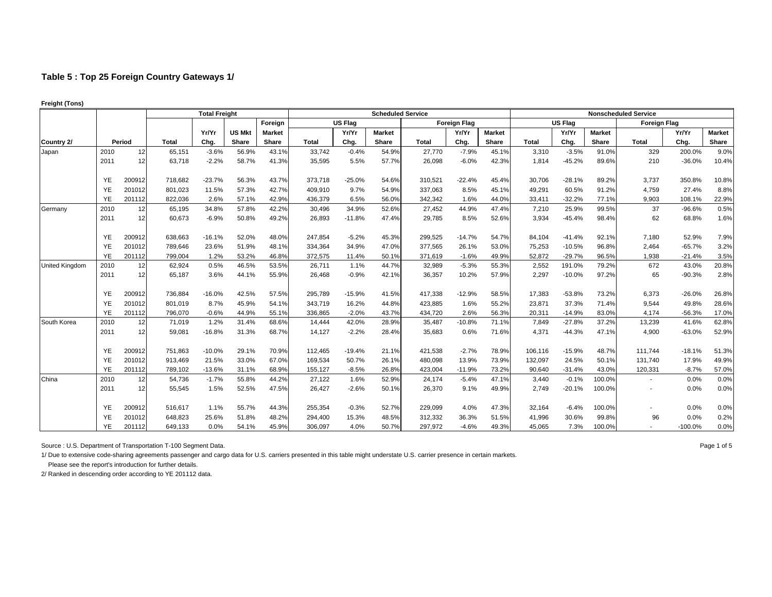|                |           |        | <b>Total Freight</b> |          |               |               |              |                | <b>Scheduled Service</b> |              |                     |               |         |                |               | <b>Nonscheduled Service</b> |           |               |
|----------------|-----------|--------|----------------------|----------|---------------|---------------|--------------|----------------|--------------------------|--------------|---------------------|---------------|---------|----------------|---------------|-----------------------------|-----------|---------------|
|                |           |        |                      |          |               | Foreign       |              | <b>US Flag</b> |                          |              | <b>Foreign Flag</b> |               |         | <b>US Flag</b> |               | <b>Foreign Flag</b>         |           |               |
|                |           |        |                      | Yr/Yr    | <b>US Mkt</b> | <b>Market</b> |              | Yr/Yr          | <b>Market</b>            |              | Yr/Yr               | <b>Market</b> |         | Yr/Yr          | <b>Market</b> |                             | Yr/Yr     | <b>Market</b> |
| Country 2/     |           | Period | <b>Total</b>         | Chg.     | Share         | Share         | <b>Total</b> | Chg.           | Share                    | <b>Total</b> | Chg.                | Share         | Total   | Chg.           | Share         | <b>Total</b>                | Chg.      | Share         |
| Japan          | 2010      | 12     | 65,151               | $-3.6%$  | 56.9%         | 43.1%         | 33,742       | $-0.4%$        | 54.9%                    | 27,770       | $-7.9%$             | 45.1%         | 3,310   | $-3.5%$        | 91.0%         | 329                         | 200.0%    | 9.0%          |
|                | 2011      | 12     | 63,718               | $-2.2%$  | 58.7%         | 41.3%         | 35,595       | 5.5%           | 57.7%                    | 26,098       | $-6.0%$             | 42.3%         | 1,814   | $-45.2%$       | 89.6%         | 210                         | $-36.0%$  | 10.4%         |
|                | YE        | 200912 | 718,682              | $-23.7%$ | 56.3%         | 43.7%         | 373,718      | $-25.0%$       | 54.6%                    | 310,521      | $-22.4%$            | 45.4%         | 30,706  | $-28.1%$       | 89.2%         | 3,737                       | 350.8%    | 10.8%         |
|                | YE        | 201012 | 801,023              | 11.5%    | 57.3%         | 42.7%         | 409,910      | 9.7%           | 54.9%                    | 337,063      | 8.5%                | 45.1%         | 49,291  | 60.5%          | 91.2%         | 4,759                       | 27.4%     | 8.8%          |
|                | <b>YE</b> | 201112 | 822,036              | 2.6%     | 57.1%         | 42.9%         | 436,379      | 6.5%           | 56.0%                    | 342,342      | 1.6%                | 44.0%         | 33,411  | $-32.2%$       | 77.1%         | 9,903                       | 108.1%    | 22.9%         |
| Germany        | 2010      | 12     | 65,195               | 34.8%    | 57.8%         | 42.2%         | 30,496       | 34.9%          | 52.6%                    | 27,452       | 44.9%               | 47.4%         | 7,210   | 25.9%          | 99.5%         | 37                          | $-96.6%$  | 0.5%          |
|                | 2011      | 12     | 60,673               | $-6.9%$  | 50.8%         | 49.2%         | 26,893       | $-11.8%$       | 47.4%                    | 29,785       | 8.5%                | 52.6%         | 3,934   | $-45.4%$       | 98.4%         | 62                          | 68.8%     | 1.6%          |
|                | YE        | 200912 | 638,663              | $-16.1%$ | 52.0%         | 48.0%         | 247,854      | $-5.2%$        | 45.3%                    | 299,525      | $-14.7%$            | 54.7%         | 84,104  | $-41.4%$       | 92.1%         | 7,180                       | 52.9%     | 7.9%          |
|                | <b>YE</b> | 201012 | 789,646              | 23.6%    | 51.9%         | 48.1%         | 334,364      | 34.9%          | 47.0%                    | 377,565      | 26.1%               | 53.0%         | 75,253  | $-10.5%$       | 96.8%         | 2,464                       | $-65.7%$  | 3.2%          |
|                | YE        | 201112 | 799,004              | 1.2%     | 53.2%         | 46.8%         | 372,575      | 11.4%          | 50.1%                    | 371,619      | $-1.6%$             | 49.9%         | 52,872  | $-29.7%$       | 96.5%         | 1,938                       | $-21.4%$  | 3.5%          |
| United Kingdom | 2010      | 12     | 62,924               | 0.5%     | 46.5%         | 53.5%         | 26,711       | 1.1%           | 44.7%                    | 32,989       | $-5.3%$             | 55.3%         | 2,552   | 191.0%         | 79.2%         | 672                         | 43.0%     | 20.8%         |
|                | 2011      | 12     | 65,187               | 3.6%     | 44.1%         | 55.9%         | 26,468       | $-0.9%$        | 42.1%                    | 36,357       | 10.2%               | 57.9%         | 2,297   | $-10.0%$       | 97.2%         | 65                          | $-90.3%$  | 2.8%          |
|                | <b>YE</b> | 200912 | 736,884              | $-16.0%$ | 42.5%         | 57.5%         | 295,789      | $-15.9%$       | 41.5%                    | 417,338      | $-12.9%$            | 58.5%         | 17,383  | $-53.8%$       | 73.2%         | 6,373                       | $-26.0%$  | 26.8%         |
|                | <b>YE</b> | 201012 | 801,019              | 8.7%     | 45.9%         | 54.1%         | 343,719      | 16.2%          | 44.8%                    | 423,885      | 1.6%                | 55.2%         | 23,871  | 37.3%          | 71.4%         | 9,544                       | 49.8%     | 28.6%         |
|                | YE        | 201112 | 796,070              | $-0.6%$  | 44.9%         | 55.1%         | 336,865      | $-2.0%$        | 43.7%                    | 434,720      | 2.6%                | 56.3%         | 20,311  | $-14.9%$       | 83.0%         | 4,174                       | $-56.3%$  | 17.0%         |
| South Korea    | 2010      | 12     | 71,019               | 1.2%     | 31.4%         | 68.6%         | 14,444       | 42.0%          | 28.9%                    | 35,487       | $-10.8%$            | 71.1%         | 7,849   | $-27.8%$       | 37.2%         | 13,239                      | 41.6%     | 62.8%         |
|                | 2011      | 12     | 59,081               | $-16.8%$ | 31.3%         | 68.7%         | 14,127       | $-2.2%$        | 28.4%                    | 35,683       | 0.6%                | 71.6%         | 4,371   | $-44.3%$       | 47.1%         | 4,900                       | $-63.0%$  | 52.9%         |
|                | <b>YE</b> | 200912 | 751,863              | $-10.0%$ | 29.1%         | 70.9%         | 112,465      | $-19.4%$       | 21.1%                    | 421,538      | $-2.7%$             | 78.9%         | 106,116 | $-15.9%$       | 48.7%         | 111,744                     | $-18.1%$  | 51.3%         |
|                | YE        | 201012 | 913,469              | 21.5%    | 33.0%         | 67.0%         | 169,534      | 50.7%          | 26.1%                    | 480,098      | 13.9%               | 73.9%         | 132,097 | 24.5%          | 50.1%         | 131,740                     | 17.9%     | 49.9%         |
|                | <b>YE</b> | 201112 | 789,102              | $-13.6%$ | 31.1%         | 68.9%         | 155,127      | $-8.5%$        | 26.8%                    | 423,004      | $-11.9%$            | 73.2%         | 90,640  | $-31.4%$       | 43.0%         | 120,331                     | $-8.7%$   | 57.0%         |
| China          | 2010      | 12     | 54,736               | $-1.7%$  | 55.8%         | 44.2%         | 27,122       | 1.6%           | 52.9%                    | 24,174       | $-5.4%$             | 47.1%         | 3,440   | $-0.1%$        | 100.0%        | $\blacksquare$              | 0.0%      | 0.0%          |
|                | 2011      | 12     | 55,545               | 1.5%     | 52.5%         | 47.5%         | 26,427       | $-2.6%$        | 50.1%                    | 26,370       | 9.1%                | 49.9%         | 2,749   | $-20.1%$       | 100.0%        |                             | 0.0%      | 0.0%          |
|                | <b>YE</b> | 200912 | 516,617              | 1.1%     | 55.7%         | 44.3%         | 255,354      | $-0.3%$        | 52.7%                    | 229,099      | 4.0%                | 47.3%         | 32,164  | $-6.4%$        | 100.0%        |                             | 0.0%      | 0.0%          |
|                | YE        | 201012 | 648,823              | 25.6%    | 51.8%         | 48.2%         | 294,400      | 15.3%          | 48.5%                    | 312,332      | 36.3%               | 51.5%         | 41,996  | 30.6%          | 99.8%         | 96                          | 0.0%      | 0.2%          |
|                | <b>YE</b> | 201112 | 649.133              | 0.0%     | 54.1%         | 45.9%         | 306.097      | 4.0%           | 50.7%                    | 297,972      | $-4.6%$             | 49.3%         | 45,065  | 7.3%           | 100.0%        |                             | $-100.0%$ | 0.0%          |

**Freight (Tons)** 

Source : U.S. Department of Transportation T-100 Segment Data. Page 1 of 5

1/ Due to extensive code-sharing agreements passenger and cargo data for U.S. carriers presented in this table might understate U.S. carrier presence in certain markets.

2/ Ranked in descending order according to YE 201112 data.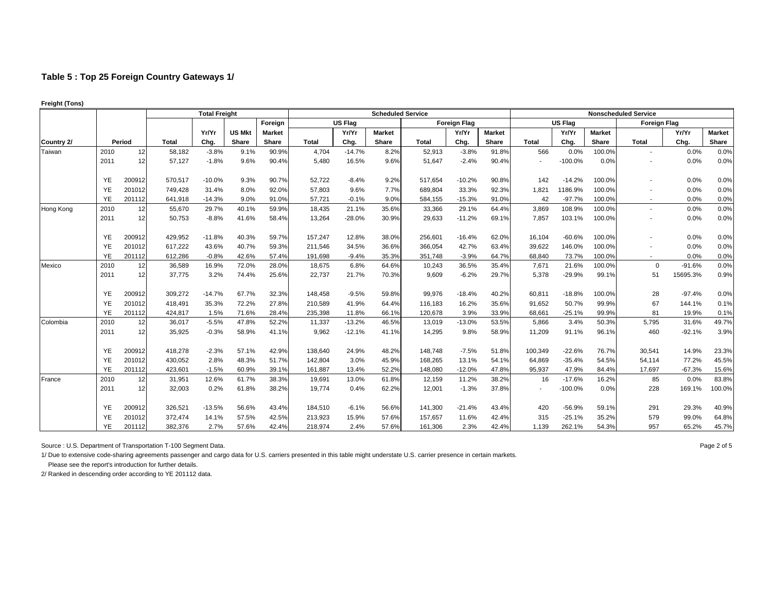|            |           |        | <b>Total Freight</b> |          |               |               |              |                | <b>Scheduled Service</b> |              |                     |               |              |           |               | <b>Nonscheduled Service</b> |          |               |
|------------|-----------|--------|----------------------|----------|---------------|---------------|--------------|----------------|--------------------------|--------------|---------------------|---------------|--------------|-----------|---------------|-----------------------------|----------|---------------|
|            |           |        |                      |          |               | Foreign       |              | <b>US Flag</b> |                          |              | <b>Foreign Flag</b> |               |              | US Flag   |               | <b>Foreign Flag</b>         |          |               |
|            |           |        |                      | Yr/Yr    | <b>US Mkt</b> | <b>Market</b> |              | Yr/Yr          | <b>Market</b>            |              | Yr/Yr               | <b>Market</b> |              | Yr/Yr     | <b>Market</b> |                             | Yr/Yr    | <b>Market</b> |
| Country 2/ |           | Period | <b>Total</b>         | Chg.     | Share         | Share         | <b>Total</b> | Chg.           | Share                    | <b>Total</b> | Chg.                | Share         | <b>Total</b> | Chg.      | Share         | <b>Total</b>                | Chg.     | Share         |
| Taiwan     | 2010      | 12     | 58,182               | $-3.8%$  | 9.1%          | 90.9%         | 4,704        | $-14.7%$       | 8.2%                     | 52,913       | $-3.8%$             | 91.8%         | 566          | 0.0%      | 100.0%        |                             | 0.0%     | 0.0%          |
|            | 2011      | 12     | 57,127               | $-1.8%$  | 9.6%          | 90.4%         | 5,480        | 16.5%          | 9.6%                     | 51,647       | $-2.4%$             | 90.4%         |              | $-100.0%$ | 0.0%          |                             | 0.0%     | 0.0%          |
|            | YE        | 200912 | 570,517              | $-10.0%$ | 9.3%          | 90.7%         | 52,722       | $-8.4%$        | 9.2%                     | 517,654      | $-10.2%$            | 90.8%         | 142          | $-14.2%$  | 100.0%        |                             | 0.0%     | 0.0%          |
|            | YE        | 201012 | 749,428              | 31.4%    | 8.0%          | 92.0%         | 57,803       | 9.6%           | 7.7%                     | 689,804      | 33.3%               | 92.3%         | 1,821        | 1186.9%   | 100.0%        |                             | 0.0%     | 0.0%          |
|            | YE        | 201112 | 641,918              | $-14.3%$ | 9.0%          | 91.0%         | 57,721       | $-0.1%$        | 9.0%                     | 584,155      | $-15.3%$            | 91.0%         | 42           | $-97.7%$  | 100.0%        |                             | 0.0%     | 0.0%          |
| Hong Kong  | 2010      | 12     | 55,670               | 29.7%    | 40.1%         | 59.9%         | 18,435       | 21.1%          | 35.6%                    | 33,366       | 29.1%               | 64.4%         | 3,869        | 108.9%    | 100.0%        |                             | 0.0%     | 0.0%          |
|            | 2011      | 12     | 50,753               | $-8.8%$  | 41.6%         | 58.4%         | 13,264       | $-28.0%$       | 30.9%                    | 29,633       | $-11.2%$            | 69.1%         | 7,857        | 103.1%    | 100.0%        |                             | 0.0%     | 0.0%          |
|            | YE        | 200912 | 429,952              | $-11.8%$ | 40.3%         | 59.7%         | 157,247      | 12.8%          | 38.0%                    | 256,601      | $-16.4%$            | 62.0%         | 16,104       | $-60.6%$  | 100.0%        |                             | 0.0%     | 0.0%          |
|            | <b>YE</b> | 201012 | 617,222              | 43.6%    | 40.7%         | 59.3%         | 211,546      | 34.5%          | 36.6%                    | 366,054      | 42.7%               | 63.4%         | 39,622       | 146.0%    | 100.0%        |                             | 0.0%     | 0.0%          |
|            | YE        | 201112 | 612,286              | $-0.8%$  | 42.6%         | 57.4%         | 191,698      | $-9.4%$        | 35.3%                    | 351,748      | $-3.9%$             | 64.7%         | 68,840       | 73.7%     | 100.0%        | $\overline{\phantom{a}}$    | 0.0%     | 0.0%          |
| Mexico     | 2010      | 12     | 36,589               | 16.9%    | 72.0%         | 28.0%         | 18,675       | 6.8%           | 64.6%                    | 10,243       | 36.5%               | 35.4%         | 7,671        | 21.6%     | 100.0%        | $\mathbf 0$                 | $-91.6%$ | 0.0%          |
|            | 2011      | 12     | 37,775               | 3.2%     | 74.4%         | 25.6%         | 22,737       | 21.7%          | 70.3%                    | 9,609        | $-6.2%$             | 29.7%         | 5,378        | $-29.9%$  | 99.1%         | 51                          | 15695.3% | 0.9%          |
|            | <b>YE</b> | 200912 | 309,272              | $-14.7%$ | 67.7%         | 32.3%         | 148,458      | $-9.5%$        | 59.8%                    | 99,976       | $-18.4%$            | 40.2%         | 60,811       | $-18.8%$  | 100.0%        | 28                          | $-97.4%$ | 0.0%          |
|            | YE        | 201012 | 418,491              | 35.3%    | 72.2%         | 27.8%         | 210,589      | 41.9%          | 64.4%                    | 116,183      | 16.2%               | 35.6%         | 91,652       | 50.7%     | 99.9%         | 67                          | 144.1%   | 0.1%          |
|            | YE        | 201112 | 424,817              | 1.5%     | 71.6%         | 28.4%         | 235,398      | 11.8%          | 66.1%                    | 120,678      | 3.9%                | 33.9%         | 68,661       | $-25.1%$  | 99.9%         | 81                          | 19.9%    | 0.1%          |
| Colombia   | 2010      | 12     | 36,017               | $-5.5%$  | 47.8%         | 52.2%         | 11,337       | $-13.2%$       | 46.5%                    | 13,019       | $-13.0%$            | 53.5%         | 5,866        | 3.4%      | 50.3%         | 5,795                       | 31.6%    | 49.7%         |
|            | 2011      | 12     | 35,925               | $-0.3%$  | 58.9%         | 41.1%         | 9,962        | $-12.1%$       | 41.1%                    | 14,295       | 9.8%                | 58.9%         | 11,209       | 91.1%     | 96.1%         | 460                         | $-92.1%$ | 3.9%          |
|            | YE        | 200912 | 418,278              | $-2.3%$  | 57.1%         | 42.9%         | 138,640      | 24.9%          | 48.2%                    | 148,748      | $-7.5%$             | 51.8%         | 100,349      | $-22.6%$  | 76.7%         | 30,541                      | 14.9%    | 23.3%         |
|            | <b>YE</b> | 201012 | 430,052              | 2.8%     | 48.3%         | 51.7%         | 142,804      | 3.0%           | 45.9%                    | 168,265      | 13.1%               | 54.1%         | 64,869       | $-35.4%$  | 54.5%         | 54,114                      | 77.2%    | 45.5%         |
|            | YE        | 201112 | 423,601              | $-1.5%$  | 60.9%         | 39.1%         | 161,887      | 13.4%          | 52.2%                    | 148,080      | $-12.0%$            | 47.8%         | 95,937       | 47.9%     | 84.4%         | 17,697                      | $-67.3%$ | 15.6%         |
| France     | 2010      | 12     | 31,951               | 12.6%    | 61.7%         | 38.3%         | 19,691       | 13.0%          | 61.8%                    | 12,159       | 11.2%               | 38.2%         | 16           | $-17.6%$  | 16.2%         | 85                          | 0.0%     | 83.8%         |
|            | 2011      | 12     | 32,003               | 0.2%     | 61.8%         | 38.2%         | 19,774       | 0.4%           | 62.2%                    | 12,001       | $-1.3%$             | 37.8%         |              | $-100.0%$ | 0.0%          | 228                         | 169.1%   | 100.0%        |
|            | YE        | 200912 | 326,521              | $-13.5%$ | 56.6%         | 43.4%         | 184,510      | $-6.1%$        | 56.6%                    | 141,300      | $-21.4%$            | 43.4%         | 420          | $-56.9%$  | 59.1%         | 291                         | 29.3%    | 40.9%         |
|            | YE        | 201012 | 372,474              | 14.1%    | 57.5%         | 42.5%         | 213,923      | 15.9%          | 57.6%                    | 157,657      | 11.6%               | 42.4%         | 315          | $-25.1%$  | 35.2%         | 579                         | 99.0%    | 64.8%         |
|            | <b>YE</b> | 201112 | 382,376              | 2.7%     | 57.6%         | 42.4%         | 218,974      | 2.4%           | 57.6%                    | 161,306      | 2.3%                | 42.4%         | 1,139        | 262.1%    | 54.3%         | 957                         | 65.2%    | 45.7%         |

**Freight (Tons)** 

Source : U.S. Department of Transportation T-100 Segment Data. 
<br>
Page 2 of 5

1/ Due to extensive code-sharing agreements passenger and cargo data for U.S. carriers presented in this table might understate U.S. carrier presence in certain markets.

2/ Ranked in descending order according to YE 201112 data.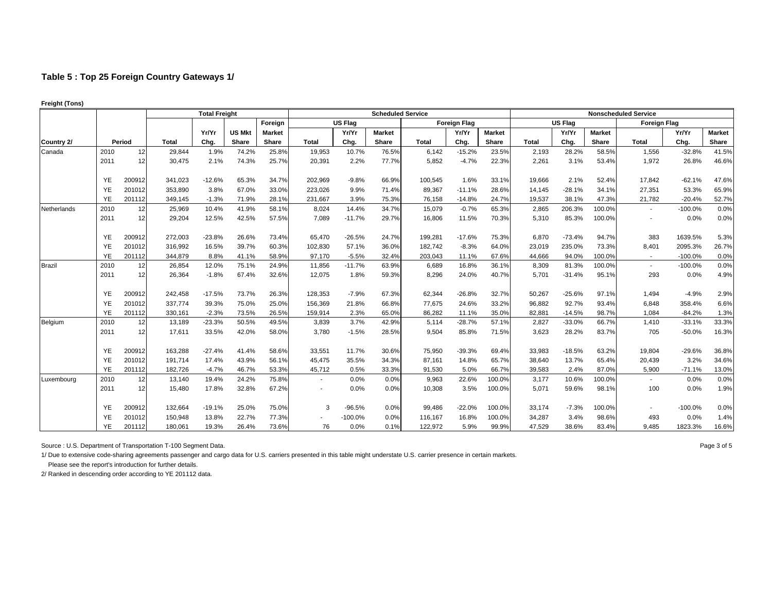|             |           |        | <b>Total Freight</b> |          |               |               |                          |           | <b>Scheduled Service</b> |              |                     |               | <b>Nonscheduled Service</b> |          |               |                          |           |               |  |
|-------------|-----------|--------|----------------------|----------|---------------|---------------|--------------------------|-----------|--------------------------|--------------|---------------------|---------------|-----------------------------|----------|---------------|--------------------------|-----------|---------------|--|
|             |           |        |                      |          |               | Foreign       |                          | US Flag   |                          |              | <b>Foreign Flag</b> |               |                             | US Flag  |               | <b>Foreign Flag</b>      |           |               |  |
|             |           |        |                      | Yr/Yr    | <b>US Mkt</b> | <b>Market</b> |                          | Yr/Yr     | <b>Market</b>            |              | Yr/Yr               | <b>Market</b> |                             | Yr/Yr    | <b>Market</b> |                          | Yr/Yr     | <b>Market</b> |  |
| Country 2/  |           | Period | <b>Total</b>         | Chg.     | Share         | Share         | <b>Total</b>             | Chg.      | Share                    | <b>Total</b> | Chg.                | Share         | <b>Total</b>                | Chg.     | Share         | <b>Total</b>             | Chg.      | Share         |  |
| Canada      | 2010      | 12     | 29,844               | 1.9%     | 74.2%         | 25.8%         | 19,953                   | 10.7%     | 76.5%                    | 6,142        | $-15.2%$            | 23.5%         | 2,193                       | 28.2%    | 58.5%         | 1,556                    | $-32.8%$  | 41.5%         |  |
|             | 2011      | 12     | 30,475               | 2.1%     | 74.3%         | 25.7%         | 20,391                   | 2.2%      | 77.7%                    | 5,852        | $-4.7%$             | 22.3%         | 2,261                       | 3.1%     | 53.4%         | 1,972                    | 26.8%     | 46.6%         |  |
|             | YE        | 200912 | 341,023              | $-12.6%$ | 65.3%         | 34.7%         | 202,969                  | $-9.8%$   | 66.9%                    | 100,545      | 1.6%                | 33.1%         | 19,666                      | 2.1%     | 52.4%         | 17,842                   | $-62.1%$  | 47.6%         |  |
|             | YE        | 201012 | 353,890              | 3.8%     | 67.0%         | 33.0%         | 223,026                  | 9.9%      | 71.4%                    | 89,367       | $-11.1%$            | 28.6%         | 14,145                      | $-28.1%$ | 34.1%         | 27,351                   | 53.3%     | 65.9%         |  |
|             | YE        | 201112 | 349,145              | $-1.3%$  | 71.9%         | 28.1%         | 231,667                  | 3.9%      | 75.3%                    | 76,158       | $-14.8%$            | 24.7%         | 19,537                      | 38.1%    | 47.3%         | 21,782                   | $-20.4%$  | 52.7%         |  |
| Netherlands | 2010      | 12     | 25,969               | 10.4%    | 41.9%         | 58.1%         | 8,024                    | 14.4%     | 34.7%                    | 15,079       | $-0.7%$             | 65.3%         | 2,865                       | 206.3%   | 100.0%        | $\overline{\phantom{a}}$ | $-100.0%$ | 0.0%          |  |
|             | 2011      | 12     | 29,204               | 12.5%    | 42.5%         | 57.5%         | 7.089                    | $-11.7%$  | 29.7%                    | 16,806       | 11.5%               | 70.3%         | 5,310                       | 85.3%    | 100.0%        |                          | 0.0%      | 0.0%          |  |
|             | YE        | 200912 | 272,003              | $-23.8%$ | 26.6%         | 73.4%         | 65,470                   | $-26.5%$  | 24.7%                    | 199,281      | $-17.6%$            | 75.3%         | 6,870                       | $-73.4%$ | 94.7%         | 383                      | 1639.5%   | 5.3%          |  |
|             | YE        | 201012 | 316,992              | 16.5%    | 39.7%         | 60.3%         | 102,830                  | 57.1%     | 36.0%                    | 182,742      | $-8.3%$             | 64.0%         | 23,019                      | 235.0%   | 73.3%         | 8,401                    | 2095.3%   | 26.7%         |  |
|             | YE        | 201112 | 344,879              | 8.8%     | 41.1%         | 58.9%         | 97,170                   | $-5.5%$   | 32.4%                    | 203,043      | 11.1%               | 67.6%         | 44,666                      | 94.0%    | 100.0%        | $\sim$                   | $-100.0%$ | 0.0%          |  |
| Brazil      | 2010      | 12     | 26,854               | 12.0%    | 75.1%         | 24.9%         | 11,856                   | $-11.7%$  | 63.9%                    | 6,689        | 16.8%               | 36.1%         | 8,309                       | 81.3%    | 100.0%        | $\blacksquare$           | $-100.0%$ | 0.0%          |  |
|             | 2011      | 12     | 26,364               | $-1.8%$  | 67.4%         | 32.6%         | 12,075                   | 1.8%      | 59.3%                    | 8,296        | 24.0%               | 40.7%         | 5,701                       | $-31.4%$ | 95.1%         | 293                      | 0.0%      | 4.9%          |  |
|             | YE        | 200912 | 242,458              | $-17.5%$ | 73.7%         | 26.3%         | 128,353                  | $-7.9%$   | 67.3%                    | 62,344       | $-26.8%$            | 32.7%         | 50,267                      | $-25.6%$ | 97.1%         | 1,494                    | $-4.9%$   | 2.9%          |  |
|             | YE        | 201012 | 337,774              | 39.3%    | 75.0%         | 25.0%         | 156,369                  | 21.8%     | 66.8%                    | 77,675       | 24.6%               | 33.2%         | 96,882                      | 92.7%    | 93.4%         | 6,848                    | 358.4%    | 6.6%          |  |
|             | YE        | 201112 | 330,161              | $-2.3%$  | 73.5%         | 26.5%         | 159,914                  | 2.3%      | 65.0%                    | 86,282       | 11.1%               | 35.0%         | 82,881                      | $-14.5%$ | 98.7%         | 1,084                    | $-84.2%$  | 1.3%          |  |
| Belgium     | 2010      | 12     | 13,189               | $-23.3%$ | 50.5%         | 49.5%         | 3,839                    | 3.7%      | 42.9%                    | 5,114        | $-28.7%$            | 57.1%         | 2,827                       | $-33.0%$ | 66.7%         | 1,410                    | $-33.1%$  | 33.3%         |  |
|             | 2011      | 12     | 17,611               | 33.5%    | 42.0%         | 58.0%         | 3,780                    | $-1.5%$   | 28.5%                    | 9,504        | 85.8%               | 71.5%         | 3,623                       | 28.2%    | 83.7%         | 705                      | $-50.0%$  | 16.3%         |  |
|             | YE        | 200912 | 163,288              | $-27.4%$ | 41.4%         | 58.6%         | 33,551                   | 11.7%     | 30.6%                    | 75,950       | $-39.3%$            | 69.4%         | 33,983                      | $-18.5%$ | 63.2%         | 19,804                   | $-29.6%$  | 36.8%         |  |
|             | <b>YE</b> | 201012 | 191,714              | 17.4%    | 43.9%         | 56.1%         | 45,475                   | 35.5%     | 34.3%                    | 87,161       | 14.8%               | 65.7%         | 38,640                      | 13.7%    | 65.4%         | 20,439                   | 3.2%      | 34.6%         |  |
|             | YE        | 201112 | 182,726              | $-4.7%$  | 46.7%         | 53.3%         | 45,712                   | 0.5%      | 33.3%                    | 91,530       | 5.0%                | 66.7%         | 39,583                      | 2.4%     | 87.0%         | 5,900                    | $-71.1%$  | 13.0%         |  |
| Luxembourg  | 2010      | 12     | 13,140               | 19.4%    | 24.2%         | 75.8%         | $\overline{\phantom{a}}$ | 0.0%      | 0.0%                     | 9,963        | 22.6%               | 100.0%        | 3,177                       | 10.6%    | 100.0%        |                          | 0.0%      | 0.0%          |  |
|             | 2011      | 12     | 15,480               | 17.8%    | 32.8%         | 67.2%         |                          | 0.0%      | 0.0%                     | 10,308       | 3.5%                | 100.0%        | 5,071                       | 59.6%    | 98.1%         | 100                      | 0.0%      | 1.9%          |  |
|             | YE        | 200912 | 132,664              | $-19.1%$ | 25.0%         | 75.0%         | 3                        | $-96.5%$  | 0.0%                     | 99,486       | $-22.0%$            | 100.0%        | 33,174                      | $-7.3%$  | 100.0%        |                          | $-100.0%$ | 0.0%          |  |
|             | YE        | 201012 | 150,948              | 13.8%    | 22.7%         | 77.3%         |                          | $-100.0%$ | 0.0%                     | 116,167      | 16.8%               | 100.0%        | 34,287                      | 3.4%     | 98.6%         | 493                      | 0.0%      | 1.4%          |  |
|             | <b>YE</b> | 201112 | 180.061              | 19.3%    | 26.4%         | 73.6%         | 76                       | 0.0%      | 0.1%                     | 122.972      | 5.9%                | 99.9%         | 47,529                      | 38.6%    | 83.4%         | 9.485                    | 1823.3%   | 16.6%         |  |

**Freight (Tons)** 

Source : U.S. Department of Transportation T-100 Segment Data. 
<br>
Page 3 of 5

1/ Due to extensive code-sharing agreements passenger and cargo data for U.S. carriers presented in this table might understate U.S. carrier presence in certain markets.

 Please see the report's introduction for further details. 2/ Ranked in descending order according to YE 201112 data.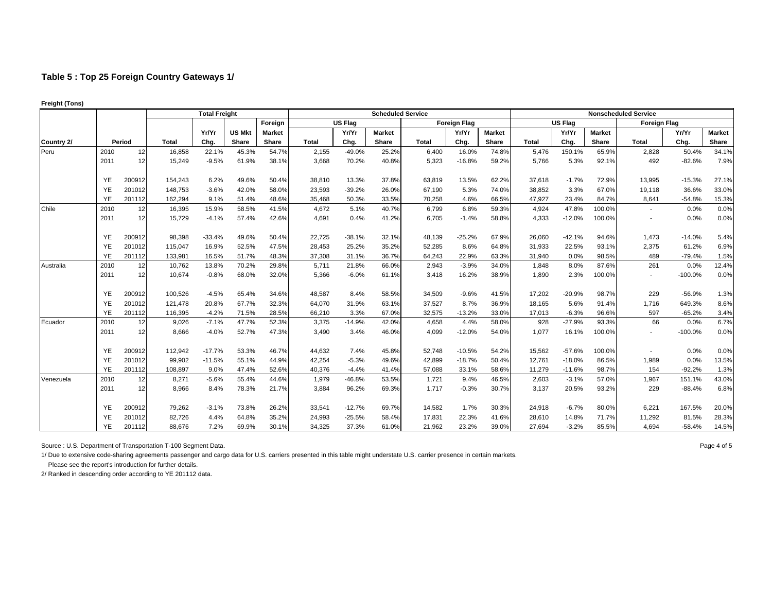|            |           |        | <b>Total Freight</b> |          |               |               |              |                | <b>Scheduled Service</b> |              |                     |               |              |                |               | <b>Nonscheduled Service</b> |           |               |
|------------|-----------|--------|----------------------|----------|---------------|---------------|--------------|----------------|--------------------------|--------------|---------------------|---------------|--------------|----------------|---------------|-----------------------------|-----------|---------------|
|            |           |        |                      |          |               | Foreign       |              | <b>US Flag</b> |                          |              | <b>Foreign Flag</b> |               |              | <b>US Flag</b> |               | <b>Foreign Flag</b>         |           |               |
|            |           |        |                      | Yr/Yr    | <b>US Mkt</b> | <b>Market</b> |              | Yr/Yr          | <b>Market</b>            |              | Yr/Yr               | <b>Market</b> |              | Yr/Yr          | <b>Market</b> |                             | Yr/Yr     | <b>Market</b> |
| Country 2/ |           | Period | <b>Total</b>         | Chg.     | Share         | Share         | <b>Total</b> | Chg.           | Share                    | <b>Total</b> | Chg.                | Share         | <b>Total</b> | Chg.           | Share         | Total                       | Chg.      | Share         |
| Peru       | 2010      | 12     | 16,858               | 22.1%    | 45.3%         | 54.7%         | 2,155        | $-49.0%$       | 25.2%                    | 6,400        | 16.0%               | 74.8%         | 5,476        | 150.1%         | 65.9%         | 2,828                       | 50.4%     | 34.1%         |
|            | 2011      | 12     | 15,249               | $-9.5%$  | 61.9%         | 38.1%         | 3,668        | 70.2%          | 40.8%                    | 5,323        | $-16.8%$            | 59.2%         | 5.766        | 5.3%           | 92.1%         | 492                         | $-82.6%$  | 7.9%          |
|            | <b>YE</b> | 200912 | 154,243              | 6.2%     | 49.6%         | 50.4%         | 38.810       | 13.3%          | 37.8%                    | 63,819       | 13.5%               | 62.2%         | 37,618       | $-1.7%$        | 72.9%         | 13,995                      | $-15.3%$  | 27.1%         |
|            | YE        | 201012 | 148,753              | $-3.6%$  | 42.0%         | 58.0%         | 23,593       | $-39.2%$       | 26.0%                    | 67,190       | 5.3%                | 74.0%         | 38,852       | 3.3%           | 67.0%         | 19,118                      | 36.6%     | 33.0%         |
|            | YE        | 201112 | 162,294              | 9.1%     | 51.4%         | 48.6%         | 35,468       | 50.3%          | 33.5%                    | 70,258       | 4.6%                | 66.5%         | 47,927       | 23.4%          | 84.7%         | 8,641                       | $-54.8%$  | 15.3%         |
| Chile      | 2010      | 12     | 16,395               | 15.9%    | 58.5%         | 41.5%         | 4,672        | 5.1%           | 40.7%                    | 6,799        | 6.8%                | 59.3%         | 4,924        | 47.8%          | 100.0%        | $\blacksquare$              | 0.0%      | 0.0%          |
|            | 2011      | 12     | 15,729               | $-4.1%$  | 57.4%         | 42.6%         | 4.691        | 0.4%           | 41.2%                    | 6,705        | $-1.4%$             | 58.8%         | 4,333        | $-12.0%$       | 100.0%        |                             | 0.0%      | 0.0%          |
|            | <b>YE</b> | 200912 | 98,398               | $-33.4%$ | 49.6%         | 50.4%         | 22,725       | $-38.1%$       | 32.1%                    | 48,139       | $-25.2%$            | 67.9%         | 26,060       | $-42.1%$       | 94.6%         | 1,473                       | $-14.0%$  | 5.4%          |
|            | <b>YE</b> | 201012 | 115,047              | 16.9%    | 52.5%         | 47.5%         | 28,453       | 25.2%          | 35.2%                    | 52,285       | 8.6%                | 64.8%         | 31,933       | 22.5%          | 93.1%         | 2,375                       | 61.2%     | 6.9%          |
|            | <b>YE</b> | 201112 | 133,981              | 16.5%    | 51.7%         | 48.3%         | 37,308       | 31.1%          | 36.7%                    | 64,243       | 22.9%               | 63.3%         | 31.940       | 0.0%           | 98.5%         | 489                         | $-79.4%$  | 1.5%          |
| Australia  | 2010      | 12     | 10,762               | 13.8%    | 70.2%         | 29.8%         | 5,711        | 21.8%          | 66.0%                    | 2,943        | $-3.9%$             | 34.0%         | 1,848        | 8.0%           | 87.6%         | 261                         | 0.0%      | 12.4%         |
|            | 2011      | 12     | 10,674               | $-0.8%$  | 68.0%         | 32.0%         | 5,366        | $-6.0%$        | 61.1%                    | 3,418        | 16.2%               | 38.9%         | 1,890        | 2.3%           | 100.0%        |                             | $-100.0%$ | 0.0%          |
|            | <b>YE</b> | 200912 | 100,526              | $-4.5%$  | 65.4%         | 34.6%         | 48,587       | 8.4%           | 58.5%                    | 34,509       | $-9.6%$             | 41.5%         | 17,202       | $-20.9%$       | 98.7%         | 229                         | $-56.9%$  | 1.3%          |
|            | <b>YE</b> | 201012 | 121,478              | 20.8%    | 67.7%         | 32.3%         | 64,070       | 31.9%          | 63.1%                    | 37,527       | 8.7%                | 36.9%         | 18,165       | 5.6%           | 91.4%         | 1,716                       | 649.3%    | 8.6%          |
|            | YE        | 201112 | 116.395              | $-4.2%$  | 71.5%         | 28.5%         | 66,210       | 3.3%           | 67.0%                    | 32,575       | $-13.2%$            | 33.0%         | 17,013       | $-6.3%$        | 96.6%         | 597                         | $-65.2%$  | 3.4%          |
| Ecuador    | 2010      | 12     | 9,026                | $-7.1%$  | 47.7%         | 52.3%         | 3,375        | $-14.9%$       | 42.0%                    | 4,658        | 4.4%                | 58.0%         | 928          | $-27.9%$       | 93.3%         | 66                          | 0.0%      | 6.7%          |
|            | 2011      | 12     | 8,666                | $-4.0%$  | 52.7%         | 47.3%         | 3,490        | 3.4%           | 46.0%                    | 4,099        | $-12.0%$            | 54.0%         | 1,077        | 16.1%          | 100.0%        |                             | $-100.0%$ | 0.0%          |
|            | <b>YE</b> | 200912 | 112,942              | $-17.7%$ | 53.3%         | 46.7%         | 44,632       | 7.4%           | 45.8%                    | 52,748       | $-10.5%$            | 54.2%         | 15,562       | $-57.6%$       | 100.0%        |                             | 0.0%      | 0.0%          |
|            | <b>YE</b> | 201012 | 99,902               | $-11.5%$ | 55.1%         | 44.9%         | 42,254       | $-5.3%$        | 49.6%                    | 42,899       | $-18.7%$            | 50.4%         | 12,761       | $-18.0%$       | 86.5%         | 1,989                       | 0.0%      | 13.5%         |
|            | YE        | 201112 | 108,897              | 9.0%     | 47.4%         | 52.6%         | 40,376       | $-4.4%$        | 41.4%                    | 57,088       | 33.1%               | 58.6%         | 11,279       | $-11.6%$       | 98.7%         | 154                         | $-92.2%$  | 1.3%          |
| Venezuela  | 2010      | 12     | 8,271                | $-5.6%$  | 55.4%         | 44.6%         | 1,979        | $-46.8%$       | 53.5%                    | 1,721        | 9.4%                | 46.5%         | 2,603        | $-3.1%$        | 57.0%         | 1,967                       | 151.1%    | 43.0%         |
|            | 2011      | 12     | 8,966                | 8.4%     | 78.3%         | 21.7%         | 3,884        | 96.2%          | 69.3%                    | 1,717        | $-0.3%$             | 30.7%         | 3,137        | 20.5%          | 93.2%         | 229                         | $-88.4%$  | 6.8%          |
|            | YE        | 200912 | 79,262               | $-3.1%$  | 73.8%         | 26.2%         | 33,541       | $-12.7%$       | 69.7%                    | 14,582       | 1.7%                | 30.3%         | 24,918       | $-6.7%$        | 80.0%         | 6,221                       | 167.5%    | 20.0%         |
|            | <b>YE</b> | 201012 | 82,726               | 4.4%     | 64.8%         | 35.2%         | 24,993       | $-25.5%$       | 58.4%                    | 17,831       | 22.3%               | 41.6%         | 28,610       | 14.8%          | 71.7%         | 11,292                      | 81.5%     | 28.3%         |
|            | <b>YE</b> | 201112 | 88,676               | 7.2%     | 69.9%         | 30.1%         | 34,325       | 37.3%          | 61.0%                    | 21,962       | 23.2%               | 39.0%         | 27,694       | $-3.2%$        | 85.5%         | 4,694                       | $-58.4%$  | 14.5%         |

**Freight (Tons)** 

Source : U.S. Department of Transportation T-100 Segment Data. 
<br>
Page 4 of 5

1/ Due to extensive code-sharing agreements passenger and cargo data for U.S. carriers presented in this table might understate U.S. carrier presence in certain markets.

2/ Ranked in descending order according to YE 201112 data.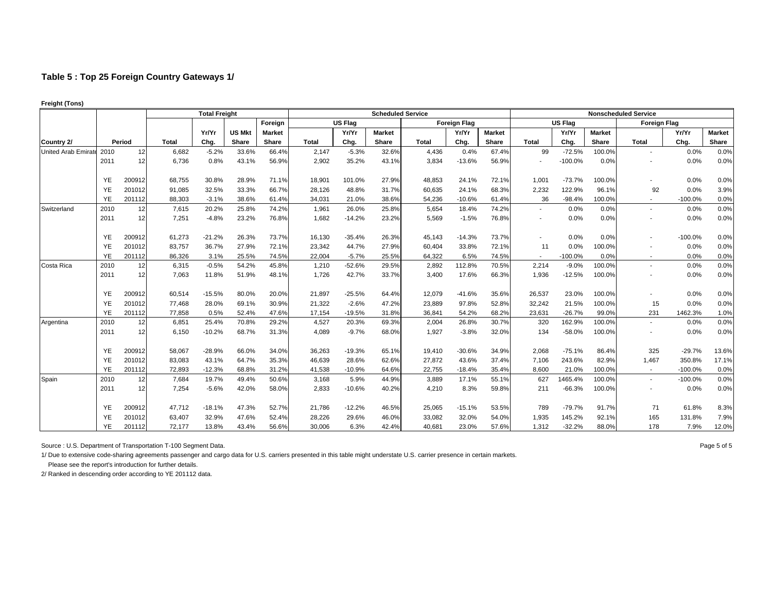| <b>Freight (Tons)</b> |  |
|-----------------------|--|
|                       |  |

|                     | <b>Total Freight</b> |        |              |          |               |               |              |                | <b>Scheduled Service</b> |              |                     |               | <b>Nonscheduled Service</b> |                |               |                          |           |               |  |
|---------------------|----------------------|--------|--------------|----------|---------------|---------------|--------------|----------------|--------------------------|--------------|---------------------|---------------|-----------------------------|----------------|---------------|--------------------------|-----------|---------------|--|
|                     |                      |        |              |          |               | Foreign       |              | <b>US Flag</b> |                          |              | <b>Foreign Flag</b> |               |                             | <b>US Flag</b> |               | <b>Foreign Flag</b>      |           |               |  |
|                     |                      |        |              | Yr/Yr    | <b>US Mkt</b> | <b>Market</b> |              | Yr/Yr          | <b>Market</b>            |              | Yr/Yr               | <b>Market</b> |                             | Yr/Yr          | <b>Market</b> |                          | Yr/Yr     | <b>Market</b> |  |
| Country 2/          |                      | Period | <b>Total</b> | Chg.     | Share         | Share         | <b>Total</b> | Chg.           | Share                    | <b>Total</b> | Chg.                | Share         | <b>Total</b>                | Chg.           | Share         | <b>Total</b>             | Chg.      | Share         |  |
| United Arab Emirate | 2010                 | 12     | 6,682        | $-5.2%$  | 33.6%         | 66.4%         | 2,147        | $-5.3%$        | 32.6%                    | 4,436        | 0.4%                | 67.4%         | 99                          | $-72.5%$       | 100.0%        | $\overline{\phantom{a}}$ | 0.0%      | 0.0%          |  |
|                     | 2011                 | 12     | 6,736        | 0.8%     | 43.1%         | 56.9%         | 2,902        | 35.2%          | 43.1%                    | 3,834        | $-13.6%$            | 56.9%         | ٠                           | $-100.0%$      | 0.0%          |                          | 0.0%      | 0.0%          |  |
|                     | YE                   | 200912 | 68,755       | 30.8%    | 28.9%         | 71.1%         | 18,901       | 101.0%         | 27.9%                    | 48,853       | 24.1%               | 72.1%         | 1,001                       | $-73.7%$       | 100.0%        |                          | 0.0%      | 0.0%          |  |
|                     | YE                   | 201012 | 91,085       | 32.5%    | 33.3%         | 66.7%         | 28,126       | 48.8%          | 31.7%                    | 60,635       | 24.1%               | 68.3%         | 2,232                       | 122.9%         | 96.1%         | 92                       | 0.0%      | 3.9%          |  |
|                     | YE                   | 201112 | 88,303       | $-3.1%$  | 38.6%         | 61.4%         | 34,031       | 21.0%          | 38.6%                    | 54,236       | $-10.6%$            | 61.4%         | 36                          | $-98.4%$       | 100.0%        |                          | $-100.0%$ | 0.0%          |  |
| Switzerland         | 2010                 | 12     | 7,615        | 20.2%    | 25.8%         | 74.2%         | 1,961        | 26.0%          | 25.8%                    | 5,654        | 18.4%               | 74.2%         | $\sim$                      | 0.0%           | 0.0%          | $\overline{\phantom{a}}$ | 0.0%      | 0.0%          |  |
|                     | 2011                 | 12     | 7,251        | $-4.8%$  | 23.2%         | 76.8%         | 1,682        | $-14.2%$       | 23.2%                    | 5,569        | $-1.5%$             | 76.8%         | ٠                           | 0.0%           | 0.0%          |                          | 0.0%      | 0.0%          |  |
|                     | YE                   | 200912 | 61,273       | $-21.2%$ | 26.3%         | 73.7%         | 16,130       | $-35.4%$       | 26.3%                    | 45,143       | $-14.3%$            | 73.7%         |                             | 0.0%           | 0.0%          |                          | $-100.0%$ | 0.0%          |  |
|                     | YE                   | 201012 | 83,757       | 36.7%    | 27.9%         | 72.1%         | 23,342       | 44.7%          | 27.9%                    | 60,404       | 33.8%               | 72.1%         | 11                          | 0.0%           | 100.0%        |                          | 0.0%      | 0.0%          |  |
|                     | <b>YE</b>            | 201112 | 86,326       | 3.1%     | 25.5%         | 74.5%         | 22,004       | $-5.7%$        | 25.5%                    | 64,322       | 6.5%                | 74.5%         | $\sim$                      | $-100.0%$      | 0.0%          | $\overline{\phantom{a}}$ | 0.0%      | 0.0%          |  |
| Costa Rica          | 2010                 | 12     | 6,315        | $-0.5%$  | 54.2%         | 45.8%         | 1,210        | $-52.6%$       | 29.5%                    | 2,892        | 112.8%              | 70.5%         | 2,214                       | $-9.0%$        | 100.0%        |                          | 0.0%      | 0.0%          |  |
|                     | 2011                 | 12     | 7,063        | 11.8%    | 51.9%         | 48.1%         | 1,726        | 42.7%          | 33.7%                    | 3,400        | 17.6%               | 66.3%         | 1.936                       | $-12.5%$       | 100.0%        |                          | 0.0%      | 0.0%          |  |
|                     | YE                   | 200912 | 60,514       | $-15.5%$ | 80.0%         | 20.0%         | 21,897       | $-25.5%$       | 64.4%                    | 12,079       | $-41.6%$            | 35.6%         | 26,537                      | 23.0%          | 100.0%        |                          | 0.0%      | 0.0%          |  |
|                     | YE                   | 201012 | 77,468       | 28.0%    | 69.1%         | 30.9%         | 21,322       | $-2.6%$        | 47.2%                    | 23,889       | 97.8%               | 52.8%         | 32,242                      | 21.5%          | 100.0%        | 15                       | 0.0%      | 0.0%          |  |
|                     | YE                   | 201112 | 77,858       | 0.5%     | 52.4%         | 47.6%         | 17,154       | $-19.5%$       | 31.8%                    | 36,841       | 54.2%               | 68.2%         | 23,631                      | $-26.7%$       | 99.0%         | 231                      | 1462.3%   | 1.0%          |  |
| Argentina           | 2010                 | 12     | 6,851        | 25.4%    | 70.8%         | 29.2%         | 4,527        | 20.3%          | 69.3%                    | 2,004        | 26.8%               | 30.7%         | 320                         | 162.9%         | 100.0%        |                          | 0.0%      | 0.0%          |  |
|                     | 2011                 | 12     | 6,150        | $-10.2%$ | 68.7%         | 31.3%         | 4,089        | $-9.7%$        | 68.0%                    | 1,927        | $-3.8%$             | 32.0%         | 134                         | $-58.0%$       | 100.0%        |                          | 0.0%      | 0.0%          |  |
|                     | YE                   | 200912 | 58,067       | $-28.9%$ | 66.0%         | 34.0%         | 36,263       | $-19.3%$       | 65.1%                    | 19,410       | $-30.6%$            | 34.9%         | 2,068                       | $-75.1%$       | 86.4%         | 325                      | $-29.7%$  | 13.6%         |  |
|                     | YE                   | 201012 | 83,083       | 43.1%    | 64.7%         | 35.3%         | 46,639       | 28.6%          | 62.6%                    | 27,872       | 43.6%               | 37.4%         | 7,106                       | 243.6%         | 82.9%         | 1,467                    | 350.8%    | 17.1%         |  |
|                     | <b>YE</b>            | 201112 | 72.893       | $-12.3%$ | 68.8%         | 31.2%         | 41,538       | $-10.9%$       | 64.6%                    | 22,755       | $-18.4%$            | 35.4%         | 8,600                       | 21.0%          | 100.0%        | $\sim$                   | $-100.0%$ | 0.0%          |  |
| Spain               | 2010                 | 12     | 7,684        | 19.7%    | 49.4%         | 50.6%         | 3,168        | 5.9%           | 44.9%                    | 3,889        | 17.1%               | 55.1%         | 627                         | 1465.4%        | 100.0%        | $\overline{\phantom{a}}$ | $-100.0%$ | 0.0%          |  |
|                     | 2011                 | 12     | 7,254        | $-5.6%$  | 42.0%         | 58.0%         | 2,833        | $-10.6%$       | 40.2%                    | 4,210        | 8.3%                | 59.8%         | 211                         | $-66.3%$       | 100.0%        |                          | 0.0%      | 0.0%          |  |
|                     | YE                   | 200912 | 47.712       | $-18.1%$ | 47.3%         | 52.7%         | 21,786       | $-12.2%$       | 46.5%                    | 25,065       | $-15.1%$            | 53.5%         | 789                         | $-79.7%$       | 91.7%         | 71                       | 61.8%     | 8.3%          |  |
|                     | YE                   | 201012 | 63,407       | 32.9%    | 47.6%         | 52.4%         | 28,226       | 29.6%          | 46.0%                    | 33,082       | 32.0%               | 54.0%         | 1,935                       | 145.2%         | 92.1%         | 165                      | 131.8%    | 7.9%          |  |
|                     | <b>YE</b>            | 201112 | 72,177       | 13.8%    | 43.4%         | 56.6%         | 30,006       | 6.3%           | 42.4%                    | 40,681       | 23.0%               | 57.6%         | 1,312                       | $-32.2%$       | 88.0%         | 178                      | 7.9%      | 12.0%         |  |

Source : U.S. Department of Transportation T-100 Segment Data. 
<br>
Page 5 of 5

1/ Due to extensive code-sharing agreements passenger and cargo data for U.S. carriers presented in this table might understate U.S. carrier presence in certain markets.

 Please see the report's introduction for further details. 2/ Ranked in descending order according to YE 201112 data.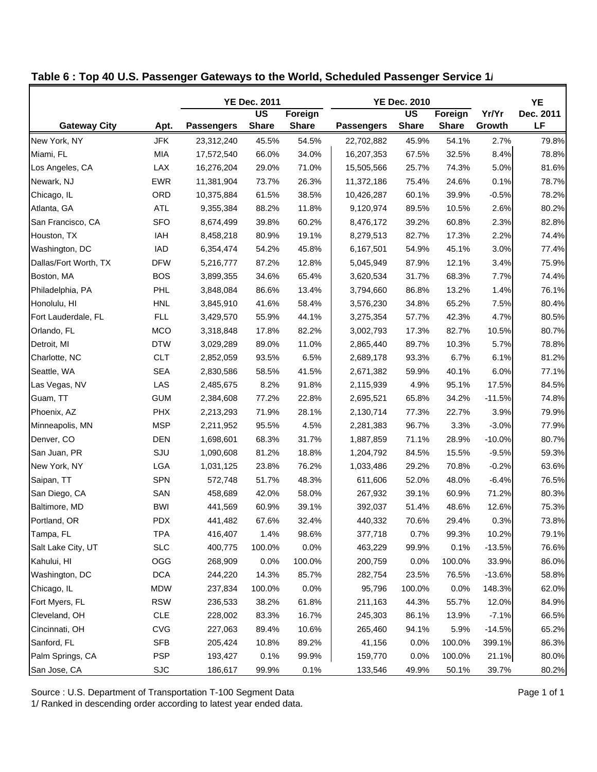|                       |            |                   | <b>YE Dec. 2011</b>      |              |                   | <b>YE Dec. 2010</b>      |              |          | YE        |
|-----------------------|------------|-------------------|--------------------------|--------------|-------------------|--------------------------|--------------|----------|-----------|
|                       |            |                   | $\overline{\mathsf{US}}$ | Foreign      |                   | $\overline{\mathsf{US}}$ | Foreign      | Yr/Yr    | Dec. 2011 |
| <b>Gateway City</b>   | Apt.       | <b>Passengers</b> | <b>Share</b>             | <b>Share</b> | <b>Passengers</b> | <b>Share</b>             | <b>Share</b> | Growth   | LF        |
| New York, NY          | <b>JFK</b> | 23,312,240        | 45.5%                    | 54.5%        | 22,702,882        | 45.9%                    | 54.1%        | 2.7%     | 79.8%     |
| Miami, FL             | MIA        | 17,572,540        | 66.0%                    | 34.0%        | 16,207,353        | 67.5%                    | 32.5%        | 8.4%     | 78.8%     |
| Los Angeles, CA       | LAX        | 16,276,204        | 29.0%                    | 71.0%        | 15,505,566        | 25.7%                    | 74.3%        | 5.0%     | 81.6%     |
| Newark, NJ            | <b>EWR</b> | 11,381,904        | 73.7%                    | 26.3%        | 11,372,186        | 75.4%                    | 24.6%        | 0.1%     | 78.7%     |
| Chicago, IL           | ORD        | 10,375,884        | 61.5%                    | 38.5%        | 10,426,287        | 60.1%                    | 39.9%        | $-0.5%$  | 78.2%     |
| Atlanta, GA           | ATL        | 9,355,384         | 88.2%                    | 11.8%        | 9,120,974         | 89.5%                    | 10.5%        | 2.6%     | 80.2%     |
| San Francisco, CA     | <b>SFO</b> | 8,674,499         | 39.8%                    | 60.2%        | 8,476,172         | 39.2%                    | 60.8%        | 2.3%     | 82.8%     |
| Houston, TX           | IAH        | 8,458,218         | 80.9%                    | 19.1%        | 8,279,513         | 82.7%                    | 17.3%        | 2.2%     | 74.4%     |
| Washington, DC        | <b>IAD</b> | 6,354,474         | 54.2%                    | 45.8%        | 6,167,501         | 54.9%                    | 45.1%        | 3.0%     | 77.4%     |
| Dallas/Fort Worth, TX | <b>DFW</b> | 5,216,777         | 87.2%                    | 12.8%        | 5,045,949         | 87.9%                    | 12.1%        | 3.4%     | 75.9%     |
| Boston, MA            | <b>BOS</b> | 3,899,355         | 34.6%                    | 65.4%        | 3,620,534         | 31.7%                    | 68.3%        | 7.7%     | 74.4%     |
| Philadelphia, PA      | PHL        | 3,848,084         | 86.6%                    | 13.4%        | 3,794,660         | 86.8%                    | 13.2%        | 1.4%     | 76.1%     |
| Honolulu, HI          | <b>HNL</b> | 3,845,910         | 41.6%                    | 58.4%        | 3,576,230         | 34.8%                    | 65.2%        | 7.5%     | 80.4%     |
| Fort Lauderdale, FL   | <b>FLL</b> | 3,429,570         | 55.9%                    | 44.1%        | 3,275,354         | 57.7%                    | 42.3%        | 4.7%     | 80.5%     |
| Orlando, FL           | <b>MCO</b> | 3,318,848         | 17.8%                    | 82.2%        | 3,002,793         | 17.3%                    | 82.7%        | 10.5%    | 80.7%     |
| Detroit, MI           | <b>DTW</b> | 3,029,289         | 89.0%                    | 11.0%        | 2,865,440         | 89.7%                    | 10.3%        | 5.7%     | 78.8%     |
| Charlotte, NC         | <b>CLT</b> | 2,852,059         | 93.5%                    | 6.5%         | 2,689,178         | 93.3%                    | 6.7%         | 6.1%     | 81.2%     |
| Seattle, WA           | <b>SEA</b> | 2,830,586         | 58.5%                    | 41.5%        | 2,671,382         | 59.9%                    | 40.1%        | 6.0%     | 77.1%     |
| Las Vegas, NV         | LAS        | 2,485,675         | 8.2%                     | 91.8%        | 2,115,939         | 4.9%                     | 95.1%        | 17.5%    | 84.5%     |
| Guam, TT              | <b>GUM</b> | 2,384,608         | 77.2%                    | 22.8%        | 2,695,521         | 65.8%                    | 34.2%        | $-11.5%$ | 74.8%     |
| Phoenix, AZ           | <b>PHX</b> | 2,213,293         | 71.9%                    | 28.1%        | 2,130,714         | 77.3%                    | 22.7%        | 3.9%     | 79.9%     |
| Minneapolis, MN       | <b>MSP</b> | 2,211,952         | 95.5%                    | 4.5%         | 2,281,383         | 96.7%                    | 3.3%         | $-3.0%$  | 77.9%     |
| Denver, CO            | <b>DEN</b> | 1,698,601         | 68.3%                    | 31.7%        | 1,887,859         | 71.1%                    | 28.9%        | $-10.0%$ | 80.7%     |
| San Juan, PR          | SJU        | 1,090,608         | 81.2%                    | 18.8%        | 1,204,792         | 84.5%                    | 15.5%        | $-9.5%$  | 59.3%     |
| New York, NY          | LGA        | 1,031,125         | 23.8%                    | 76.2%        | 1,033,486         | 29.2%                    | 70.8%        | $-0.2%$  | 63.6%     |
| Saipan, TT            | <b>SPN</b> | 572,748           | 51.7%                    | 48.3%        | 611,606           | 52.0%                    | 48.0%        | $-6.4%$  | 76.5%     |
| San Diego, CA         | SAN        | 458,689           | 42.0%                    | 58.0%        | 267,932           | 39.1%                    | 60.9%        | 71.2%    | 80.3%     |
| Baltimore, MD         | <b>BWI</b> | 441,569           | 60.9%                    | 39.1%        | 392,037           | 51.4%                    | 48.6%        | 12.6%    | 75.3%     |
| Portland, OR          | <b>PDX</b> | 441,482           | 67.6%                    | 32.4%        | 440,332           | 70.6%                    | 29.4%        | 0.3%     | 73.8%     |
| Tampa, FL             | <b>TPA</b> | 416,407           | 1.4%                     | 98.6%        | 377,718           | 0.7%                     | 99.3%        | 10.2%    | 79.1%     |
| Salt Lake City, UT    | <b>SLC</b> | 400,775           | 100.0%                   | 0.0%         | 463,229           | 99.9%                    | 0.1%         | $-13.5%$ | 76.6%     |
| Kahului, HI           | OGG        | 268,909           | 0.0%                     | 100.0%       | 200,759           | 0.0%                     | 100.0%       | 33.9%    | 86.0%     |
| Washington, DC        | <b>DCA</b> | 244,220           | 14.3%                    | 85.7%        | 282,754           | 23.5%                    | 76.5%        | $-13.6%$ | 58.8%     |
| Chicago, IL           | <b>MDW</b> | 237,834           | 100.0%                   | 0.0%         | 95,796            | 100.0%                   | 0.0%         | 148.3%   | 62.0%     |
| Fort Myers, FL        | <b>RSW</b> | 236,533           | 38.2%                    | 61.8%        | 211,163           | 44.3%                    | 55.7%        | 12.0%    | 84.9%     |
| Cleveland, OH         | <b>CLE</b> | 228,002           | 83.3%                    | 16.7%        | 245,303           | 86.1%                    | 13.9%        | $-7.1%$  | 66.5%     |
| Cincinnati, OH        | <b>CVG</b> | 227,063           | 89.4%                    | 10.6%        | 265,460           | 94.1%                    | 5.9%         | $-14.5%$ | 65.2%     |
| Sanford, FL           | <b>SFB</b> | 205,424           | 10.8%                    | 89.2%        | 41,156            | 0.0%                     | 100.0%       | 399.1%   | 86.3%     |
| Palm Springs, CA      | <b>PSP</b> | 193,427           | 0.1%                     | 99.9%        | 159,770           | 0.0%                     | 100.0%       | 21.1%    | 80.0%     |
| San Jose, CA          | <b>SJC</b> | 186,617           | 99.9%                    | 0.1%         | 133,546           | 49.9%                    | 50.1%        | 39.7%    | 80.2%     |

**Table 6 : Top 40 U.S. Passenger Gateways to the World, Scheduled Passenger Service 1/**

Source : U.S. Department of Transportation T-100 Segment Data **Page 1 of 1** Page 1 of 1

1/ Ranked in descending order according to latest year ended data.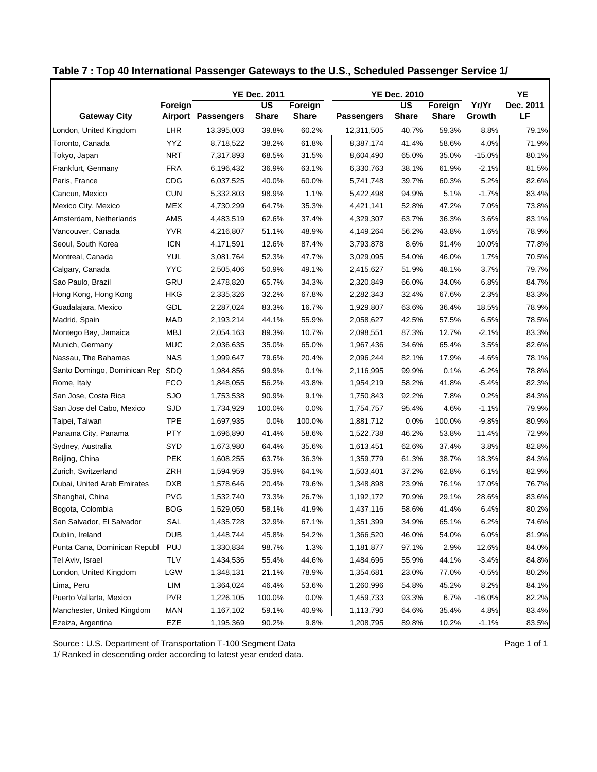|                                  |            |                    | <b>YE Dec. 2011</b>               |              |                   | <b>YE Dec. 2010</b>       |              |          | YE        |
|----------------------------------|------------|--------------------|-----------------------------------|--------------|-------------------|---------------------------|--------------|----------|-----------|
|                                  | Foreign    |                    | $\overline{\mathsf{u}\mathsf{s}}$ | Foreign      |                   | $\overline{\mathsf{u}}$ s | Foreign      | Yr/Yr    | Dec. 2011 |
| <b>Gateway City</b>              |            | Airport Passengers | <b>Share</b>                      | <b>Share</b> | <b>Passengers</b> | <b>Share</b>              | <b>Share</b> | Growth   | LF        |
| London, United Kingdom           | <b>LHR</b> | 13,395,003         | 39.8%                             | 60.2%        | 12,311,505        | 40.7%                     | 59.3%        | 8.8%     | 79.1%     |
| Toronto, Canada                  | <b>YYZ</b> | 8,718,522          | 38.2%                             | 61.8%        | 8,387,174         | 41.4%                     | 58.6%        | 4.0%     | 71.9%     |
| Tokyo, Japan                     | <b>NRT</b> | 7,317,893          | 68.5%                             | 31.5%        | 8,604,490         | 65.0%                     | 35.0%        | $-15.0%$ | 80.1%     |
| Frankfurt, Germany               | <b>FRA</b> | 6,196,432          | 36.9%                             | 63.1%        | 6,330,763         | 38.1%                     | 61.9%        | $-2.1%$  | 81.5%     |
| Paris, France                    | CDG        | 6,037,525          | 40.0%                             | 60.0%        | 5,741,748         | 39.7%                     | 60.3%        | 5.2%     | 82.6%     |
| Cancun, Mexico                   | <b>CUN</b> | 5,332,803          | 98.9%                             | 1.1%         | 5,422,498         | 94.9%                     | 5.1%         | $-1.7%$  | 83.4%     |
| Mexico City, Mexico              | <b>MEX</b> | 4,730,299          | 64.7%                             | 35.3%        | 4,421,141         | 52.8%                     | 47.2%        | 7.0%     | 73.8%     |
| Amsterdam, Netherlands           | AMS        | 4,483,519          | 62.6%                             | 37.4%        | 4,329,307         | 63.7%                     | 36.3%        | 3.6%     | 83.1%     |
| Vancouver, Canada                | <b>YVR</b> | 4,216,807          | 51.1%                             | 48.9%        | 4,149,264         | 56.2%                     | 43.8%        | 1.6%     | 78.9%     |
| Seoul, South Korea               | <b>ICN</b> | 4,171,591          | 12.6%                             | 87.4%        | 3,793,878         | 8.6%                      | 91.4%        | 10.0%    | 77.8%     |
| Montreal, Canada                 | YUL        | 3,081,764          | 52.3%                             | 47.7%        | 3,029,095         | 54.0%                     | 46.0%        | 1.7%     | 70.5%     |
| Calgary, Canada                  | <b>YYC</b> | 2,505,406          | 50.9%                             | 49.1%        | 2,415,627         | 51.9%                     | 48.1%        | 3.7%     | 79.7%     |
| Sao Paulo, Brazil                | GRU        | 2,478,820          | 65.7%                             | 34.3%        | 2,320,849         | 66.0%                     | 34.0%        | 6.8%     | 84.7%     |
| Hong Kong, Hong Kong             | <b>HKG</b> | 2,335,326          | 32.2%                             | 67.8%        | 2,282,343         | 32.4%                     | 67.6%        | 2.3%     | 83.3%     |
| Guadalajara, Mexico              | GDL        | 2,287,024          | 83.3%                             | 16.7%        | 1,929,807         | 63.6%                     | 36.4%        | 18.5%    | 78.9%     |
| Madrid, Spain                    | <b>MAD</b> | 2,193,214          | 44.1%                             | 55.9%        | 2,058,627         | 42.5%                     | 57.5%        | 6.5%     | 78.5%     |
| Montego Bay, Jamaica             | MBJ        | 2,054,163          | 89.3%                             | 10.7%        | 2,098,551         | 87.3%                     | 12.7%        | $-2.1%$  | 83.3%     |
| Munich, Germany                  | <b>MUC</b> | 2,036,635          | 35.0%                             | 65.0%        | 1,967,436         | 34.6%                     | 65.4%        | 3.5%     | 82.6%     |
| Nassau, The Bahamas              | <b>NAS</b> | 1,999,647          | 79.6%                             | 20.4%        | 2,096,244         | 82.1%                     | 17.9%        | $-4.6%$  | 78.1%     |
| Santo Domingo, Dominican Rer SDQ |            | 1,984,856          | 99.9%                             | 0.1%         | 2,116,995         | 99.9%                     | 0.1%         | $-6.2%$  | 78.8%     |
| Rome, Italy                      | <b>FCO</b> | 1,848,055          | 56.2%                             | 43.8%        | 1,954,219         | 58.2%                     | 41.8%        | $-5.4%$  | 82.3%     |
| San Jose, Costa Rica             | <b>SJO</b> | 1,753,538          | 90.9%                             | 9.1%         | 1,750,843         | 92.2%                     | 7.8%         | 0.2%     | 84.3%     |
| San Jose del Cabo, Mexico        | <b>SJD</b> | 1,734,929          | 100.0%                            | 0.0%         | 1,754,757         | 95.4%                     | 4.6%         | $-1.1%$  | 79.9%     |
| Taipei, Taiwan                   | <b>TPE</b> | 1,697,935          | 0.0%                              | 100.0%       | 1,881,712         | 0.0%                      | 100.0%       | $-9.8%$  | 80.9%     |
| Panama City, Panama              | <b>PTY</b> | 1,696,890          | 41.4%                             | 58.6%        | 1,522,738         | 46.2%                     | 53.8%        | 11.4%    | 72.9%     |
| Sydney, Australia                | SYD        | 1,673,980          | 64.4%                             | 35.6%        | 1,613,451         | 62.6%                     | 37.4%        | 3.8%     | 82.8%     |
| Beijing, China                   | <b>PEK</b> | 1,608,255          | 63.7%                             | 36.3%        | 1,359,779         | 61.3%                     | 38.7%        | 18.3%    | 84.3%     |
| Zurich, Switzerland              | ZRH        | 1,594,959          | 35.9%                             | 64.1%        | 1,503,401         | 37.2%                     | 62.8%        | 6.1%     | 82.9%     |
| Dubai, United Arab Emirates      | <b>DXB</b> | 1,578,646          | 20.4%                             | 79.6%        | 1,348,898         | 23.9%                     | 76.1%        | 17.0%    | 76.7%     |
| Shanghai, China                  | <b>PVG</b> | 1,532,740          | 73.3%                             | 26.7%        | 1,192,172         | 70.9%                     | 29.1%        | 28.6%    | 83.6%     |
| Bogota, Colombia                 | <b>BOG</b> | 1,529,050          | 58.1%                             | 41.9%        | 1,437,116         | 58.6%                     | 41.4%        | 6.4%     | 80.2%     |
| San Salvador, El Salvador        | SAL        | 1,435,728          | 32.9%                             | 67.1%        | 1,351,399         | 34.9%                     | 65.1%        | 6.2%     | 74.6%     |
| Dublin, Ireland                  | DUB        | 1,448,744          | 45.8%                             | 54.2%        | 1,366,520         | 46.0%                     | 54.0%        | 6.0%     | 81.9%     |
| Punta Cana, Dominican Republ     | <b>PUJ</b> | 1,330,834          | 98.7%                             | 1.3%         | 1,181,877         | 97.1%                     | 2.9%         | 12.6%    | 84.0%     |
| Tel Aviv, Israel                 | <b>TLV</b> | 1,434,536          | 55.4%                             | 44.6%        | 1,484,696         | 55.9%                     | 44.1%        | $-3.4%$  | 84.8%     |
| London, United Kingdom           | LGW        | 1,348,131          | 21.1%                             | 78.9%        | 1,354,681         | 23.0%                     | 77.0%        | $-0.5%$  | 80.2%     |
| Lima, Peru                       | LIM        | 1,364,024          | 46.4%                             | 53.6%        | 1,260,996         | 54.8%                     | 45.2%        | 8.2%     | 84.1%     |
| Puerto Vallarta, Mexico          | <b>PVR</b> | 1,226,105          | 100.0%                            | 0.0%         | 1,459,733         | 93.3%                     | 6.7%         | $-16.0%$ | 82.2%     |
| Manchester, United Kingdom       | <b>MAN</b> | 1,167,102          | 59.1%                             | 40.9%        | 1,113,790         | 64.6%                     | 35.4%        | 4.8%     | 83.4%     |
| Ezeiza, Argentina                | EZE        | 1,195,369          | 90.2%                             | 9.8%         | 1,208,795         | 89.8%                     | 10.2%        | $-1.1%$  | 83.5%     |

**Table 7 : Top 40 International Passenger Gateways to the U.S., Scheduled Passenger Service 1/**

Source : U.S. Department of Transportation T-100 Segment Data **Page 1 of 1** Page 1 of 1

1/ Ranked in descending order according to latest year ended data.